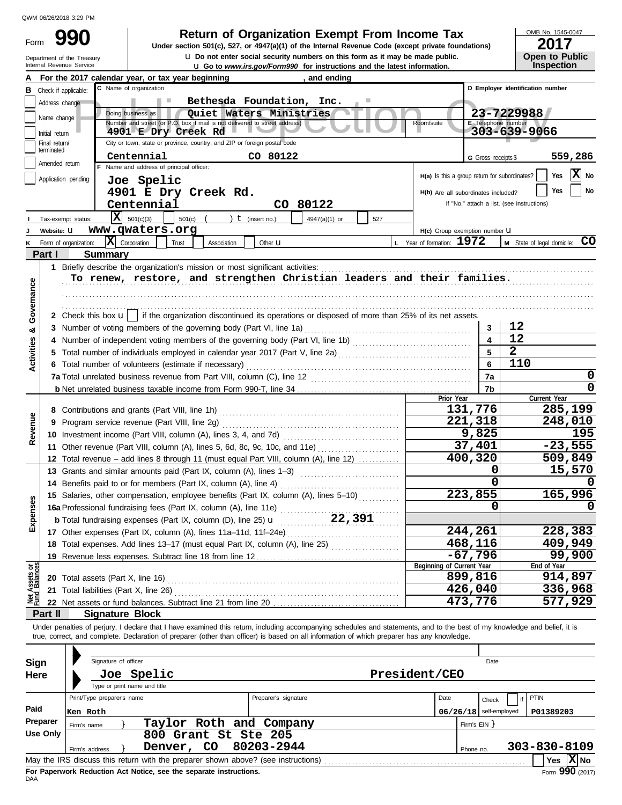Form

Department of the Treasury

 $\bf{u}$  Do not enter social security numbers on this form as it may be made public. **990 1990 2017 2018 Depend of Organization Exempt From Income Tax 1947(a)(1)** of the Internal Revenue Code (except private foundations)

OMB No. 1545-0047

| ZU I I                |  |
|-----------------------|--|
| <b>Open to Public</b> |  |
| Insnection            |  |

|                                |                               | Internal Revenue Service                          |                            |                                          |            |                                                                                   |                      | <b>u</b> Go to www.irs.gov/Form990 for instructions and the latest information.                                                                                            |     |                           |                                                 |                                  | Inspection   |
|--------------------------------|-------------------------------|---------------------------------------------------|----------------------------|------------------------------------------|------------|-----------------------------------------------------------------------------------|----------------------|----------------------------------------------------------------------------------------------------------------------------------------------------------------------------|-----|---------------------------|-------------------------------------------------|----------------------------------|--------------|
|                                |                               | For the 2017 calendar year, or tax year beginning |                            |                                          |            |                                                                                   |                      | and ending                                                                                                                                                                 |     |                           |                                                 |                                  |              |
|                                | <b>B</b> Check if applicable: |                                                   |                            | C Name of organization                   |            |                                                                                   |                      |                                                                                                                                                                            |     |                           |                                                 | D Employer identification number |              |
|                                | Address change                |                                                   |                            |                                          |            | Bethesda Foundation, Inc.                                                         |                      |                                                                                                                                                                            |     |                           |                                                 |                                  |              |
|                                |                               |                                                   |                            | Doing business as                        |            | <b>Ouiet Waters Ministries</b>                                                    |                      |                                                                                                                                                                            |     |                           |                                                 | 23-7229988                       |              |
|                                | Name change                   |                                                   |                            |                                          |            | Number and street (or P.O. box if mail is not delivered to street address)        |                      |                                                                                                                                                                            |     | Room/suite                | E Telephone number                              |                                  |              |
|                                | Initial return                |                                                   |                            | 4901 E Dry Creek Rd                      |            |                                                                                   |                      |                                                                                                                                                                            |     |                           |                                                 | 303-639-9066                     |              |
|                                | Final return/                 |                                                   |                            |                                          |            | City or town, state or province, country, and ZIP or foreign postal code          |                      |                                                                                                                                                                            |     |                           |                                                 |                                  |              |
|                                | terminated                    |                                                   |                            | Centennial                               |            |                                                                                   |                      |                                                                                                                                                                            |     |                           |                                                 |                                  |              |
|                                | Amended return                |                                                   |                            |                                          |            |                                                                                   | CO 80122             |                                                                                                                                                                            |     |                           | G Gross receipts \$                             |                                  | 559,286      |
|                                |                               |                                                   |                            | F Name and address of principal officer: |            |                                                                                   |                      |                                                                                                                                                                            |     |                           | $H(a)$ Is this a group return for subordinates? |                                  | X No<br>Yes  |
|                                |                               | Application pending                               |                            | Joe Spelic                               |            |                                                                                   |                      |                                                                                                                                                                            |     |                           |                                                 |                                  |              |
|                                |                               |                                                   |                            |                                          |            | 4901 E Dry Creek Rd.                                                              |                      |                                                                                                                                                                            |     |                           | H(b) Are all subordinates included?             |                                  | No<br>Yes    |
|                                |                               |                                                   |                            | Centennial                               |            |                                                                                   |                      | CO 80122                                                                                                                                                                   |     |                           | If "No," attach a list. (see instructions)      |                                  |              |
|                                |                               | Tax-exempt status:                                |                            | $ \mathbf{X} $ 501(c)(3)                 |            | 501(c) $($ $)$ $($ $)$ $($ (insert no.)                                           |                      | 4947(a)(1) or                                                                                                                                                              | 527 |                           |                                                 |                                  |              |
|                                |                               |                                                   |                            |                                          |            |                                                                                   |                      |                                                                                                                                                                            |     |                           |                                                 |                                  |              |
|                                | Website: U                    |                                                   |                            | www.qwaters.org                          |            |                                                                                   |                      |                                                                                                                                                                            |     |                           | H(c) Group exemption number LI                  |                                  |              |
| ĸ                              |                               | Form of organization:                             | $ \mathbf{X} $ Corporation |                                          | Trust      | Association                                                                       | Other $\mathbf u$    |                                                                                                                                                                            |     | L Year of formation: 1972 |                                                 | M State of legal domicile: CO    |              |
|                                | Part I                        |                                                   | <b>Summary</b>             |                                          |            |                                                                                   |                      |                                                                                                                                                                            |     |                           |                                                 |                                  |              |
|                                |                               |                                                   |                            |                                          |            | 1 Briefly describe the organization's mission or most significant activities:     |                      |                                                                                                                                                                            |     |                           |                                                 |                                  |              |
|                                |                               |                                                   |                            |                                          |            |                                                                                   |                      | To renew, restore, and strengthen Christian leaders and their families.                                                                                                    |     |                           |                                                 |                                  |              |
|                                |                               |                                                   |                            |                                          |            |                                                                                   |                      |                                                                                                                                                                            |     |                           |                                                 |                                  |              |
|                                |                               |                                                   |                            |                                          |            |                                                                                   |                      |                                                                                                                                                                            |     |                           |                                                 |                                  |              |
|                                |                               |                                                   |                            |                                          |            |                                                                                   |                      |                                                                                                                                                                            |     |                           |                                                 |                                  |              |
| Governance                     |                               |                                                   |                            |                                          |            |                                                                                   |                      | 2 Check this box $\mathbf{u}$   if the organization discontinued its operations or disposed of more than 25% of its net assets.                                            |     |                           |                                                 |                                  |              |
|                                |                               |                                                   |                            |                                          |            | 3 Number of voting members of the governing body (Part VI, line 1a)               |                      |                                                                                                                                                                            |     |                           | 3                                               | 12                               |              |
| œ                              |                               |                                                   |                            |                                          |            |                                                                                   |                      |                                                                                                                                                                            |     |                           | 4                                               | 12                               |              |
| <b>Activities</b>              |                               |                                                   |                            |                                          |            |                                                                                   |                      |                                                                                                                                                                            |     |                           |                                                 |                                  |              |
|                                |                               |                                                   |                            |                                          |            |                                                                                   |                      |                                                                                                                                                                            |     |                           | 5                                               | $\mathbf{2}$                     |              |
|                                |                               |                                                   |                            |                                          |            | 6 Total number of volunteers (estimate if necessary)                              |                      |                                                                                                                                                                            |     |                           | 6                                               | 110                              |              |
|                                |                               |                                                   |                            |                                          |            |                                                                                   |                      |                                                                                                                                                                            |     |                           | 7a                                              |                                  | 0            |
|                                |                               |                                                   |                            |                                          |            |                                                                                   |                      |                                                                                                                                                                            |     |                           | 7b                                              |                                  | 0            |
|                                |                               |                                                   |                            |                                          |            |                                                                                   |                      |                                                                                                                                                                            |     |                           | Prior Year                                      | Current Year                     |              |
|                                |                               |                                                   |                            |                                          |            |                                                                                   |                      |                                                                                                                                                                            |     |                           | 131,776                                         |                                  | 285,199      |
|                                |                               |                                                   |                            |                                          |            |                                                                                   |                      |                                                                                                                                                                            |     |                           | 221,318                                         |                                  | 248,010      |
| Revenue                        |                               | 9 Program service revenue (Part VIII, line 2g)    |                            |                                          |            |                                                                                   |                      |                                                                                                                                                                            |     |                           |                                                 |                                  |              |
|                                |                               |                                                   |                            |                                          |            |                                                                                   |                      |                                                                                                                                                                            |     |                           | 9,825                                           |                                  | 195          |
|                                |                               |                                                   |                            |                                          |            |                                                                                   |                      | 11 Other revenue (Part VIII, column (A), lines 5, 6d, 8c, 9c, 10c, and 11e)                                                                                                |     |                           | 37,401                                          |                                  | $-23,555$    |
|                                |                               |                                                   |                            |                                          |            |                                                                                   |                      | 12 Total revenue - add lines 8 through 11 (must equal Part VIII, column (A), line 12)                                                                                      |     |                           | 400,320                                         |                                  | 509,849      |
|                                |                               |                                                   |                            |                                          |            |                                                                                   |                      | 13 Grants and similar amounts paid (Part IX, column (A), lines 1-3)                                                                                                        |     |                           | 0                                               |                                  | 15,570       |
|                                |                               |                                                   |                            |                                          |            | 14 Benefits paid to or for members (Part IX, column (A), line 4)                  |                      |                                                                                                                                                                            |     |                           | 0                                               |                                  |              |
|                                |                               |                                                   |                            |                                          |            |                                                                                   |                      | 15 Salaries, other compensation, employee benefits (Part IX, column (A), lines 5-10)                                                                                       |     |                           | 223,855                                         |                                  | 165,996      |
|                                |                               |                                                   |                            |                                          |            |                                                                                   |                      |                                                                                                                                                                            |     |                           | 0                                               |                                  |              |
| enses                          |                               |                                                   |                            |                                          |            |                                                                                   |                      | 15 Salaries, other compensation, strip system (A), line 11e)<br>16a Professional fundraising fees (Part IX, column (A), line 11e)<br>22, 391                               |     |                           |                                                 |                                  |              |
| Exp                            |                               |                                                   |                            |                                          |            |                                                                                   |                      |                                                                                                                                                                            |     |                           |                                                 |                                  |              |
|                                |                               |                                                   |                            |                                          |            | 17 Other expenses (Part IX, column (A), lines 11a-11d, 11f-24e)                   |                      |                                                                                                                                                                            |     |                           | 244,261                                         |                                  | 228,383      |
|                                |                               |                                                   |                            |                                          |            |                                                                                   |                      | 18 Total expenses. Add lines 13-17 (must equal Part IX, column (A), line 25)                                                                                               |     |                           | 468,116                                         |                                  | 409,949      |
|                                |                               |                                                   |                            |                                          |            | 19 Revenue less expenses. Subtract line 18 from line 12                           |                      |                                                                                                                                                                            |     |                           | $-67,796$                                       |                                  | 99,900       |
|                                |                               |                                                   |                            |                                          |            |                                                                                   |                      |                                                                                                                                                                            |     |                           | Beginning of Current Year                       | End of Year                      |              |
|                                |                               | 20 Total assets (Part X, line 16)                 |                            |                                          |            |                                                                                   |                      |                                                                                                                                                                            |     |                           | 899,816                                         |                                  | 914,897      |
|                                |                               |                                                   |                            |                                          |            |                                                                                   |                      |                                                                                                                                                                            |     |                           | 426,040                                         |                                  | 336,968      |
| Net Assets or<br>Fund Balances |                               | 21 Total liabilities (Part X, line 26)            |                            |                                          |            |                                                                                   |                      |                                                                                                                                                                            |     |                           |                                                 |                                  |              |
|                                |                               |                                                   |                            |                                          |            |                                                                                   |                      | 22 Net assets or fund balances. Subtract line 21 from line 20                                                                                                              |     |                           | 473,776                                         |                                  | 577,929      |
|                                | Part II                       |                                                   |                            | <b>Signature Block</b>                   |            |                                                                                   |                      |                                                                                                                                                                            |     |                           |                                                 |                                  |              |
|                                |                               |                                                   |                            |                                          |            |                                                                                   |                      | Under penalties of perjury, I declare that I have examined this return, including accompanying schedules and statements, and to the best of my knowledge and belief, it is |     |                           |                                                 |                                  |              |
|                                |                               |                                                   |                            |                                          |            |                                                                                   |                      | true, correct, and complete. Declaration of preparer (other than officer) is based on all information of which preparer has any knowledge.                                 |     |                           |                                                 |                                  |              |
|                                |                               |                                                   |                            |                                          |            |                                                                                   |                      |                                                                                                                                                                            |     |                           |                                                 |                                  |              |
|                                |                               |                                                   | Signature of officer       |                                          |            |                                                                                   |                      |                                                                                                                                                                            |     |                           | Date                                            |                                  |              |
| Sign                           |                               |                                                   |                            |                                          |            |                                                                                   |                      |                                                                                                                                                                            |     |                           |                                                 |                                  |              |
| Here                           |                               |                                                   |                            | Joe Spelic                               |            |                                                                                   |                      |                                                                                                                                                                            |     | President/CEO             |                                                 |                                  |              |
|                                |                               |                                                   |                            | Type or print name and title             |            |                                                                                   |                      |                                                                                                                                                                            |     |                           |                                                 |                                  |              |
|                                |                               | Print/Type preparer's name                        |                            |                                          |            |                                                                                   | Preparer's signature |                                                                                                                                                                            |     | Date                      | Check                                           | PTIN                             |              |
| Paid                           |                               |                                                   |                            |                                          |            |                                                                                   |                      |                                                                                                                                                                            |     |                           |                                                 |                                  |              |
|                                |                               | Ken Roth                                          |                            |                                          |            |                                                                                   |                      |                                                                                                                                                                            |     |                           | $06/26/18$ self-employed                        | P01389203                        |              |
|                                | Preparer                      | Firm's name                                       |                            |                                          |            | Taylor Roth and Company                                                           |                      |                                                                                                                                                                            |     |                           | Firm's $EIN$ }                                  |                                  |              |
|                                | <b>Use Only</b>               |                                                   |                            |                                          |            | 800 Grant St Ste 205                                                              |                      |                                                                                                                                                                            |     |                           |                                                 |                                  |              |
|                                |                               | Firm's address                                    |                            |                                          | Denver, CO |                                                                                   | 80203-2944           |                                                                                                                                                                            |     |                           | Phone no.                                       | 303-830-8109                     |              |
|                                |                               |                                                   |                            |                                          |            | May the IRS discuss this return with the preparer shown above? (see instructions) |                      |                                                                                                                                                                            |     |                           |                                                 |                                  | Yes $ X $ No |

|                         |            |                                                                                                  |                                                                                                                                                                                                                         |  |      | Date          |                           |                                                           |
|-------------------------|------------|--------------------------------------------------------------------------------------------------|-------------------------------------------------------------------------------------------------------------------------------------------------------------------------------------------------------------------------|--|------|---------------|---------------------------|-----------------------------------------------------------|
| Ken Roth<br>Firm's name |            | Preparer's signature                                                                             |                                                                                                                                                                                                                         |  |      | Check         | PTIN                      | P01389203                                                 |
| Firm's address          | Denver, CO |                                                                                                  |                                                                                                                                                                                                                         |  |      |               |                           | 303-830-8109<br>Yes $ X $ No                              |
|                         |            | Signature of officer<br>Joe Spelic<br>Type or print name and title<br>Print/Type preparer's name | Taylor Roth and Company<br>800 Grant St Ste 205<br>80203-2944<br>May the IRS discuss this return with the preparer shown above? (see instructions)<br>For Panerwork Reduction Act Notice, see the senarate instructions |  | Date | President/CEO | Firm's EIN Y<br>Phone no. | $06/26/18$ self-employed<br>$F_{\text{max}}$ QQ0 $(2012)$ |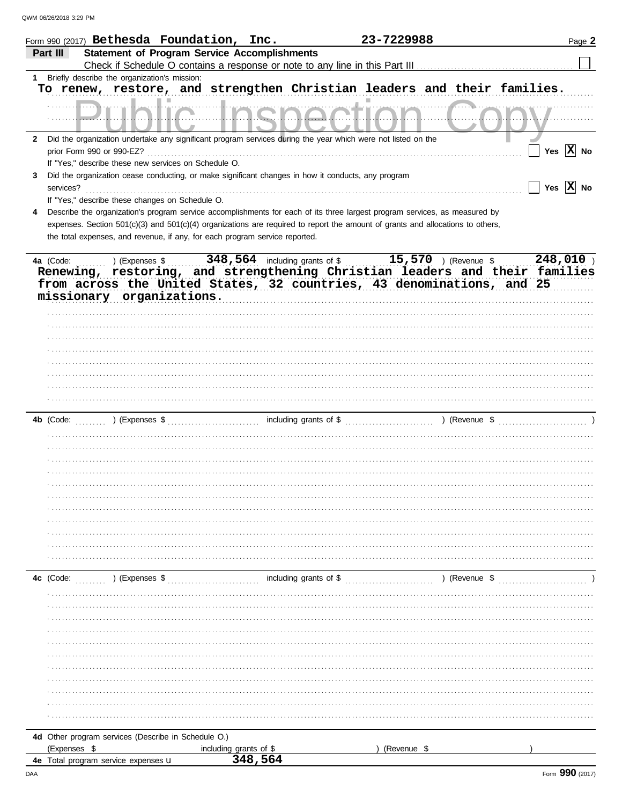|                | Form 990 (2017) Bethesda Foundation, Inc.                                   |                                                                                                              | 23-7229988                                                                                                                                                                                                                               | Page 2                  |
|----------------|-----------------------------------------------------------------------------|--------------------------------------------------------------------------------------------------------------|------------------------------------------------------------------------------------------------------------------------------------------------------------------------------------------------------------------------------------------|-------------------------|
| Part III       | <b>Statement of Program Service Accomplishments</b>                         |                                                                                                              |                                                                                                                                                                                                                                          |                         |
|                |                                                                             |                                                                                                              |                                                                                                                                                                                                                                          |                         |
| 1.             | Briefly describe the organization's mission:                                |                                                                                                              | To renew, restore, and strengthen Christian leaders and their families.                                                                                                                                                                  |                         |
| . <del>.</del> |                                                                             |                                                                                                              |                                                                                                                                                                                                                                          |                         |
|                |                                                                             |                                                                                                              |                                                                                                                                                                                                                                          |                         |
| $\mathbf{2}$   |                                                                             | Did the organization undertake any significant program services during the year which were not listed on the |                                                                                                                                                                                                                                          |                         |
|                | prior Form 990 or 990-EZ?                                                   |                                                                                                              |                                                                                                                                                                                                                                          | Yes $\overline{X}$ No   |
| 3              | If "Yes," describe these new services on Schedule O.                        | Did the organization cease conducting, or make significant changes in how it conducts, any program           |                                                                                                                                                                                                                                          |                         |
| services?      |                                                                             |                                                                                                              |                                                                                                                                                                                                                                          | Yes $ \overline{X} $ No |
| 4              | If "Yes," describe these changes on Schedule O.                             |                                                                                                              |                                                                                                                                                                                                                                          |                         |
|                |                                                                             |                                                                                                              | Describe the organization's program service accomplishments for each of its three largest program services, as measured by                                                                                                               |                         |
|                | the total expenses, and revenue, if any, for each program service reported. |                                                                                                              | expenses. Section 501(c)(3) and 501(c)(4) organizations are required to report the amount of grants and allocations to others,                                                                                                           |                         |
|                |                                                                             |                                                                                                              |                                                                                                                                                                                                                                          |                         |
| 4a (Code:      | missionary organizations.                                                   |                                                                                                              | 4a (Code: ) (Expenses \$348,564 including grants of \$15,570 ) (Revenue \$248,010 ) Renewing, restoring, and strengthening Christian leaders and their families<br>from across the United States, 32 countries, 43 denominations, and 25 |                         |
|                |                                                                             |                                                                                                              |                                                                                                                                                                                                                                          |                         |
|                |                                                                             |                                                                                                              |                                                                                                                                                                                                                                          |                         |
|                |                                                                             |                                                                                                              |                                                                                                                                                                                                                                          |                         |
|                |                                                                             |                                                                                                              |                                                                                                                                                                                                                                          |                         |
|                |                                                                             |                                                                                                              |                                                                                                                                                                                                                                          |                         |
|                |                                                                             |                                                                                                              |                                                                                                                                                                                                                                          |                         |
|                |                                                                             |                                                                                                              |                                                                                                                                                                                                                                          |                         |
|                |                                                                             |                                                                                                              |                                                                                                                                                                                                                                          |                         |
| 4b (Code:      |                                                                             |                                                                                                              |                                                                                                                                                                                                                                          |                         |
|                |                                                                             |                                                                                                              |                                                                                                                                                                                                                                          |                         |
|                |                                                                             |                                                                                                              |                                                                                                                                                                                                                                          |                         |
|                |                                                                             |                                                                                                              |                                                                                                                                                                                                                                          |                         |
|                |                                                                             |                                                                                                              |                                                                                                                                                                                                                                          |                         |
|                |                                                                             |                                                                                                              |                                                                                                                                                                                                                                          |                         |
|                |                                                                             |                                                                                                              |                                                                                                                                                                                                                                          |                         |
|                |                                                                             |                                                                                                              |                                                                                                                                                                                                                                          |                         |
|                |                                                                             |                                                                                                              |                                                                                                                                                                                                                                          |                         |
|                |                                                                             |                                                                                                              |                                                                                                                                                                                                                                          |                         |
|                |                                                                             |                                                                                                              |                                                                                                                                                                                                                                          |                         |
| 4c (Code:      | ) (Expenses \$                                                              | including grants of \$                                                                                       | ) (Revenue \$                                                                                                                                                                                                                            |                         |
|                |                                                                             |                                                                                                              |                                                                                                                                                                                                                                          |                         |
|                |                                                                             |                                                                                                              |                                                                                                                                                                                                                                          |                         |
|                |                                                                             |                                                                                                              |                                                                                                                                                                                                                                          |                         |
|                |                                                                             |                                                                                                              |                                                                                                                                                                                                                                          |                         |
|                |                                                                             |                                                                                                              |                                                                                                                                                                                                                                          |                         |
|                |                                                                             |                                                                                                              |                                                                                                                                                                                                                                          |                         |
|                |                                                                             |                                                                                                              |                                                                                                                                                                                                                                          |                         |
|                |                                                                             |                                                                                                              |                                                                                                                                                                                                                                          |                         |
|                |                                                                             |                                                                                                              |                                                                                                                                                                                                                                          |                         |
|                |                                                                             |                                                                                                              |                                                                                                                                                                                                                                          |                         |
|                |                                                                             |                                                                                                              |                                                                                                                                                                                                                                          |                         |
|                | 4d Other program services (Describe in Schedule O.)                         |                                                                                                              |                                                                                                                                                                                                                                          |                         |
| (Expenses \$   |                                                                             | including grants of \$                                                                                       | (Revenue \$                                                                                                                                                                                                                              |                         |
|                | 4e Total program service expenses u                                         | 348,564                                                                                                      |                                                                                                                                                                                                                                          |                         |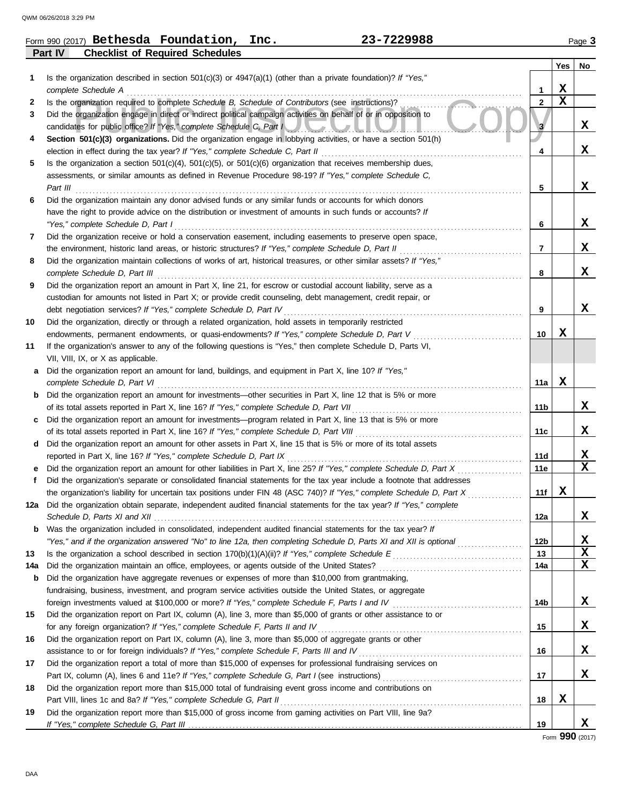|         |                     | Form 990 (2017) Bethesda Foundation, Inc. | 23-7229988                                                                                                        |  |     | Page $3$ |
|---------|---------------------|-------------------------------------------|-------------------------------------------------------------------------------------------------------------------|--|-----|----------|
| Part IV |                     | <b>Checklist of Required Schedules</b>    |                                                                                                                   |  |     |          |
|         |                     |                                           |                                                                                                                   |  | Yes | No       |
|         |                     |                                           | Is the organization described in section $501(c)(3)$ or $4947(a)(1)$ (other than a private foundation)? If "Yes," |  |     |          |
|         | complete Schedule A |                                           |                                                                                                                   |  |     |          |
|         |                     |                                           | Is the organization required to complete Schedule B, Schedule of Contributors (see instructions)?                 |  |     |          |

| 2   | Is the organization required to complete Schedule B, Schedule of Contributors (see instructions)?                       | 2                       | х |                         |
|-----|-------------------------------------------------------------------------------------------------------------------------|-------------------------|---|-------------------------|
| 3   | Did the organization engage in direct or indirect political campaign activities on behalf of or in opposition to        |                         |   |                         |
|     | candidates for public office? If "Yes," complete Schedule C, Part I                                                     |                         |   | X                       |
| 4   | Section 501(c)(3) organizations. Did the organization engage in lobbying activities, or have a section 501(h)           |                         |   |                         |
|     | election in effect during the tax year? If "Yes," complete Schedule C, Part II                                          | 4                       |   | X                       |
| 5   | Is the organization a section $501(c)(4)$ , $501(c)(5)$ , or $501(c)(6)$ organization that receives membership dues,    |                         |   |                         |
|     | assessments, or similar amounts as defined in Revenue Procedure 98-19? If "Yes," complete Schedule C,                   |                         |   |                         |
|     | Part III                                                                                                                | 5                       |   | X                       |
| 6   | Did the organization maintain any donor advised funds or any similar funds or accounts for which donors                 |                         |   |                         |
|     | have the right to provide advice on the distribution or investment of amounts in such funds or accounts? If             |                         |   |                         |
|     | "Yes," complete Schedule D. Part I                                                                                      | 6                       |   | X                       |
| 7   | Did the organization receive or hold a conservation easement, including easements to preserve open space,               |                         |   |                         |
|     | the environment, historic land areas, or historic structures? If "Yes," complete Schedule D, Part II                    | $\overline{\mathbf{r}}$ |   | X                       |
| 8   | Did the organization maintain collections of works of art, historical treasures, or other similar assets? If "Yes,"     |                         |   |                         |
|     | complete Schedule D, Part III                                                                                           | 8                       |   | X                       |
| 9   | Did the organization report an amount in Part X, line 21, for escrow or custodial account liability, serve as a         |                         |   |                         |
|     | custodian for amounts not listed in Part X; or provide credit counseling, debt management, credit repair, or            |                         |   |                         |
|     | debt negotiation services? If "Yes," complete Schedule D, Part IV                                                       | 9                       |   | x                       |
| 10  | Did the organization, directly or through a related organization, hold assets in temporarily restricted                 |                         |   |                         |
|     | endowments, permanent endowments, or quasi-endowments? If "Yes," complete Schedule D, Part V                            | 10                      | х |                         |
| 11  | If the organization's answer to any of the following questions is "Yes," then complete Schedule D, Parts VI,            |                         |   |                         |
|     | VII, VIII, IX, or X as applicable.                                                                                      |                         |   |                         |
| a   | Did the organization report an amount for land, buildings, and equipment in Part X, line 10? If "Yes,"                  |                         |   |                         |
|     | complete Schedule D, Part VI                                                                                            | 11a                     | X |                         |
| b   | Did the organization report an amount for investments—other securities in Part X, line 12 that is 5% or more            |                         |   |                         |
|     | of its total assets reported in Part X, line 16? If "Yes," complete Schedule D, Part VII                                | 11b                     |   | x                       |
| с   | Did the organization report an amount for investments—program related in Part X, line 13 that is 5% or more             |                         |   |                         |
|     | of its total assets reported in Part X, line 16? If "Yes," complete Schedule D, Part VIII                               | 11c                     |   | X                       |
| d   | Did the organization report an amount for other assets in Part X, line 15 that is 5% or more of its total assets        |                         |   |                         |
|     | reported in Part X, line 16? If "Yes," complete Schedule D, Part IX                                                     | 11d                     |   | X                       |
|     | Did the organization report an amount for other liabilities in Part X, line 25? If "Yes," complete Schedule D, Part X   | 11e                     |   | $\mathbf x$             |
| f   | Did the organization's separate or consolidated financial statements for the tax year include a footnote that addresses |                         |   |                         |
|     | the organization's liability for uncertain tax positions under FIN 48 (ASC 740)? If "Yes," complete Schedule D, Part X  | 11f                     | х |                         |
| 12a | Did the organization obtain separate, independent audited financial statements for the tax year? If "Yes," complete     |                         |   |                         |
|     | Schedule D, Parts XI and XII [11] [11] [11] Schedule D, Parts XI and XII                                                | 12a                     |   | x                       |
| b   | Was the organization included in consolidated, independent audited financial statements for the tax year? If            |                         |   |                         |
|     | "Yes," and if the organization answered "No" to line 12a, then completing Schedule D, Parts XI and XII is optional      | 12b                     |   | х                       |
| 13  |                                                                                                                         | 13                      |   | $\overline{\mathbf{x}}$ |
| 14a | Did the organization maintain an office, employees, or agents outside of the United States?                             | 14a                     |   | $\mathbf x$             |
| b   | Did the organization have aggregate revenues or expenses of more than \$10,000 from grantmaking,                        |                         |   |                         |
|     | fundraising, business, investment, and program service activities outside the United States, or aggregate               |                         |   |                         |
|     |                                                                                                                         | 14b                     |   | x                       |
| 15  | Did the organization report on Part IX, column (A), line 3, more than \$5,000 of grants or other assistance to or       |                         |   |                         |
|     | for any foreign organization? If "Yes," complete Schedule F, Parts II and IV                                            | 15                      |   | X                       |
| 16  | Did the organization report on Part IX, column (A), line 3, more than \$5,000 of aggregate grants or other              |                         |   |                         |
|     | assistance to or for foreign individuals? If "Yes," complete Schedule F, Parts III and IV                               | 16                      |   | X                       |
| 17  | Did the organization report a total of more than \$15,000 of expenses for professional fundraising services on          |                         |   |                         |
|     |                                                                                                                         | 17                      |   | x                       |
| 18  | Did the organization report more than \$15,000 total of fundraising event gross income and contributions on             |                         |   |                         |
|     | Part VIII, lines 1c and 8a? If "Yes," complete Schedule G, Part II                                                      | 18                      | X |                         |
| 19  | Did the organization report more than \$15,000 of gross income from gaming activities on Part VIII, line 9a?            |                         |   |                         |
|     |                                                                                                                         | 19                      |   | X                       |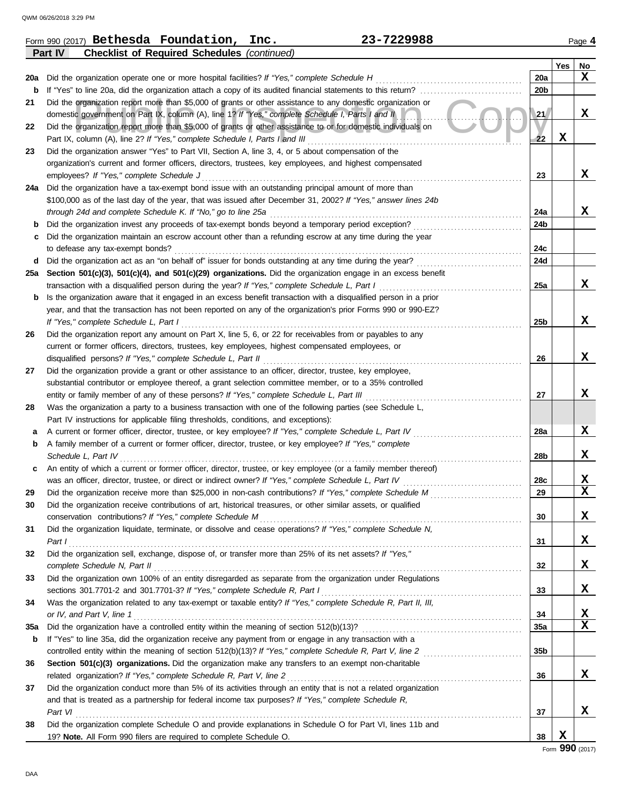|     | 23-7229988<br>Form 990 (2017) Bethesda Foundation,<br>Inc.                                                       |                 |     | Page 4                  |
|-----|------------------------------------------------------------------------------------------------------------------|-----------------|-----|-------------------------|
|     | Part IV<br><b>Checklist of Required Schedules (continued)</b>                                                    |                 |     |                         |
|     |                                                                                                                  |                 | Yes | No                      |
|     | 20a Did the organization operate one or more hospital facilities? If "Yes," complete Schedule H                  | 20a             |     | $\mathbf x$             |
| b   | If "Yes" to line 20a, did the organization attach a copy of its audited financial statements to this return?     | 20b             |     |                         |
| 21  | Did the organization report more than \$5,000 of grants or other assistance to any domestic organization or      |                 |     |                         |
|     | domestic government on Part IX, column (A), line 1? If "Yes," complete Schedule I, Parts I and II                | 21 <sub>2</sub> |     | X                       |
| 22  | Did the organization report more than \$5,000 of grants or other assistance to or for domestic individuals on    |                 |     |                         |
|     | Part IX, column (A), line 2? If "Yes," complete Schedule I, Parts I and III                                      | 22              | X   |                         |
| 23  | Did the organization answer "Yes" to Part VII, Section A, line 3, 4, or 5 about compensation of the              |                 |     |                         |
|     | organization's current and former officers, directors, trustees, key employees, and highest compensated          |                 |     |                         |
|     | employees? If "Yes," complete Schedule J                                                                         | 23              |     | X                       |
|     | 24a Did the organization have a tax-exempt bond issue with an outstanding principal amount of more than          |                 |     |                         |
|     | \$100,000 as of the last day of the year, that was issued after December 31, 2002? If "Yes," answer lines 24b    |                 |     |                         |
|     | through 24d and complete Schedule K. If "No," go to line 25a                                                     | 24a             |     | X                       |
| b   | Did the organization invest any proceeds of tax-exempt bonds beyond a temporary period exception?                | 24b             |     |                         |
| c   | Did the organization maintain an escrow account other than a refunding escrow at any time during the year        |                 |     |                         |
|     | to defease any tax-exempt bonds?                                                                                 | 24c             |     |                         |
|     | d Did the organization act as an "on behalf of" issuer for bonds outstanding at any time during the year?        | 24d             |     |                         |
|     | 25a Section 501(c)(3), 501(c)(4), and 501(c)(29) organizations. Did the organization engage in an excess benefit |                 |     |                         |
|     | transaction with a disqualified person during the year? If "Yes," complete Schedule L, Part I                    | 25a             |     | x                       |
| b   | Is the organization aware that it engaged in an excess benefit transaction with a disqualified person in a prior |                 |     |                         |
|     | year, and that the transaction has not been reported on any of the organization's prior Forms 990 or 990-EZ?     |                 |     |                         |
|     | If "Yes," complete Schedule L, Part I                                                                            | 25b             |     | X                       |
| 26  | Did the organization report any amount on Part X, line 5, 6, or 22 for receivables from or payables to any       |                 |     |                         |
|     | current or former officers, directors, trustees, key employees, highest compensated employees, or                |                 |     |                         |
|     | disqualified persons? If "Yes," complete Schedule L, Part II                                                     | 26              |     | X                       |
| 27  | Did the organization provide a grant or other assistance to an officer, director, trustee, key employee,         |                 |     |                         |
|     | substantial contributor or employee thereof, a grant selection committee member, or to a 35% controlled          |                 |     |                         |
|     | entity or family member of any of these persons? If "Yes," complete Schedule L, Part III                         | 27              |     | X                       |
| 28  | Was the organization a party to a business transaction with one of the following parties (see Schedule L,        |                 |     |                         |
|     | Part IV instructions for applicable filing thresholds, conditions, and exceptions):                              |                 |     |                         |
| а   | A current or former officer, director, trustee, or key employee? If "Yes," complete Schedule L, Part IV          | 28a             |     | X                       |
| b   | A family member of a current or former officer, director, trustee, or key employee? If "Yes," complete           |                 |     |                         |
|     | Schedule L, Part IV                                                                                              | 28b             |     | X                       |
| C   | An entity of which a current or former officer, director, trustee, or key employee (or a family member thereof)  |                 |     |                         |
|     | was an officer, director, trustee, or direct or indirect owner? If "Yes," complete Schedule L, Part IV           | 28c             |     | X                       |
| 29  |                                                                                                                  | 29              |     | $\overline{\textbf{x}}$ |
| 30  | Did the organization receive contributions of art, historical treasures, or other similar assets, or qualified   |                 |     |                         |
|     | conservation contributions? If "Yes," complete Schedule M                                                        | 30              |     | X                       |
| 31  | Did the organization liquidate, terminate, or dissolve and cease operations? If "Yes," complete Schedule N,      |                 |     |                         |
|     | Part I                                                                                                           | 31              |     | X                       |
| 32  | Did the organization sell, exchange, dispose of, or transfer more than 25% of its net assets? If "Yes,"          |                 |     |                         |
|     | complete Schedule N, Part II                                                                                     | 32              |     | X                       |
| 33  | Did the organization own 100% of an entity disregarded as separate from the organization under Regulations       |                 |     |                         |
|     | sections 301.7701-2 and 301.7701-3? If "Yes," complete Schedule R, Part I                                        | 33              |     | X                       |
| 34  | Was the organization related to any tax-exempt or taxable entity? If "Yes," complete Schedule R, Part II, III,   |                 |     |                         |
|     | or IV, and Part V, line 1                                                                                        | 34              |     | х<br>$\mathbf x$        |
| 35a | Did the organization have a controlled entity within the meaning of section 512(b)(13)?                          | 35a             |     |                         |
| b   | If "Yes" to line 35a, did the organization receive any payment from or engage in any transaction with a          |                 |     |                         |
|     |                                                                                                                  | 35b             |     |                         |
| 36  | Section 501(c)(3) organizations. Did the organization make any transfers to an exempt non-charitable             |                 |     |                         |
|     | related organization? If "Yes," complete Schedule R, Part V, line 2                                              | 36              |     | X                       |
| 37  | Did the organization conduct more than 5% of its activities through an entity that is not a related organization |                 |     |                         |
|     | and that is treated as a partnership for federal income tax purposes? If "Yes," complete Schedule R,             |                 |     |                         |
|     | Part VI                                                                                                          | 37              |     | X                       |
| 38  | Did the organization complete Schedule O and provide explanations in Schedule O for Part VI, lines 11b and       |                 |     |                         |
|     | 19? Note. All Form 990 filers are required to complete Schedule O.                                               | 38              | X   |                         |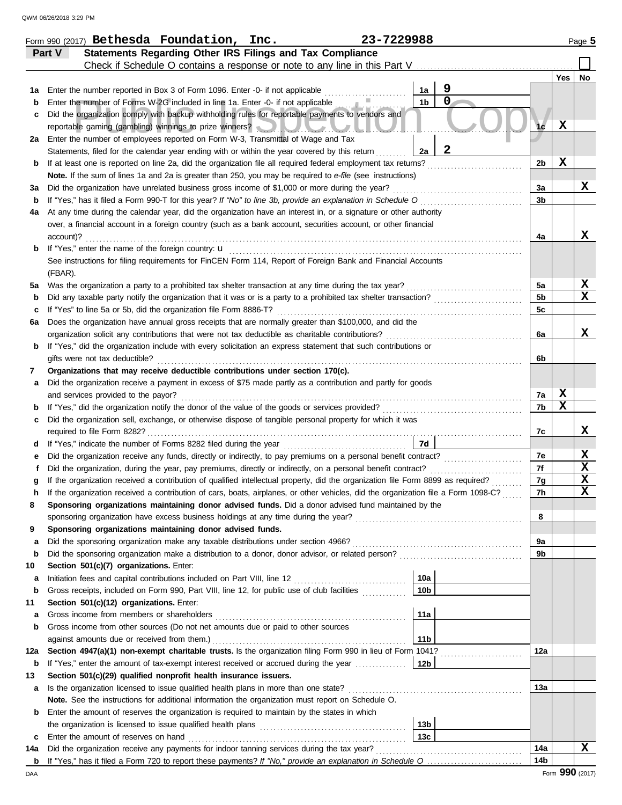|             | 23-7229988<br>Form 990 (2017) Bethesda Foundation, Inc.                                                                                                                                                                                                                                                                 |                                  |             | Page 5                  |
|-------------|-------------------------------------------------------------------------------------------------------------------------------------------------------------------------------------------------------------------------------------------------------------------------------------------------------------------------|----------------------------------|-------------|-------------------------|
|             | Statements Regarding Other IRS Filings and Tax Compliance<br>Part V                                                                                                                                                                                                                                                     |                                  |             |                         |
|             | Check if Schedule O contains a response or note to any line in this Part V                                                                                                                                                                                                                                              |                                  |             |                         |
|             |                                                                                                                                                                                                                                                                                                                         |                                  | Yes         | No                      |
| 1а          | Enter the number reported in Box 3 of Form 1096. Enter -0- if not applicable                                                                                                                                                                                                                                            | 9<br>1a                          |             |                         |
| b           | Enter the number of Forms W-2G included in line 1a. Enter -0- if not applicable                                                                                                                                                                                                                                         | $\overline{0}$<br>1 <sub>b</sub> |             |                         |
| c           | Did the organization comply with backup withholding rules for reportable payments to vendors and                                                                                                                                                                                                                        |                                  | $\mathbf x$ |                         |
|             | reportable gaming (gambling) winnings to prize winners? <b>All and the set of the set of the set of the set of the set of the set of the set of the set of the set of the set of the set of the set of the set of the set of the</b><br>Enter the number of employees reported on Form W-3, Transmittal of Wage and Tax | 1 <sub>c</sub>                   |             |                         |
| 2a          | Statements, filed for the calendar year ending with or within the year covered by this return                                                                                                                                                                                                                           | $\mathbf{2}$<br>2a               |             |                         |
| b           | If at least one is reported on line 2a, did the organization file all required federal employment tax returns?                                                                                                                                                                                                          | 2b                               | X           |                         |
|             | Note. If the sum of lines 1a and 2a is greater than 250, you may be required to e-file (see instructions)                                                                                                                                                                                                               |                                  |             |                         |
| За          | Did the organization have unrelated business gross income of \$1,000 or more during the year?                                                                                                                                                                                                                           | 3a                               |             | x                       |
| b           | If "Yes," has it filed a Form 990-T for this year? If "No" to line 3b, provide an explanation in Schedule O                                                                                                                                                                                                             | 3b                               |             |                         |
| 4a          | At any time during the calendar year, did the organization have an interest in, or a signature or other authority                                                                                                                                                                                                       |                                  |             |                         |
|             | over, a financial account in a foreign country (such as a bank account, securities account, or other financial                                                                                                                                                                                                          |                                  |             |                         |
|             | account)?                                                                                                                                                                                                                                                                                                               | 4a                               |             | x                       |
| b           | If "Yes," enter the name of the foreign country: <b>u</b>                                                                                                                                                                                                                                                               |                                  |             |                         |
|             | See instructions for filing requirements for FinCEN Form 114, Report of Foreign Bank and Financial Accounts                                                                                                                                                                                                             |                                  |             |                         |
|             | (FBAR).                                                                                                                                                                                                                                                                                                                 |                                  |             |                         |
| 5a          | Was the organization a party to a prohibited tax shelter transaction at any time during the tax year?                                                                                                                                                                                                                   | 5a                               |             | X                       |
| b           | Did any taxable party notify the organization that it was or is a party to a prohibited tax shelter transaction?                                                                                                                                                                                                        | 5 <sub>b</sub>                   |             | $\mathbf x$             |
| c           | If "Yes" to line 5a or 5b, did the organization file Form 8886-T?                                                                                                                                                                                                                                                       | 5c                               |             |                         |
| 6а          | Does the organization have annual gross receipts that are normally greater than \$100,000, and did the                                                                                                                                                                                                                  |                                  |             |                         |
|             | organization solicit any contributions that were not tax deductible as charitable contributions?                                                                                                                                                                                                                        | 6a                               |             | x                       |
| b           | If "Yes," did the organization include with every solicitation an express statement that such contributions or<br>gifts were not tax deductible?                                                                                                                                                                        | 6b                               |             |                         |
| 7           | Organizations that may receive deductible contributions under section 170(c).                                                                                                                                                                                                                                           |                                  |             |                         |
| а           | Did the organization receive a payment in excess of \$75 made partly as a contribution and partly for goods                                                                                                                                                                                                             |                                  |             |                         |
|             | and services provided to the payor?                                                                                                                                                                                                                                                                                     | 7a                               | X           |                         |
| b           | If "Yes," did the organization notify the donor of the value of the goods or services provided?                                                                                                                                                                                                                         | 7b                               | X           |                         |
| c           | Did the organization sell, exchange, or otherwise dispose of tangible personal property for which it was                                                                                                                                                                                                                |                                  |             |                         |
|             | required to file Form 8282?                                                                                                                                                                                                                                                                                             | 7c                               |             | х                       |
| d           |                                                                                                                                                                                                                                                                                                                         | 7d                               |             |                         |
| е           | Did the organization receive any funds, directly or indirectly, to pay premiums on a personal benefit contract?                                                                                                                                                                                                         | 7e                               |             | X                       |
|             | Did the organization, during the year, pay premiums, directly or indirectly, on a personal benefit contract?                                                                                                                                                                                                            | 7f                               |             | X                       |
|             | If the organization received a contribution of qualified intellectual property, did the organization file Form 8899 as required?                                                                                                                                                                                        | 7g                               |             | $\mathbf x$             |
|             | If the organization received a contribution of cars, boats, airplanes, or other vehicles, did the organization file a Form 1098-C?                                                                                                                                                                                      | 7h                               |             | $\overline{\mathbf{x}}$ |
| 8           | Sponsoring organizations maintaining donor advised funds. Did a donor advised fund maintained by the                                                                                                                                                                                                                    |                                  |             |                         |
|             | sponsoring organization have excess business holdings at any time during the year?                                                                                                                                                                                                                                      | 8                                |             |                         |
| 9           | Sponsoring organizations maintaining donor advised funds.                                                                                                                                                                                                                                                               |                                  |             |                         |
| а           | Did the sponsoring organization make any taxable distributions under section 4966?                                                                                                                                                                                                                                      | 9a                               |             |                         |
| $\mathbf b$ | Did the sponsoring organization make a distribution to a donor, donor advisor, or related person?                                                                                                                                                                                                                       | 9b                               |             |                         |
| 10          | Section 501(c)(7) organizations. Enter:<br>Initiation fees and capital contributions included on Part VIII, line 12 [11] [11] [11] [12] [11] [12] [11] [1                                                                                                                                                               | 10a                              |             |                         |
| а<br>b      | Gross receipts, included on Form 990, Part VIII, line 12, for public use of club facilities                                                                                                                                                                                                                             | 10 <sub>b</sub>                  |             |                         |
| 11          | Section 501(c)(12) organizations. Enter:                                                                                                                                                                                                                                                                                |                                  |             |                         |
| а           | Gross income from members or shareholders                                                                                                                                                                                                                                                                               | 11a                              |             |                         |
| b           | Gross income from other sources (Do not net amounts due or paid to other sources                                                                                                                                                                                                                                        |                                  |             |                         |
|             | against amounts due or received from them.)                                                                                                                                                                                                                                                                             | 11 <sub>b</sub>                  |             |                         |
| 12a         | Section 4947(a)(1) non-exempt charitable trusts. Is the organization filing Form 990 in lieu of Form 1041?                                                                                                                                                                                                              | 12a                              |             |                         |
| b           | If "Yes," enter the amount of tax-exempt interest received or accrued during the year                                                                                                                                                                                                                                   | 12 <sub>b</sub>                  |             |                         |
| 13          | Section 501(c)(29) qualified nonprofit health insurance issuers.                                                                                                                                                                                                                                                        |                                  |             |                         |
| а           | Is the organization licensed to issue qualified health plans in more than one state?                                                                                                                                                                                                                                    | 13а                              |             |                         |
|             | Note. See the instructions for additional information the organization must report on Schedule O.                                                                                                                                                                                                                       |                                  |             |                         |
| b           | Enter the amount of reserves the organization is required to maintain by the states in which                                                                                                                                                                                                                            |                                  |             |                         |
|             |                                                                                                                                                                                                                                                                                                                         | 13 <sub>b</sub>                  |             |                         |
| c           | Enter the amount of reserves on hand                                                                                                                                                                                                                                                                                    | 13c                              |             |                         |
| 14a         | Did the organization receive any payments for indoor tanning services during the tax year?                                                                                                                                                                                                                              | 14a                              |             | $\mathbf x$             |
|             |                                                                                                                                                                                                                                                                                                                         | 14b                              |             |                         |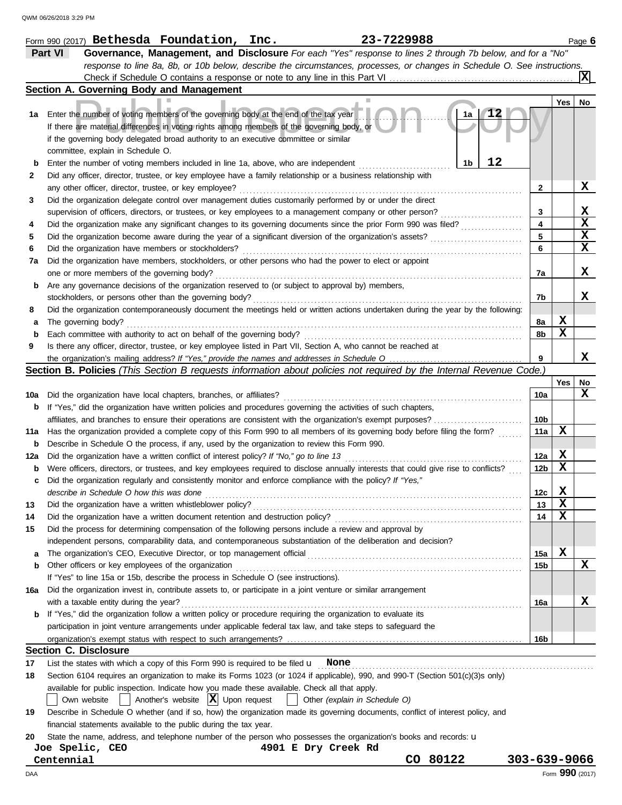|        | 23-7229988<br>Form 990 (2017) $\texttt{Bethesda}$ Foundation, Inc.                                                                  |                         |             | Page 6          |
|--------|-------------------------------------------------------------------------------------------------------------------------------------|-------------------------|-------------|-----------------|
|        | Part VI<br>Governance, Management, and Disclosure For each "Yes" response to lines 2 through 7b below, and for a "No"               |                         |             |                 |
|        | response to line 8a, 8b, or 10b below, describe the circumstances, processes, or changes in Schedule O. See instructions.           |                         |             |                 |
|        |                                                                                                                                     |                         |             | X               |
|        | Section A. Governing Body and Management                                                                                            |                         |             |                 |
|        |                                                                                                                                     |                         | Yes         | No              |
| 1a     | Enter the number of voting members of the governing body at the end of the tax year                                                 |                         |             |                 |
|        | If there are material differences in voting rights among members of the governing body, or                                          |                         |             |                 |
|        | if the governing body delegated broad authority to an executive committee or similar                                                |                         |             |                 |
|        | committee, explain in Schedule O.                                                                                                   |                         |             |                 |
| b      | 12<br>1b<br>Enter the number of voting members included in line 1a, above, who are independent                                      |                         |             |                 |
| 2      | Did any officer, director, trustee, or key employee have a family relationship or a business relationship with                      |                         |             |                 |
|        | any other officer, director, trustee, or key employee?                                                                              | 2                       |             | x               |
| 3      | Did the organization delegate control over management duties customarily performed by or under the direct                           |                         |             |                 |
|        | supervision of officers, directors, or trustees, or key employees to a management company or other person?                          | 3                       |             | х               |
| 4      | Did the organization make any significant changes to its governing documents since the prior Form 990 was filed?                    | $\overline{\mathbf{4}}$ |             | X               |
| 5      | Did the organization become aware during the year of a significant diversion of the organization's assets?                          | 5                       |             | X               |
| 6      | Did the organization have members or stockholders?                                                                                  | 6                       |             | X               |
| 7a     | Did the organization have members, stockholders, or other persons who had the power to elect or appoint                             |                         |             |                 |
|        | one or more members of the governing body?                                                                                          | 7a                      |             | X               |
| b      | Are any governance decisions of the organization reserved to (or subject to approval by) members,                                   |                         |             |                 |
|        | stockholders, or persons other than the governing body?                                                                             | 7b                      |             | x               |
| 8      | Did the organization contemporaneously document the meetings held or written actions undertaken during the year by the following:   |                         |             |                 |
| а      | The governing body?                                                                                                                 | 8a                      | X           |                 |
| b      | Each committee with authority to act on behalf of the governing body?                                                               | 8b                      | $\mathbf x$ |                 |
| 9      | Is there any officer, director, trustee, or key employee listed in Part VII, Section A, who cannot be reached at                    |                         |             |                 |
|        |                                                                                                                                     | 9                       |             | x               |
|        | Section B. Policies (This Section B requests information about policies not required by the Internal Revenue Code.)                 |                         |             |                 |
|        |                                                                                                                                     |                         | Yes         | No              |
| 10a l  | Did the organization have local chapters, branches, or affiliates?                                                                  | 10a                     |             | x               |
|        | <b>b</b> If "Yes," did the organization have written policies and procedures governing the activities of such chapters,             |                         |             |                 |
|        |                                                                                                                                     | 10b                     |             |                 |
| 11a    | Has the organization provided a complete copy of this Form 990 to all members of its governing body before filing the form?         | 11a                     | X           |                 |
| b      | Describe in Schedule O the process, if any, used by the organization to review this Form 990.                                       |                         |             |                 |
| 12a    | Did the organization have a written conflict of interest policy? If "No," go to line 13                                             | 12a                     | X           |                 |
| b      | Were officers, directors, or trustees, and key employees required to disclose annually interests that could give rise to conflicts? | 12 <sub>b</sub>         | X           |                 |
| c      | Did the organization regularly and consistently monitor and enforce compliance with the policy? If "Yes,"                           |                         |             |                 |
|        | describe in Schedule O how this was done                                                                                            | 12c                     | X<br>X      |                 |
| 13     |                                                                                                                                     | 13                      | X           |                 |
| 14     |                                                                                                                                     | 14                      |             |                 |
| 15     | Did the process for determining compensation of the following persons include a review and approval by                              |                         |             |                 |
|        | independent persons, comparability data, and contemporaneous substantiation of the deliberation and decision?                       | 15a                     | $\mathbf x$ |                 |
| a<br>b | Other officers or key employees of the organization                                                                                 | 15b                     |             | X               |
|        | If "Yes" to line 15a or 15b, describe the process in Schedule O (see instructions).                                                 |                         |             |                 |
| 16a    | Did the organization invest in, contribute assets to, or participate in a joint venture or similar arrangement                      |                         |             |                 |
|        | with a taxable entity during the year?                                                                                              | 16a                     |             | X               |
|        | <b>b</b> If "Yes," did the organization follow a written policy or procedure requiring the organization to evaluate its             |                         |             |                 |
|        | participation in joint venture arrangements under applicable federal tax law, and take steps to safeguard the                       |                         |             |                 |
|        |                                                                                                                                     | 16b                     |             |                 |
|        | <b>Section C. Disclosure</b>                                                                                                        |                         |             |                 |
| 17     | List the states with which a copy of this Form 990 is required to be filed $\mathbf u$ None                                         |                         |             |                 |
| 18     | Section 6104 requires an organization to make its Forms 1023 (or 1024 if applicable), 990, and 990-T (Section 501(c)(3)s only)      |                         |             |                 |
|        | available for public inspection. Indicate how you made these available. Check all that apply.                                       |                         |             |                 |
|        | Another's website $ \mathbf{X} $ Upon request<br>Own website<br>Other (explain in Schedule O)                                       |                         |             |                 |
| 19     | Describe in Schedule O whether (and if so, how) the organization made its governing documents, conflict of interest policy, and     |                         |             |                 |
|        | financial statements available to the public during the tax year.                                                                   |                         |             |                 |
| 20     | State the name, address, and telephone number of the person who possesses the organization's books and records: u                   |                         |             |                 |
|        | Joe Spelic, CEO<br>4901 E Dry Creek Rd                                                                                              |                         |             |                 |
|        | CO 80122<br>303-639-9066<br>Centennial                                                                                              |                         |             |                 |
| DAA    |                                                                                                                                     |                         |             | Form 990 (2017) |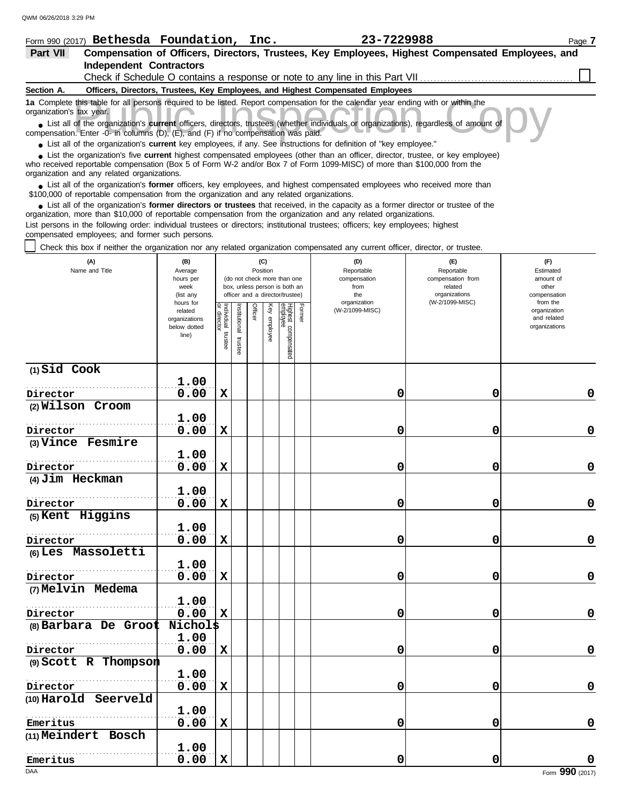| Form 990 (2017) Bethesda Foundation,                                                                                                                                                                                                                                                                       |                                                                                                                                   | Inc.                                                                                             | 23-7229988           |                              | Page 7             |  |  |  |  |  |  |  |
|------------------------------------------------------------------------------------------------------------------------------------------------------------------------------------------------------------------------------------------------------------------------------------------------------------|-----------------------------------------------------------------------------------------------------------------------------------|--------------------------------------------------------------------------------------------------|----------------------|------------------------------|--------------------|--|--|--|--|--|--|--|
| Part VII                                                                                                                                                                                                                                                                                                   |                                                                                                                                   | Compensation of Officers, Directors, Trustees, Key Employees, Highest Compensated Employees, and |                      |                              |                    |  |  |  |  |  |  |  |
| <b>Independent Contractors</b>                                                                                                                                                                                                                                                                             |                                                                                                                                   |                                                                                                  |                      |                              |                    |  |  |  |  |  |  |  |
|                                                                                                                                                                                                                                                                                                            |                                                                                                                                   | Check if Schedule O contains a response or note to any line in this Part VII                     |                      |                              |                    |  |  |  |  |  |  |  |
| Section A.                                                                                                                                                                                                                                                                                                 |                                                                                                                                   | Officers, Directors, Trustees, Key Employees, and Highest Compensated Employees                  |                      |                              |                    |  |  |  |  |  |  |  |
| organization's tax year.                                                                                                                                                                                                                                                                                   | 1a Complete this table for all persons required to be listed. Report compensation for the calendar year ending with or within the |                                                                                                  |                      |                              |                    |  |  |  |  |  |  |  |
| List all of the organization's <b>current</b> officers, directors, trustees (whether individuals or organizations), regardless of amount of<br>compensation. Enter -0- in columns (D), (E), and (F) if no compensation was paid.                                                                           |                                                                                                                                   |                                                                                                  |                      |                              |                    |  |  |  |  |  |  |  |
| • List all of the organization's current key employees, if any. See instructions for definition of "key employee."                                                                                                                                                                                         |                                                                                                                                   |                                                                                                  |                      |                              |                    |  |  |  |  |  |  |  |
| • List the organization's five current highest compensated employees (other than an officer, director, trustee, or key employee)<br>who received reportable compensation (Box 5 of Form W-2 and/or Box 7 of Form 1099-MISC) of more than \$100,000 from the<br>organization and any related organizations. |                                                                                                                                   |                                                                                                  |                      |                              |                    |  |  |  |  |  |  |  |
| • List all of the organization's former officers, key employees, and highest compensated employees who received more than<br>\$100,000 of reportable compensation from the organization and any related organizations.                                                                                     |                                                                                                                                   |                                                                                                  |                      |                              |                    |  |  |  |  |  |  |  |
| • List all of the organization's former directors or trustees that received, in the capacity as a former director or trustee of the<br>organization, more than \$10,000 of reportable compensation from the organization and any related organizations.                                                    |                                                                                                                                   |                                                                                                  |                      |                              |                    |  |  |  |  |  |  |  |
| List persons in the following order: individual trustees or directors; institutional trustees; officers; key employees; highest<br>compensated employees; and former such persons.                                                                                                                         |                                                                                                                                   |                                                                                                  |                      |                              |                    |  |  |  |  |  |  |  |
| Check this box if neither the organization nor any related organization compensated any current officer, director, or trustee.                                                                                                                                                                             |                                                                                                                                   |                                                                                                  |                      |                              |                    |  |  |  |  |  |  |  |
| (A)                                                                                                                                                                                                                                                                                                        | (B)                                                                                                                               | (C)                                                                                              | (D)                  | (E)                          | (F)                |  |  |  |  |  |  |  |
| Name and Title                                                                                                                                                                                                                                                                                             | Average                                                                                                                           | Position                                                                                         | Reportable           | Reportable                   | Estimated          |  |  |  |  |  |  |  |
|                                                                                                                                                                                                                                                                                                            | hours per<br>week                                                                                                                 | (do not check more than one<br>box, unless person is both an                                     | compensation<br>from | compensation from<br>related | amount of<br>other |  |  |  |  |  |  |  |
|                                                                                                                                                                                                                                                                                                            | (list any                                                                                                                         | officer and a director/trustee)                                                                  | the                  | organizations                | compensation       |  |  |  |  |  |  |  |
|                                                                                                                                                                                                                                                                                                            | hours for                                                                                                                         | $2 = 1 = 10$ $\overline{2}$ $\overline{2}$ $\overline{1}$ $\overline{2}$                         | organization         | (W-2/1099-MISC)              | from the           |  |  |  |  |  |  |  |

|                      | (list any<br>hours for                            |                                   |                         |         |              | officer and a director/trustee) |        | the<br>organization | organizations<br>(W-2/1099-MISC) | compensation<br>from the                     |
|----------------------|---------------------------------------------------|-----------------------------------|-------------------------|---------|--------------|---------------------------------|--------|---------------------|----------------------------------|----------------------------------------------|
|                      | related<br>organizations<br>below dotted<br>line) | Individual trustee<br>or director | nstitutional<br>trustee | Officer | Key employee | Highest compensated<br>employee | Former | (W-2/1099-MISC)     |                                  | organization<br>and related<br>organizations |
| $(1)$ Sid Cook       |                                                   |                                   |                         |         |              |                                 |        |                     |                                  |                                              |
| Director             | 1.00<br>0.00                                      | $\mathbf{x}$                      |                         |         |              |                                 |        | 0                   | 0                                | $\mathbf 0$                                  |
| (2) Wilson Croom     |                                                   |                                   |                         |         |              |                                 |        |                     |                                  |                                              |
|                      | 1.00                                              |                                   |                         |         |              |                                 |        |                     |                                  |                                              |
| Director             | 0.00                                              | $\mathbf{x}$                      |                         |         |              |                                 |        | 0                   | 0                                | $\mathbf 0$                                  |
| (3) Vince Fesmire    | 1.00                                              |                                   |                         |         |              |                                 |        |                     |                                  |                                              |
| Director             | 0.00                                              | $\mathbf{x}$                      |                         |         |              |                                 |        | 0                   | 0                                | $\mathbf 0$                                  |
| $(4)$ Jim Heckman    |                                                   |                                   |                         |         |              |                                 |        |                     |                                  |                                              |
|                      | 1.00                                              |                                   |                         |         |              |                                 |        |                     |                                  |                                              |
| Director             | 0.00                                              | $\mathbf{x}$                      |                         |         |              |                                 |        | 0                   | 0                                | $\mathbf 0$                                  |
| (5) Kent Higgins     |                                                   |                                   |                         |         |              |                                 |        |                     |                                  |                                              |
|                      | 1.00                                              |                                   |                         |         |              |                                 |        |                     |                                  |                                              |
| Director             | 0.00                                              | $\mathbf x$                       |                         |         |              |                                 |        | 0                   | 0                                | $\mathbf 0$                                  |
| (6) Les Massoletti   |                                                   |                                   |                         |         |              |                                 |        |                     |                                  |                                              |
|                      | 1.00                                              |                                   |                         |         |              |                                 |        |                     |                                  |                                              |
| Director             | 0.00                                              | $\mathbf{x}$                      |                         |         |              |                                 |        | 0                   | 0                                | $\mathbf 0$                                  |
| (7) Melvin Medema    |                                                   |                                   |                         |         |              |                                 |        |                     |                                  |                                              |
|                      | 1.00                                              |                                   |                         |         |              |                                 |        |                     |                                  |                                              |
| Director             | 0.00                                              | $\mathbf{x}$                      |                         |         |              |                                 |        | 0                   | 0                                | $\pmb{0}$                                    |
| (8) Barbara De Groot | Nichol\$                                          |                                   |                         |         |              |                                 |        |                     |                                  |                                              |
|                      | 1.00                                              |                                   |                         |         |              |                                 |        |                     |                                  |                                              |
| Director             | 0.00                                              | $\mathbf x$                       |                         |         |              |                                 |        | 0                   | 0                                | $\pmb{0}$                                    |
| (9) Scott R Thompson |                                                   |                                   |                         |         |              |                                 |        |                     |                                  |                                              |
| Director             | 1.00<br>0.00                                      | $\mathbf x$                       |                         |         |              |                                 |        | 0                   | 0                                | $\mathbf 0$                                  |
| (10) Harold Seerveld |                                                   |                                   |                         |         |              |                                 |        |                     |                                  |                                              |
|                      | 1.00                                              |                                   |                         |         |              |                                 |        |                     |                                  |                                              |
| Emeritus             | 0.00                                              | $\mathbf x$                       |                         |         |              |                                 |        | 0                   | 0                                | $\mathbf 0$                                  |
| (11) Meindert Bosch  |                                                   |                                   |                         |         |              |                                 |        |                     |                                  |                                              |
|                      | 1.00                                              |                                   |                         |         |              |                                 |        |                     |                                  |                                              |
| Emeritus             | 0.00                                              | $\mathbf x$                       |                         |         |              |                                 |        | 0                   | 0                                | 0                                            |
| DAA                  |                                                   |                                   |                         |         |              |                                 |        |                     |                                  | Form 990 (2017)                              |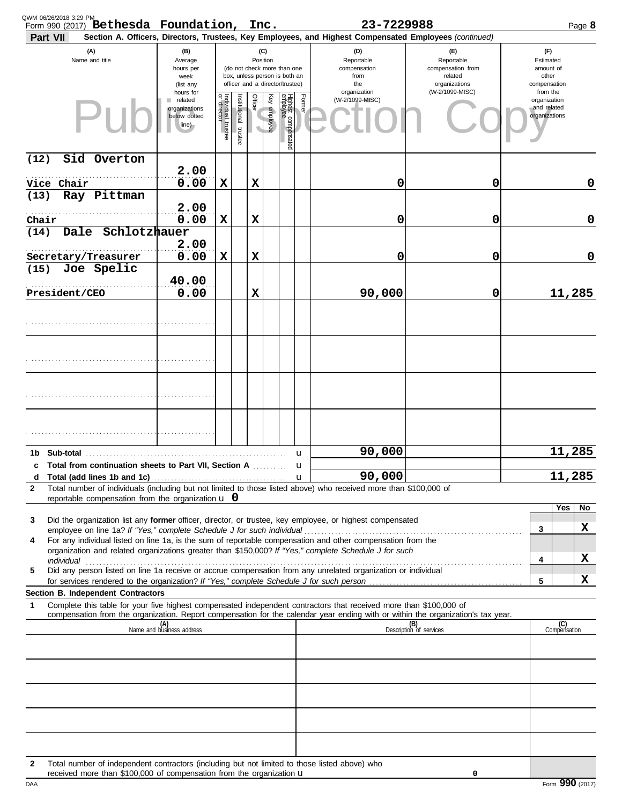| QWM 06/26/2018 3:29 PM<br><b>Part VII</b> | Form 990 (2017) Bethesda Foundation, Inc.                                                                                                                                       |                                                                     |                                      |                       |         |                 |                                                                                                 |                  | 23-7229988<br>Section A. Officers, Directors, Trustees, Key Employees, and Highest Compensated Employees (continued)                                                                                                                                   |                                                                    |                                        |                                                          | Page 8              |
|-------------------------------------------|---------------------------------------------------------------------------------------------------------------------------------------------------------------------------------|---------------------------------------------------------------------|--------------------------------------|-----------------------|---------|-----------------|-------------------------------------------------------------------------------------------------|------------------|--------------------------------------------------------------------------------------------------------------------------------------------------------------------------------------------------------------------------------------------------------|--------------------------------------------------------------------|----------------------------------------|----------------------------------------------------------|---------------------|
|                                           | (A)<br>(B)<br>Name and title<br>Average<br>hours per<br>week<br>(list any                                                                                                       |                                                                     |                                      |                       |         | (C)<br>Position | (do not check more than one<br>box, unless person is both an<br>officer and a director/trustee) |                  | (D)<br>Reportable<br>compensation<br>from<br>the                                                                                                                                                                                                       | (F)<br>Reportable<br>compensation from<br>related<br>organizations | Estimated<br>amount of<br>compensation |                                                          |                     |
|                                           | PII                                                                                                                                                                             | hours for<br>related<br>ш<br>organizations<br>below dotted<br>line) | Individual<br>or director<br>trustee | Institutional trustee | Officer | Key employee    | Highest compensated<br>employee                                                                 | Former           | organization<br>(W-2/1099-MISC)                                                                                                                                                                                                                        | (W-2/1099-MISC)                                                    |                                        | from the<br>organization<br>and related<br>organizations |                     |
| (12)                                      | Sid Overton                                                                                                                                                                     | 2.00                                                                |                                      |                       |         |                 |                                                                                                 |                  |                                                                                                                                                                                                                                                        |                                                                    |                                        |                                                          |                     |
| Vice Chair<br>(13)                        | Ray Pittman                                                                                                                                                                     | 0.00                                                                | X                                    |                       | X       |                 |                                                                                                 |                  | 0                                                                                                                                                                                                                                                      | 0                                                                  |                                        |                                                          | $\mathbf 0$         |
| Chair                                     |                                                                                                                                                                                 | 2.00<br>0.00                                                        | X                                    |                       | X       |                 |                                                                                                 |                  | 0                                                                                                                                                                                                                                                      | 0                                                                  |                                        |                                                          | $\mathbf 0$         |
| (14)                                      | Dale Schlotzhauer                                                                                                                                                               | 2.00                                                                |                                      |                       |         |                 |                                                                                                 |                  |                                                                                                                                                                                                                                                        |                                                                    |                                        |                                                          |                     |
| (15)                                      | Secretary/Treasurer<br>Joe Spelic                                                                                                                                               | 0.00                                                                | X                                    |                       | X       |                 |                                                                                                 |                  | 0                                                                                                                                                                                                                                                      | 0                                                                  |                                        |                                                          | 0                   |
| President/CEO                             |                                                                                                                                                                                 | 40.00<br>0.00                                                       |                                      |                       | X       |                 |                                                                                                 |                  | 90,000                                                                                                                                                                                                                                                 | 0                                                                  |                                        |                                                          | 11,285              |
|                                           |                                                                                                                                                                                 |                                                                     |                                      |                       |         |                 |                                                                                                 |                  |                                                                                                                                                                                                                                                        |                                                                    |                                        |                                                          |                     |
|                                           |                                                                                                                                                                                 |                                                                     |                                      |                       |         |                 |                                                                                                 |                  |                                                                                                                                                                                                                                                        |                                                                    |                                        |                                                          |                     |
|                                           |                                                                                                                                                                                 |                                                                     |                                      |                       |         |                 |                                                                                                 |                  |                                                                                                                                                                                                                                                        |                                                                    |                                        |                                                          |                     |
|                                           |                                                                                                                                                                                 |                                                                     |                                      |                       |         |                 |                                                                                                 |                  |                                                                                                                                                                                                                                                        |                                                                    |                                        |                                                          |                     |
|                                           |                                                                                                                                                                                 |                                                                     |                                      |                       |         |                 |                                                                                                 | u                | 90,000                                                                                                                                                                                                                                                 |                                                                    |                                        |                                                          | 11,285              |
| $\mathbf{2}$                              | c Total from continuation sheets to Part VII, Section A                                                                                                                         |                                                                     |                                      |                       |         |                 |                                                                                                 | u<br>$\mathbf u$ | 90,000<br>Total number of individuals (including but not limited to those listed above) who received more than \$100,000 of                                                                                                                            |                                                                    |                                        |                                                          | 11,285              |
|                                           | reportable compensation from the organization $\bf{u}$ 0                                                                                                                        |                                                                     |                                      |                       |         |                 |                                                                                                 |                  |                                                                                                                                                                                                                                                        |                                                                    |                                        |                                                          | Yes<br>No           |
| 3                                         | employee on line 1a? If "Yes," complete Schedule J for such individual                                                                                                          |                                                                     |                                      |                       |         |                 |                                                                                                 |                  | Did the organization list any former officer, director, or trustee, key employee, or highest compensated                                                                                                                                               |                                                                    |                                        | 3                                                        | X                   |
| 4                                         |                                                                                                                                                                                 |                                                                     |                                      |                       |         |                 |                                                                                                 |                  | For any individual listed on line 1a, is the sum of reportable compensation and other compensation from the<br>organization and related organizations greater than \$150,000? If "Yes," complete Schedule J for such                                   |                                                                    |                                        |                                                          |                     |
| 5                                         | <i>individual</i>                                                                                                                                                               |                                                                     |                                      |                       |         |                 |                                                                                                 |                  | Did any person listed on line 1a receive or accrue compensation from any unrelated organization or individual                                                                                                                                          |                                                                    |                                        | 4                                                        | X<br>x              |
|                                           | for services rendered to the organization? If "Yes," complete Schedule J for such person<br>Section B. Independent Contractors                                                  |                                                                     |                                      |                       |         |                 |                                                                                                 |                  |                                                                                                                                                                                                                                                        |                                                                    |                                        | 5                                                        |                     |
| 1                                         |                                                                                                                                                                                 |                                                                     |                                      |                       |         |                 |                                                                                                 |                  | Complete this table for your five highest compensated independent contractors that received more than \$100,000 of<br>compensation from the organization. Report compensation for the calendar year ending with or within the organization's tax year. |                                                                    |                                        |                                                          |                     |
|                                           |                                                                                                                                                                                 | (A)<br>Name and business address                                    |                                      |                       |         |                 |                                                                                                 |                  |                                                                                                                                                                                                                                                        | (B)<br>Description of services                                     |                                        |                                                          | (C)<br>Compensation |
|                                           |                                                                                                                                                                                 |                                                                     |                                      |                       |         |                 |                                                                                                 |                  |                                                                                                                                                                                                                                                        |                                                                    |                                        |                                                          |                     |
|                                           |                                                                                                                                                                                 |                                                                     |                                      |                       |         |                 |                                                                                                 |                  |                                                                                                                                                                                                                                                        |                                                                    |                                        |                                                          |                     |
|                                           |                                                                                                                                                                                 |                                                                     |                                      |                       |         |                 |                                                                                                 |                  |                                                                                                                                                                                                                                                        |                                                                    |                                        |                                                          |                     |
|                                           |                                                                                                                                                                                 |                                                                     |                                      |                       |         |                 |                                                                                                 |                  |                                                                                                                                                                                                                                                        |                                                                    |                                        |                                                          |                     |
| 2                                         | Total number of independent contractors (including but not limited to those listed above) who<br>received more than \$100,000 of compensation from the organization $\mathbf u$ |                                                                     |                                      |                       |         |                 |                                                                                                 |                  |                                                                                                                                                                                                                                                        | 0                                                                  |                                        |                                                          |                     |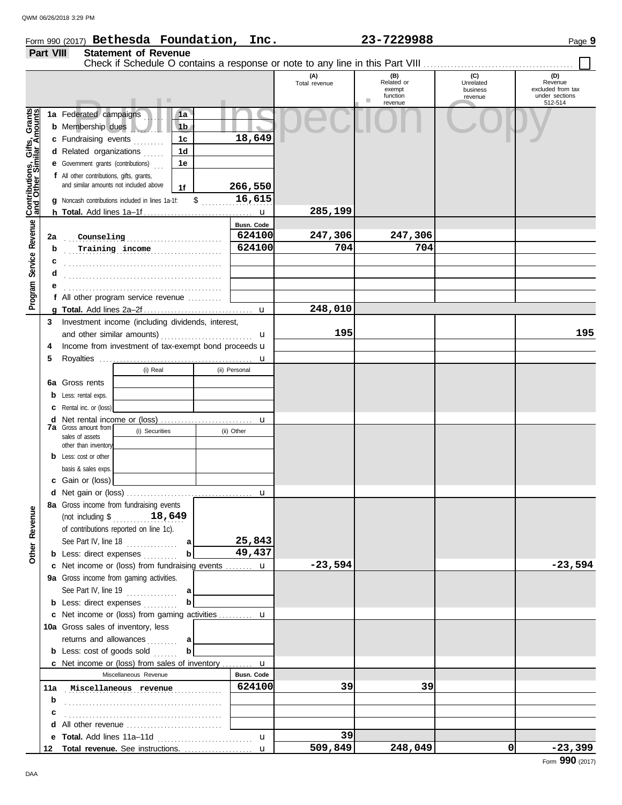# Form 990 (2017) Page **9 Bethesda Foundation, Inc. 23-7229988**

## **Part VIII Statement of Revenue**

|                                                     |     |                                                                                                                      |                   | (A)<br>Total revenue | (B)<br>Related or<br>exempt | (C)<br>Unrelated<br>business | (D)<br>Revenue<br>excluded from tax |
|-----------------------------------------------------|-----|----------------------------------------------------------------------------------------------------------------------|-------------------|----------------------|-----------------------------|------------------------------|-------------------------------------|
|                                                     |     | .                                                                                                                    |                   |                      | function<br>ш<br>revenue    | revenue                      | under sections<br>512-514           |
| Service Revenue <b>Contributions, Gifts, Grants</b> |     | 1a Federated campaigns<br>1a<br><b>b</b> Membership dues<br>1 <sub>b</sub><br>c Fundraising events<br>1 <sub>c</sub> | 18,649            |                      |                             |                              |                                     |
|                                                     |     | d Related organizations<br>1d                                                                                        |                   |                      |                             |                              |                                     |
|                                                     |     | $\sim 1.1$ .                                                                                                         |                   |                      |                             |                              |                                     |
|                                                     |     | <b>e</b> Government grants (contributions)<br>1e                                                                     |                   |                      |                             |                              |                                     |
|                                                     |     | f All other contributions, gifts, grants,<br>and similar amounts not included above<br>1f                            | 266,550           |                      |                             |                              |                                     |
|                                                     |     | $\frac{1}{2}$<br>g Noncash contributions included in lines 1a-1f:                                                    | 16,615            |                      |                             |                              |                                     |
|                                                     |     |                                                                                                                      |                   | 285,199              |                             |                              |                                     |
|                                                     |     |                                                                                                                      | Busn. Code        |                      |                             |                              |                                     |
|                                                     | 2a  | Counseling                                                                                                           | 624100            | 247,306              | 247,306                     |                              |                                     |
|                                                     | b   |                                                                                                                      | 624100            | 704                  | 704                         |                              |                                     |
|                                                     |     | Training income                                                                                                      |                   |                      |                             |                              |                                     |
|                                                     | c   |                                                                                                                      |                   |                      |                             |                              |                                     |
|                                                     | d   |                                                                                                                      |                   |                      |                             |                              |                                     |
|                                                     |     |                                                                                                                      |                   |                      |                             |                              |                                     |
| Program                                             |     | f All other program service revenue $\ldots$                                                                         |                   |                      |                             |                              |                                     |
|                                                     |     |                                                                                                                      |                   | 248,010              |                             |                              |                                     |
|                                                     | 3.  | Investment income (including dividends, interest,                                                                    |                   |                      |                             |                              |                                     |
|                                                     |     |                                                                                                                      |                   | 195                  |                             |                              | 195                                 |
|                                                     |     | and other similar amounts)                                                                                           | u                 |                      |                             |                              |                                     |
|                                                     | 4   | Income from investment of tax-exempt bond proceeds <b>u</b>                                                          |                   |                      |                             |                              |                                     |
|                                                     | 5   |                                                                                                                      |                   |                      |                             |                              |                                     |
|                                                     |     | (i) Real                                                                                                             | (ii) Personal     |                      |                             |                              |                                     |
|                                                     | 6а  | Gross rents                                                                                                          |                   |                      |                             |                              |                                     |
|                                                     | b   | Less: rental exps.                                                                                                   |                   |                      |                             |                              |                                     |
|                                                     | с   | Rental inc. or (loss)                                                                                                |                   |                      |                             |                              |                                     |
|                                                     | d   |                                                                                                                      | u                 |                      |                             |                              |                                     |
|                                                     |     | <b>7a</b> Gross amount from<br>(i) Securities                                                                        | (ii) Other        |                      |                             |                              |                                     |
|                                                     |     | sales of assets                                                                                                      |                   |                      |                             |                              |                                     |
|                                                     |     | other than inventory                                                                                                 |                   |                      |                             |                              |                                     |
|                                                     | b   | Less: cost or other                                                                                                  |                   |                      |                             |                              |                                     |
|                                                     |     | basis & sales exps.                                                                                                  |                   |                      |                             |                              |                                     |
|                                                     |     | c Gain or (loss)                                                                                                     |                   |                      |                             |                              |                                     |
|                                                     | d   |                                                                                                                      | u                 |                      |                             |                              |                                     |
|                                                     |     | 8a Gross income from fundraising events                                                                              |                   |                      |                             |                              |                                     |
| venue                                               |     | 18,649<br>(not including $$$                                                                                         |                   |                      |                             |                              |                                     |
|                                                     |     |                                                                                                                      |                   |                      |                             |                              |                                     |
| ድ                                                   |     | of contributions reported on line 1c).                                                                               |                   |                      |                             |                              |                                     |
|                                                     |     | See Part IV, line 18<br>a<br>.                                                                                       | 25,843            |                      |                             |                              |                                     |
| Other                                               |     | <b>b</b> Less: direct expenses                                                                                       | 49,437            |                      |                             |                              |                                     |
|                                                     |     | c Net income or (loss) from fundraising events  u                                                                    |                   | $-23,594$            |                             |                              | $-23,594$                           |
|                                                     |     | 9a Gross income from gaming activities.                                                                              |                   |                      |                             |                              |                                     |
|                                                     |     | See Part IV, line 19<br>a                                                                                            |                   |                      |                             |                              |                                     |
|                                                     |     | <b>b</b> Less: direct expenses                                                                                       |                   |                      |                             |                              |                                     |
|                                                     |     | c Net income or (loss) from gaming activities  u                                                                     |                   |                      |                             |                              |                                     |
|                                                     |     | 10a Gross sales of inventory, less                                                                                   |                   |                      |                             |                              |                                     |
|                                                     |     |                                                                                                                      |                   |                      |                             |                              |                                     |
|                                                     |     | returns and allowances<br>а<br>.                                                                                     |                   |                      |                             |                              |                                     |
|                                                     |     | <b>b</b> Less: cost of goods sold                                                                                    |                   |                      |                             |                              |                                     |
|                                                     |     | c Net income or (loss) from sales of inventory  u                                                                    |                   |                      |                             |                              |                                     |
|                                                     |     | Miscellaneous Revenue                                                                                                | <b>Busn. Code</b> |                      |                             |                              |                                     |
|                                                     | 11a | Miscellaneous revenue                                                                                                | 624100            | 39                   | 39                          |                              |                                     |
|                                                     | b   |                                                                                                                      |                   |                      |                             |                              |                                     |
|                                                     | с   |                                                                                                                      |                   |                      |                             |                              |                                     |
|                                                     |     | All other revenue                                                                                                    |                   |                      |                             |                              |                                     |
|                                                     | d   |                                                                                                                      |                   |                      |                             |                              |                                     |
|                                                     |     |                                                                                                                      | $\mathbf{u}$      | 39                   |                             |                              |                                     |
|                                                     | 12  | Total revenue. See instructions.                                                                                     | $\mathbf{u}$      | 509,849              | 248,049                     | 0                            | $-23,399$                           |
|                                                     |     |                                                                                                                      |                   |                      |                             |                              | Form 990 (2017)                     |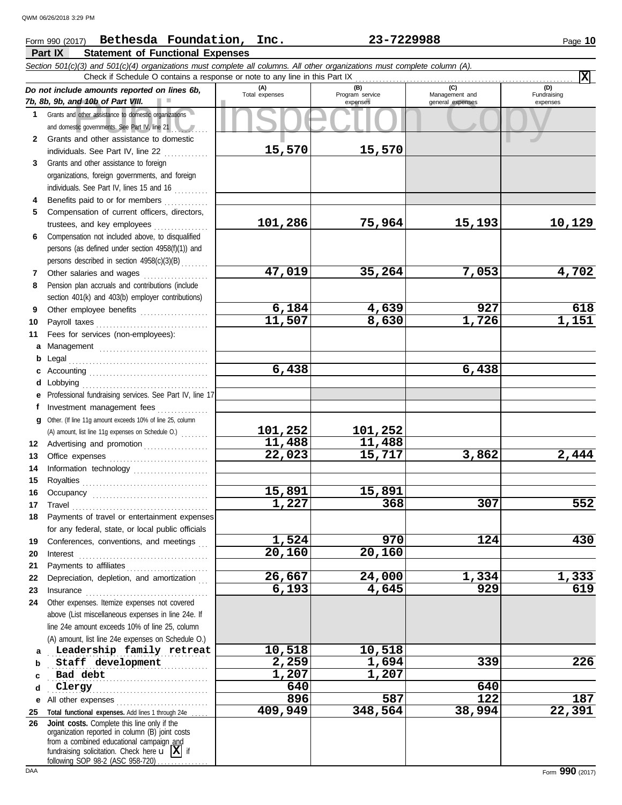### nd 10b of Part VIII.<br>
dother assistance to domestic organizations<br>
and other assistance to domestic<br>
and other assistance to domestic **Part IX Statement of Functional Expenses** Form 990 (2017) Page **10 Bethesda Foundation, Inc. 23-7229988** *Section 501(c)(3) and 501(c)(4) organizations must complete all columns. All other organizations must complete column (A). Do not include amounts reported on lines 6b, 7b, 8b, 9b, and 10b of Part VIII.* **1 2** Grants and other assistance to domestic **3** Grants and other assistance to domestic organizations and domestic governments. See Part IV, line 21  $\mathcal{L}$ individuals. See Part IV, line 22  $\ldots$ ......... Grants and other assistance to foreign organizations, foreign governments, and foreign **(A) (B) (C) (D)** Total expenses Program service Management and expenses general expenses (D)<br>Fundraising expenses Check if Schedule O contains a response or note to any line in this Part IX **15,570 15,570**

|    | individuals. See Part IV, line 22                                                                                                                                                                                                                       | 15,570  | 15,570  |        |                     |
|----|---------------------------------------------------------------------------------------------------------------------------------------------------------------------------------------------------------------------------------------------------------|---------|---------|--------|---------------------|
| 3  | Grants and other assistance to foreign                                                                                                                                                                                                                  |         |         |        |                     |
|    | organizations, foreign governments, and foreign                                                                                                                                                                                                         |         |         |        |                     |
|    | individuals. See Part IV, lines 15 and 16                                                                                                                                                                                                               |         |         |        |                     |
| 4  | Benefits paid to or for members                                                                                                                                                                                                                         |         |         |        |                     |
| 5  | Compensation of current officers, directors,                                                                                                                                                                                                            |         |         |        |                     |
|    | trustees, and key employees                                                                                                                                                                                                                             | 101,286 | 75,964  | 15,193 | 10,129              |
| 6  | Compensation not included above, to disqualified                                                                                                                                                                                                        |         |         |        |                     |
|    | persons (as defined under section 4958(f)(1)) and                                                                                                                                                                                                       |         |         |        |                     |
|    | persons described in section 4958(c)(3)(B)                                                                                                                                                                                                              |         |         |        |                     |
| 7  | Other salaries and wages                                                                                                                                                                                                                                | 47,019  | 35,264  | 7,053  | 4,702               |
| 8  | Pension plan accruals and contributions (include                                                                                                                                                                                                        |         |         |        |                     |
|    | section 401(k) and 403(b) employer contributions)                                                                                                                                                                                                       |         |         |        |                     |
| 9  | Other employee benefits                                                                                                                                                                                                                                 | 6,184   | 4,639   | 927    | 618                 |
| 10 | Payroll taxes                                                                                                                                                                                                                                           | 11,507  | 8,630   | 1,726  | 1,151               |
| 11 | Fees for services (non-employees):                                                                                                                                                                                                                      |         |         |        |                     |
|    | a Management                                                                                                                                                                                                                                            |         |         |        |                     |
|    |                                                                                                                                                                                                                                                         |         |         |        |                     |
|    | c Accounting $\ldots$                                                                                                                                                                                                                                   | 6,438   |         | 6,438  |                     |
|    | <b>d</b> Lobbying                                                                                                                                                                                                                                       |         |         |        |                     |
|    | e Professional fundraising services. See Part IV, line 17                                                                                                                                                                                               |         |         |        |                     |
|    | f Investment management fees                                                                                                                                                                                                                            |         |         |        |                     |
|    | g Other. (If line 11g amount exceeds 10% of line 25, column                                                                                                                                                                                             |         |         |        |                     |
|    | (A) amount, list line 11g expenses on Schedule O.)                                                                                                                                                                                                      | 101,252 | 101,252 |        |                     |
|    | 12 Advertising and promotion [1] [1] Advertising and promotion                                                                                                                                                                                          | 11,488  | 11,488  |        |                     |
| 13 |                                                                                                                                                                                                                                                         | 22,023  | 15,717  | 3,862  | 2,444               |
| 14 | Information technology                                                                                                                                                                                                                                  |         |         |        |                     |
| 15 |                                                                                                                                                                                                                                                         |         |         |        |                     |
| 16 |                                                                                                                                                                                                                                                         | 15,891  | 15,891  |        |                     |
| 17 | Travel                                                                                                                                                                                                                                                  | 1,227   | 368     | 307    | 552                 |
| 18 | Payments of travel or entertainment expenses                                                                                                                                                                                                            |         |         |        |                     |
|    | for any federal, state, or local public officials                                                                                                                                                                                                       |         |         |        |                     |
| 19 | Conferences, conventions, and meetings                                                                                                                                                                                                                  | 1,524   | 970     | 124    | 430                 |
| 20 | Interest                                                                                                                                                                                                                                                | 20,160  | 20,160  |        |                     |
| 21 | Payments to affiliates                                                                                                                                                                                                                                  |         |         |        |                     |
| 22 | Depreciation, depletion, and amortization                                                                                                                                                                                                               | 26,667  | 24,000  | 1,334  | $\frac{1,333}{619}$ |
|    |                                                                                                                                                                                                                                                         | 6,193   | 4,645   | 929    |                     |
| 24 | Other expenses. Itemize expenses not covered                                                                                                                                                                                                            |         |         |        |                     |
|    | above (List miscellaneous expenses in line 24e. If                                                                                                                                                                                                      |         |         |        |                     |
|    | line 24e amount exceeds 10% of line 25, column                                                                                                                                                                                                          |         |         |        |                     |
|    | (A) amount, list line 24e expenses on Schedule O.)                                                                                                                                                                                                      |         |         |        |                     |
| a  | Leadership family retreat                                                                                                                                                                                                                               | 10,518  | 10,518  |        |                     |
| b  | Staff development                                                                                                                                                                                                                                       | 2,259   | 1,694   | 339    | 226                 |
| c  | Bad debt                                                                                                                                                                                                                                                | 1,207   | 1,207   |        |                     |
| d  | Clergy                                                                                                                                                                                                                                                  | 640     |         | 640    |                     |
| е  | All other expenses                                                                                                                                                                                                                                      | 896     | 587     | 122    | 187                 |
| 25 | Total functional expenses. Add lines 1 through 24e                                                                                                                                                                                                      | 409,949 | 348,564 | 38,994 | 22,391              |
| 26 | Joint costs. Complete this line only if the<br>organization reported in column (B) joint costs<br>from a combined educational campaign and<br>fundraising solicitation. Check here $\mathbf{u}$   $\mathbf{X}$   if<br>following SOP 98-2 (ASC 958-720) |         |         |        |                     |

**X**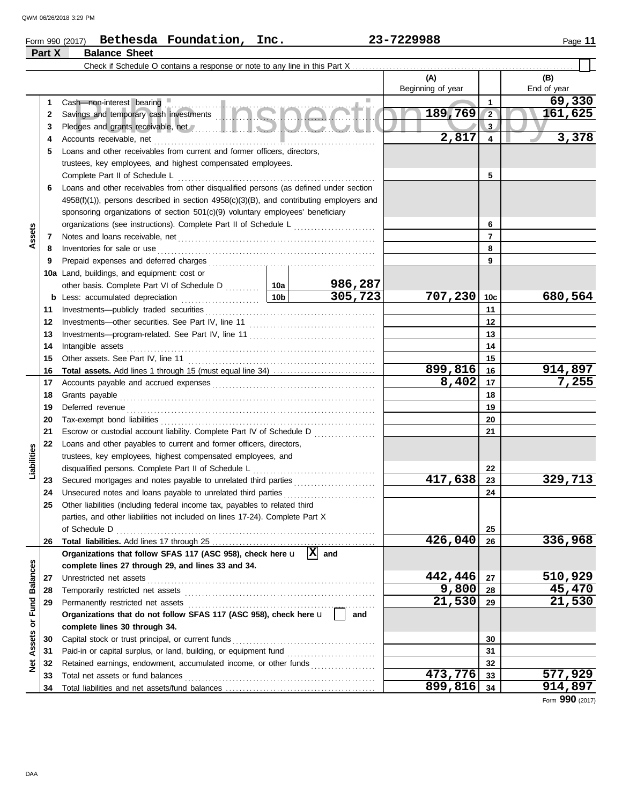## Form 990 (2017) Page **11 Bethesda Foundation, Inc. 23-7229988 Part X Balance Sheet**

|                     |    | Check if Schedule O contains a response or note to any line in this Part $X_1, \ldots, X_n$                                                                                                                                          |  |           |                          |                |                    |
|---------------------|----|--------------------------------------------------------------------------------------------------------------------------------------------------------------------------------------------------------------------------------------|--|-----------|--------------------------|----------------|--------------------|
|                     |    |                                                                                                                                                                                                                                      |  |           | (A)<br>Beginning of year |                | (B)<br>End of year |
|                     | 1  | Cash-non-interest bearing<br>.                                                                                                                                                                                                       |  |           |                          | 1              | 69,330             |
|                     | 2  | Savings and temporary cash investments                                                                                                                                                                                               |  |           | 189,769                  | $\overline{2}$ | 161,625            |
|                     | 3  | Pledges and grants receivable, net <b>All and School and School and School and School and School and School and School</b>                                                                                                           |  | 3         |                          |                |                    |
|                     | 4  | Accounts receivable, net                                                                                                                                                                                                             |  |           | 2,817                    | 4              | 3,378              |
|                     | 5  | Loans and other receivables from current and former officers, directors,                                                                                                                                                             |  |           |                          |                |                    |
|                     |    | trustees, key employees, and highest compensated employees.                                                                                                                                                                          |  |           |                          |                |                    |
|                     |    | Complete Part II of Schedule L                                                                                                                                                                                                       |  |           |                          | 5              |                    |
|                     | 6  | Loans and other receivables from other disqualified persons (as defined under section                                                                                                                                                |  |           |                          |                |                    |
|                     |    | 4958(f)(1)), persons described in section 4958(c)(3)(B), and contributing employers and                                                                                                                                              |  |           |                          |                |                    |
|                     |    | sponsoring organizations of section 501(c)(9) voluntary employees' beneficiary                                                                                                                                                       |  |           |                          |                |                    |
|                     |    |                                                                                                                                                                                                                                      |  |           |                          | 6              |                    |
| Assets              | 7  |                                                                                                                                                                                                                                      |  |           |                          | 7              |                    |
|                     | 8  | Inventories for sale or use                                                                                                                                                                                                          |  |           |                          | 8              |                    |
|                     | 9  |                                                                                                                                                                                                                                      |  |           |                          | 9              |                    |
|                     |    | 10a Land, buildings, and equipment: cost or                                                                                                                                                                                          |  |           |                          |                |                    |
|                     |    | other basis. Complete Part VI of Schedule D  10a                                                                                                                                                                                     |  | 986,287   |                          |                |                    |
|                     |    | $\boxed{10b}$<br><b>b</b> Less: accumulated depreciation                                                                                                                                                                             |  | 305,723   | 707,230                  | 10c            | 680,564            |
|                     | 11 |                                                                                                                                                                                                                                      |  |           |                          | 11             |                    |
|                     | 12 |                                                                                                                                                                                                                                      |  |           |                          | 12             |                    |
|                     | 13 |                                                                                                                                                                                                                                      |  |           |                          | 13             |                    |
|                     | 14 | Intangible assets                                                                                                                                                                                                                    |  |           | 14                       |                |                    |
|                     | 15 |                                                                                                                                                                                                                                      |  |           |                          | 15             |                    |
|                     | 16 |                                                                                                                                                                                                                                      |  |           | 899,816                  | 16             | 914,897            |
|                     | 17 |                                                                                                                                                                                                                                      |  |           | 8,402                    | 17             | 7,255              |
|                     | 18 |                                                                                                                                                                                                                                      |  | 18        |                          |                |                    |
|                     | 19 | Deferred revenue <b>contract and the contract of the contract of the contract of the contract of the contract of the contract of the contract of the contract of the contract of the contract of the contract of the contract of</b> |  |           |                          | 19             |                    |
|                     | 20 |                                                                                                                                                                                                                                      |  |           |                          | 20             |                    |
|                     | 21 | Escrow or custodial account liability. Complete Part IV of Schedule D                                                                                                                                                                |  |           |                          | 21             |                    |
|                     | 22 | Loans and other payables to current and former officers, directors,                                                                                                                                                                  |  |           |                          |                |                    |
| Liabilities         |    | trustees, key employees, highest compensated employees, and                                                                                                                                                                          |  |           |                          |                |                    |
|                     |    | disqualified persons. Complete Part II of Schedule L                                                                                                                                                                                 |  |           | 417,638                  | 22             |                    |
|                     | 23 |                                                                                                                                                                                                                                      |  |           |                          | 23             | 329,713            |
|                     | 24 | Unsecured notes and loans payable to unrelated third parties                                                                                                                                                                         |  |           |                          | 24             |                    |
|                     | 25 | Other liabilities (including federal income tax, payables to related third<br>parties, and other liabilities not included on lines 17-24). Complete Part X                                                                           |  |           |                          |                |                    |
|                     |    |                                                                                                                                                                                                                                      |  |           |                          | 25             |                    |
|                     | 26 |                                                                                                                                                                                                                                      |  |           | 426,040                  | 26             | 336,968            |
|                     |    | Organizations that follow SFAS 117 (ASC 958), check here u                                                                                                                                                                           |  | $ X $ and |                          |                |                    |
|                     |    | complete lines 27 through 29, and lines 33 and 34.                                                                                                                                                                                   |  |           |                          |                |                    |
|                     | 27 | Unrestricted net assets                                                                                                                                                                                                              |  |           | 442,446                  | 27             | 510,929            |
| <b>Balances</b>     | 28 | Temporarily restricted net assets                                                                                                                                                                                                    |  |           | 9,800                    | 28             | 45,470             |
|                     | 29 | Permanently restricted net assets                                                                                                                                                                                                    |  |           | 21,530                   | 29             | 21,530             |
| Fund                |    | Organizations that do not follow SFAS 117 (ASC 958), check here u                                                                                                                                                                    |  | and       |                          |                |                    |
| $\overline{\sigma}$ |    | complete lines 30 through 34.                                                                                                                                                                                                        |  |           |                          |                |                    |
| Assets              | 30 | Capital stock or trust principal, or current funds                                                                                                                                                                                   |  |           |                          | 30             |                    |
|                     | 31 |                                                                                                                                                                                                                                      |  |           |                          | 31             |                    |
| ğ                   | 32 | Retained earnings, endowment, accumulated income, or other funds                                                                                                                                                                     |  |           |                          | 32             |                    |
|                     | 33 | Total net assets or fund balances                                                                                                                                                                                                    |  |           | 473,776                  | 33             | 577,929            |
|                     | 34 |                                                                                                                                                                                                                                      |  |           | 899,816                  | 34             | 914,897            |

Form **990** (2017)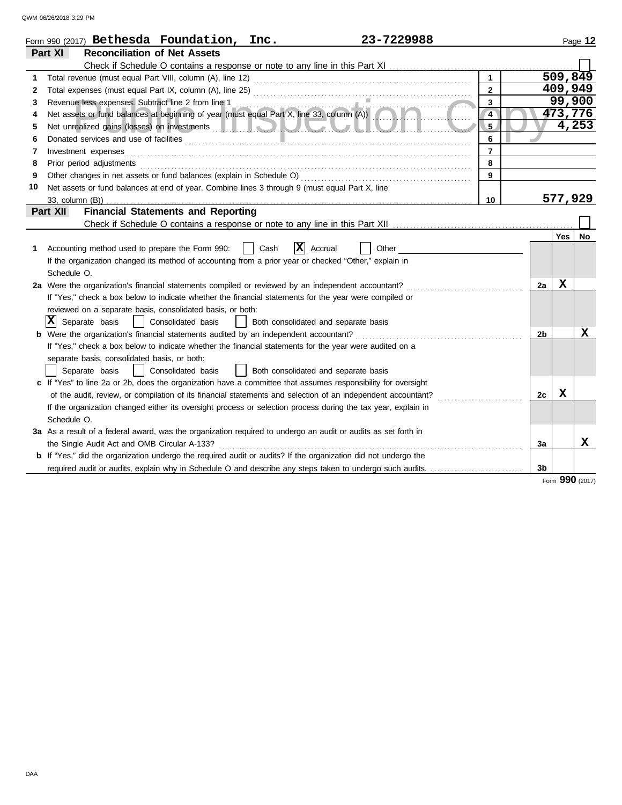|              | 23-7229988<br>Form 990 (2017) Bethesda Foundation, Inc.                                                                                                           |                |          | Page 12 |
|--------------|-------------------------------------------------------------------------------------------------------------------------------------------------------------------|----------------|----------|---------|
|              | Part XI<br><b>Reconciliation of Net Assets</b>                                                                                                                    |                |          |         |
|              |                                                                                                                                                                   |                |          |         |
| 1            | $\mathbf{1}$                                                                                                                                                      |                | 509, 849 |         |
| $\mathbf{2}$ | $\overline{2}$                                                                                                                                                    |                | 409,949  |         |
| 3            | 3                                                                                                                                                                 |                | 99,900   |         |
| 4            | Revenue less expenses. Subtract line 2 from line 1<br>Net assets or fund balances at beginning of year (must equal Part X, line 33, column (A))<br>$\overline{4}$ |                | 473,776  |         |
| 5            | 5 <sub>1</sub>                                                                                                                                                    |                |          | 4,253   |
| 6            | 6                                                                                                                                                                 |                |          |         |
| 7            | $\overline{7}$<br>Investment expenses                                                                                                                             |                |          |         |
| 8            | 8<br>Prior period adjustments                                                                                                                                     |                |          |         |
| 9            | Other changes in net assets or fund balances (explain in Schedule O)<br>9                                                                                         |                |          |         |
| 10           | Net assets or fund balances at end of year. Combine lines 3 through 9 (must equal Part X, line                                                                    |                |          |         |
|              | 10                                                                                                                                                                |                | 577,929  |         |
|              | <b>Financial Statements and Reporting</b><br>Part XII                                                                                                             |                |          |         |
|              |                                                                                                                                                                   |                |          |         |
|              |                                                                                                                                                                   |                | Yes      | No      |
| 1            | ΙX<br>Cash<br>Accounting method used to prepare the Form 990:<br>Accrual<br>Other                                                                                 |                |          |         |
|              | If the organization changed its method of accounting from a prior year or checked "Other," explain in                                                             |                |          |         |
|              | Schedule O.                                                                                                                                                       |                |          |         |
|              | 2a Were the organization's financial statements compiled or reviewed by an independent accountant?                                                                | 2a             | X        |         |
|              | If "Yes," check a box below to indicate whether the financial statements for the year were compiled or                                                            |                |          |         |
|              | reviewed on a separate basis, consolidated basis, or both:                                                                                                        |                |          |         |
|              | $ \mathbf{X} $ Separate basis<br>Consolidated basis<br>Both consolidated and separate basis                                                                       |                |          |         |
|              | b Were the organization's financial statements audited by an independent accountant?                                                                              | 2b             |          | X       |
|              | If "Yes," check a box below to indicate whether the financial statements for the year were audited on a                                                           |                |          |         |
|              | separate basis, consolidated basis, or both:                                                                                                                      |                |          |         |
|              | Consolidated basis<br>Both consolidated and separate basis<br>Separate basis                                                                                      |                |          |         |
|              | c If "Yes" to line 2a or 2b, does the organization have a committee that assumes responsibility for oversight                                                     |                |          |         |
|              | of the audit, review, or compilation of its financial statements and selection of an independent accountant?                                                      | 2c             | X        |         |
|              | If the organization changed either its oversight process or selection process during the tax year, explain in                                                     |                |          |         |
|              | Schedule O.                                                                                                                                                       |                |          |         |
|              | 3a As a result of a federal award, was the organization required to undergo an audit or audits as set forth in                                                    |                |          |         |
|              | the Single Audit Act and OMB Circular A-133?                                                                                                                      | 3a             |          | х       |
|              | <b>b</b> If "Yes," did the organization undergo the required audit or audits? If the organization did not undergo the                                             |                |          |         |
|              | required audit or audits, explain why in Schedule O and describe any steps taken to undergo such audits.                                                          | 3 <sub>b</sub> |          |         |

Form **990** (2017)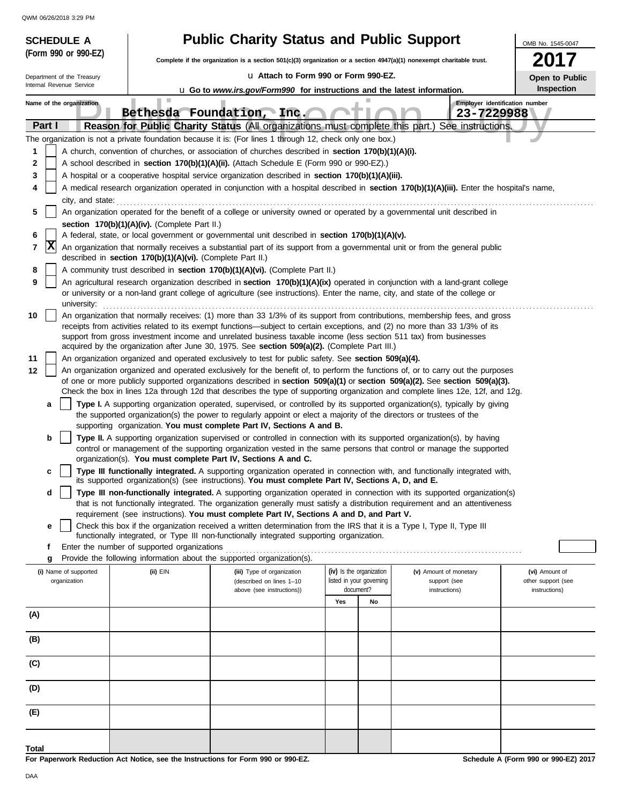| <b>SCHEDULE A</b>          |                                                                                                                                                                                                                                                 | <b>Public Charity Status and Public Support</b>                                                                                                                                                                                                                |                                                         |                               | OMB No. 1545-0047                    |  |  |  |  |  |  |
|----------------------------|-------------------------------------------------------------------------------------------------------------------------------------------------------------------------------------------------------------------------------------------------|----------------------------------------------------------------------------------------------------------------------------------------------------------------------------------------------------------------------------------------------------------------|---------------------------------------------------------|-------------------------------|--------------------------------------|--|--|--|--|--|--|
| (Form 990 or 990-EZ)       |                                                                                                                                                                                                                                                 | 2017<br>Complete if the organization is a section $501(c)(3)$ organization or a section $4947(a)(1)$ nonexempt charitable trust.                                                                                                                               |                                                         |                               |                                      |  |  |  |  |  |  |
| Department of the Treasury |                                                                                                                                                                                                                                                 |                                                                                                                                                                                                                                                                | La Attach to Form 990 or Form 990-EZ.<br>Open to Public |                               |                                      |  |  |  |  |  |  |
| Internal Revenue Service   |                                                                                                                                                                                                                                                 | Inspection<br><b>u</b> Go to <i>www.irs.gov/Form990</i> for instructions and the latest information.                                                                                                                                                           |                                                         |                               |                                      |  |  |  |  |  |  |
| Name of the organization   | ш                                                                                                                                                                                                                                               | Bethesda Foundation, Inc.                                                                                                                                                                                                                                      |                                                         | 23-7229988                    | Employer identification number       |  |  |  |  |  |  |
| Part I                     |                                                                                                                                                                                                                                                 | Reason for Public Charity Status (All organizations must complete this part.) See instructions.                                                                                                                                                                |                                                         |                               |                                      |  |  |  |  |  |  |
|                            |                                                                                                                                                                                                                                                 | The organization is not a private foundation because it is: (For lines 1 through 12, check only one box.)                                                                                                                                                      |                                                         |                               |                                      |  |  |  |  |  |  |
| 1<br>2                     |                                                                                                                                                                                                                                                 | A church, convention of churches, or association of churches described in section 170(b)(1)(A)(i).<br>A school described in section 170(b)(1)(A)(ii). (Attach Schedule E (Form 990 or 990-EZ).)                                                                |                                                         |                               |                                      |  |  |  |  |  |  |
| 3                          |                                                                                                                                                                                                                                                 |                                                                                                                                                                                                                                                                |                                                         |                               |                                      |  |  |  |  |  |  |
| 4                          | A hospital or a cooperative hospital service organization described in section 170(b)(1)(A)(iii).<br>A medical research organization operated in conjunction with a hospital described in section 170(b)(1)(A)(iii). Enter the hospital's name, |                                                                                                                                                                                                                                                                |                                                         |                               |                                      |  |  |  |  |  |  |
| city, and state:           |                                                                                                                                                                                                                                                 |                                                                                                                                                                                                                                                                |                                                         |                               |                                      |  |  |  |  |  |  |
| 5                          |                                                                                                                                                                                                                                                 | An organization operated for the benefit of a college or university owned or operated by a governmental unit described in                                                                                                                                      |                                                         |                               |                                      |  |  |  |  |  |  |
|                            | section 170(b)(1)(A)(iv). (Complete Part II.)                                                                                                                                                                                                   |                                                                                                                                                                                                                                                                |                                                         |                               |                                      |  |  |  |  |  |  |
| 6<br> X<br>7               |                                                                                                                                                                                                                                                 | A federal, state, or local government or governmental unit described in section 170(b)(1)(A)(v).<br>An organization that normally receives a substantial part of its support from a governmental unit or from the general public                               |                                                         |                               |                                      |  |  |  |  |  |  |
| 8                          | described in section 170(b)(1)(A)(vi). (Complete Part II.)                                                                                                                                                                                      | A community trust described in section 170(b)(1)(A)(vi). (Complete Part II.)                                                                                                                                                                                   |                                                         |                               |                                      |  |  |  |  |  |  |
| 9                          |                                                                                                                                                                                                                                                 | An agricultural research organization described in section 170(b)(1)(A)(ix) operated in conjunction with a land-grant college                                                                                                                                  |                                                         |                               |                                      |  |  |  |  |  |  |
| university:                |                                                                                                                                                                                                                                                 | or university or a non-land grant college of agriculture (see instructions). Enter the name, city, and state of the college or                                                                                                                                 |                                                         |                               |                                      |  |  |  |  |  |  |
| 10                         |                                                                                                                                                                                                                                                 | An organization that normally receives: (1) more than 33 1/3% of its support from contributions, membership fees, and gross                                                                                                                                    |                                                         |                               |                                      |  |  |  |  |  |  |
|                            |                                                                                                                                                                                                                                                 | receipts from activities related to its exempt functions—subject to certain exceptions, and (2) no more than 33 1/3% of its                                                                                                                                    |                                                         |                               |                                      |  |  |  |  |  |  |
|                            |                                                                                                                                                                                                                                                 | support from gross investment income and unrelated business taxable income (less section 511 tax) from businesses<br>acquired by the organization after June 30, 1975. See section 509(a)(2). (Complete Part III.)                                             |                                                         |                               |                                      |  |  |  |  |  |  |
| 11                         |                                                                                                                                                                                                                                                 | An organization organized and operated exclusively to test for public safety. See section 509(a)(4).                                                                                                                                                           |                                                         |                               |                                      |  |  |  |  |  |  |
| 12                         |                                                                                                                                                                                                                                                 | An organization organized and operated exclusively for the benefit of, to perform the functions of, or to carry out the purposes                                                                                                                               |                                                         |                               |                                      |  |  |  |  |  |  |
|                            |                                                                                                                                                                                                                                                 | of one or more publicly supported organizations described in section 509(a)(1) or section 509(a)(2). See section 509(a)(3).<br>Check the box in lines 12a through 12d that describes the type of supporting organization and complete lines 12e, 12f, and 12g. |                                                         |                               |                                      |  |  |  |  |  |  |
| a                          |                                                                                                                                                                                                                                                 | Type I. A supporting organization operated, supervised, or controlled by its supported organization(s), typically by giving                                                                                                                                    |                                                         |                               |                                      |  |  |  |  |  |  |
|                            |                                                                                                                                                                                                                                                 | the supported organization(s) the power to regularly appoint or elect a majority of the directors or trustees of the                                                                                                                                           |                                                         |                               |                                      |  |  |  |  |  |  |
|                            |                                                                                                                                                                                                                                                 | supporting organization. You must complete Part IV, Sections A and B.                                                                                                                                                                                          |                                                         |                               |                                      |  |  |  |  |  |  |
| b                          |                                                                                                                                                                                                                                                 | Type II. A supporting organization supervised or controlled in connection with its supported organization(s), by having<br>control or management of the supporting organization vested in the same persons that control or manage the supported                |                                                         |                               |                                      |  |  |  |  |  |  |
| c                          |                                                                                                                                                                                                                                                 | organization(s). You must complete Part IV, Sections A and C.<br>Type III functionally integrated. A supporting organization operated in connection with, and functionally integrated with,                                                                    |                                                         |                               |                                      |  |  |  |  |  |  |
|                            |                                                                                                                                                                                                                                                 | its supported organization(s) (see instructions). You must complete Part IV, Sections A, D, and E.                                                                                                                                                             |                                                         |                               |                                      |  |  |  |  |  |  |
| d                          |                                                                                                                                                                                                                                                 | Type III non-functionally integrated. A supporting organization operated in connection with its supported organization(s)<br>that is not functionally integrated. The organization generally must satisfy a distribution requirement and an attentiveness      |                                                         |                               |                                      |  |  |  |  |  |  |
|                            |                                                                                                                                                                                                                                                 | requirement (see instructions). You must complete Part IV, Sections A and D, and Part V.                                                                                                                                                                       |                                                         |                               |                                      |  |  |  |  |  |  |
| е                          |                                                                                                                                                                                                                                                 | Check this box if the organization received a written determination from the IRS that it is a Type I, Type II, Type III                                                                                                                                        |                                                         |                               |                                      |  |  |  |  |  |  |
| f                          | Enter the number of supported organizations                                                                                                                                                                                                     | functionally integrated, or Type III non-functionally integrated supporting organization.                                                                                                                                                                      |                                                         |                               |                                      |  |  |  |  |  |  |
| g                          |                                                                                                                                                                                                                                                 | Provide the following information about the supported organization(s).                                                                                                                                                                                         |                                                         |                               |                                      |  |  |  |  |  |  |
| (i) Name of supported      | $(ii)$ $EIN$                                                                                                                                                                                                                                    | (iii) Type of organization                                                                                                                                                                                                                                     | (iv) Is the organization                                | (v) Amount of monetary        | (vi) Amount of                       |  |  |  |  |  |  |
| organization               |                                                                                                                                                                                                                                                 | (described on lines 1-10<br>above (see instructions))                                                                                                                                                                                                          | listed in your governing<br>document?                   | support (see<br>instructions) | other support (see<br>instructions)  |  |  |  |  |  |  |
|                            |                                                                                                                                                                                                                                                 |                                                                                                                                                                                                                                                                | Yes<br>No                                               |                               |                                      |  |  |  |  |  |  |
| (A)                        |                                                                                                                                                                                                                                                 |                                                                                                                                                                                                                                                                |                                                         |                               |                                      |  |  |  |  |  |  |
|                            |                                                                                                                                                                                                                                                 |                                                                                                                                                                                                                                                                |                                                         |                               |                                      |  |  |  |  |  |  |
| (B)                        |                                                                                                                                                                                                                                                 |                                                                                                                                                                                                                                                                |                                                         |                               |                                      |  |  |  |  |  |  |
| (C)                        |                                                                                                                                                                                                                                                 |                                                                                                                                                                                                                                                                |                                                         |                               |                                      |  |  |  |  |  |  |
| (D)                        |                                                                                                                                                                                                                                                 |                                                                                                                                                                                                                                                                |                                                         |                               |                                      |  |  |  |  |  |  |
| (E)                        |                                                                                                                                                                                                                                                 |                                                                                                                                                                                                                                                                |                                                         |                               |                                      |  |  |  |  |  |  |
|                            |                                                                                                                                                                                                                                                 |                                                                                                                                                                                                                                                                |                                                         |                               |                                      |  |  |  |  |  |  |
|                            |                                                                                                                                                                                                                                                 |                                                                                                                                                                                                                                                                |                                                         |                               |                                      |  |  |  |  |  |  |
| Total                      | For Penerwork Poduction, Act Notice, can the Instructions for Form 000 or 000 FZ                                                                                                                                                                |                                                                                                                                                                                                                                                                |                                                         |                               | Schodule A (Form 000 or 000 EZ) 2017 |  |  |  |  |  |  |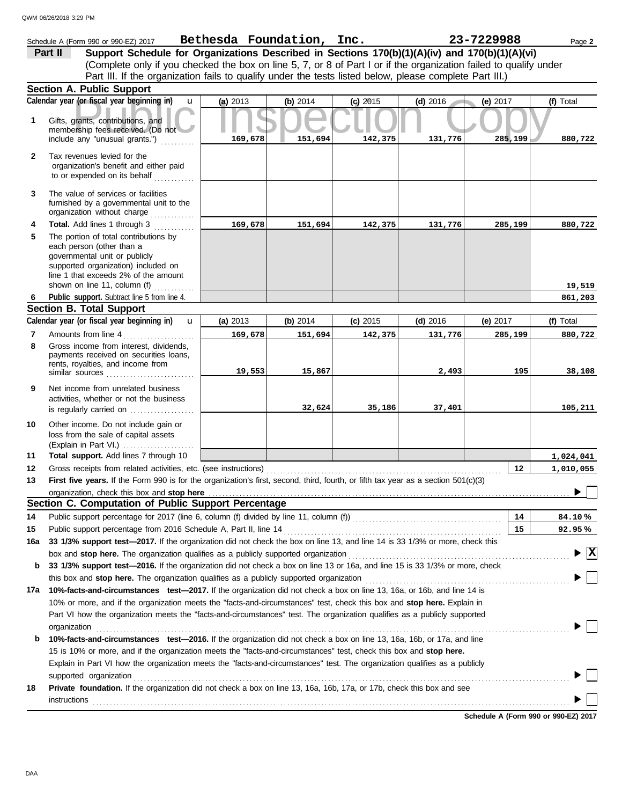|              | Schedule A (Form 990 or 990-EZ) 2017                                                                                                                                                                                        | Bethesda Foundation, Inc. |          |            |            | 23-7229988 | Page 2                          |
|--------------|-----------------------------------------------------------------------------------------------------------------------------------------------------------------------------------------------------------------------------|---------------------------|----------|------------|------------|------------|---------------------------------|
|              | Support Schedule for Organizations Described in Sections 170(b)(1)(A)(iv) and 170(b)(1)(A)(vi)<br>Part II                                                                                                                   |                           |          |            |            |            |                                 |
|              | (Complete only if you checked the box on line 5, 7, or 8 of Part I or if the organization failed to qualify under                                                                                                           |                           |          |            |            |            |                                 |
|              | Part III. If the organization fails to qualify under the tests listed below, please complete Part III.)                                                                                                                     |                           |          |            |            |            |                                 |
|              | Section A. Public Support                                                                                                                                                                                                   |                           |          |            |            |            |                                 |
|              | Calendar year (or fiscal year beginning in)<br>$\mathbf{u}$                                                                                                                                                                 | (a) 2013                  | (b) 2014 | $(c)$ 2015 | $(d)$ 2016 | (e) 2017   | (f) Total                       |
| 1            | Gifts, grants, contributions, and<br>membership fees received. (Do not                                                                                                                                                      |                           |          |            |            |            |                                 |
|              | include any "unusual grants.")                                                                                                                                                                                              | 169,678                   | 151,694  | 142,375    | 131,776    | 285,199    | 880,722                         |
| $\mathbf{2}$ | Tax revenues levied for the<br>organization's benefit and either paid<br>to or expended on its behalf                                                                                                                       |                           |          |            |            |            |                                 |
| 3            | The value of services or facilities<br>furnished by a governmental unit to the<br>organization without charge<br>in and dealers and                                                                                         |                           |          |            |            |            |                                 |
| 4            | Total. Add lines 1 through 3                                                                                                                                                                                                | 169,678                   | 151,694  | 142,375    | 131,776    | 285,199    | 880,722                         |
| 5            | The portion of total contributions by<br>each person (other than a<br>governmental unit or publicly<br>supported organization) included on<br>line 1 that exceeds 2% of the amount<br>shown on line 11, column (f) $\ldots$ |                           |          |            |            |            | 19,519                          |
| 6            | Public support. Subtract line 5 from line 4.                                                                                                                                                                                |                           |          |            |            |            | 861,203                         |
|              | <b>Section B. Total Support</b>                                                                                                                                                                                             |                           |          |            |            |            |                                 |
|              | Calendar year (or fiscal year beginning in)<br>$\mathbf{u}$                                                                                                                                                                 | (a) 2013                  | (b) 2014 | $(c)$ 2015 | $(d)$ 2016 | (e) $2017$ | (f) Total                       |
| 7            | Amounts from line 4                                                                                                                                                                                                         | 169,678                   | 151,694  | 142,375    | 131,776    | 285,199    | 880,722                         |
| 8            | Gross income from interest, dividends,<br>payments received on securities loans,<br>rents, royalties, and income from<br>similar sources                                                                                    | 19,553                    | 15,867   |            | 2,493      | 195        | 38,108                          |
| 9            | Net income from unrelated business<br>activities, whether or not the business<br>is regularly carried on                                                                                                                    |                           | 32,624   | 35,186     | 37,401     |            | 105,211                         |
| 10           | Other income. Do not include gain or<br>loss from the sale of capital assets<br>(Explain in Part VI.)                                                                                                                       |                           |          |            |            |            |                                 |
| 11           | Total support. Add lines 7 through 10                                                                                                                                                                                       |                           |          |            |            |            | 1,024,041                       |
| 12           |                                                                                                                                                                                                                             |                           |          |            |            | 12         | 1,010,055                       |
| 13           | First five years. If the Form 990 is for the organization's first, second, third, fourth, or fifth tax year as a section 501(c)(3)                                                                                          |                           |          |            |            |            |                                 |
|              | organization, check this box and stop here                                                                                                                                                                                  |                           |          |            |            |            |                                 |
|              | Section C. Computation of Public Support Percentage                                                                                                                                                                         |                           |          |            |            |            |                                 |
| 14           |                                                                                                                                                                                                                             |                           |          |            |            | 14<br>15   | 84.10%                          |
| 15<br>16a    | Public support percentage from 2016 Schedule A, Part II, line 14<br>33 1/3% support test-2017. If the organization did not check the box on line 13, and line 14 is 33 1/3% or more, check this                             |                           |          |            |            |            | 92.95%                          |
|              | box and stop here. The organization qualifies as a publicly supported organization                                                                                                                                          |                           |          |            |            |            | $\blacktriangleright$ $\vert$ X |
| b            | 33 1/3% support test-2016. If the organization did not check a box on line 13 or 16a, and line 15 is 33 1/3% or more, check                                                                                                 |                           |          |            |            |            |                                 |
|              | this box and stop here. The organization qualifies as a publicly supported organization                                                                                                                                     |                           |          |            |            |            |                                 |
| 17a          | 10%-facts-and-circumstances test-2017. If the organization did not check a box on line 13, 16a, or 16b, and line 14 is                                                                                                      |                           |          |            |            |            |                                 |
|              | 10% or more, and if the organization meets the "facts-and-circumstances" test, check this box and stop here. Explain in                                                                                                     |                           |          |            |            |            |                                 |
|              | Part VI how the organization meets the "facts-and-circumstances" test. The organization qualifies as a publicly supported                                                                                                   |                           |          |            |            |            |                                 |
|              | organization                                                                                                                                                                                                                |                           |          |            |            |            |                                 |
| b            | 10%-facts-and-circumstances test-2016. If the organization did not check a box on line 13, 16a, 16b, or 17a, and line                                                                                                       |                           |          |            |            |            |                                 |
|              | 15 is 10% or more, and if the organization meets the "facts-and-circumstances" test, check this box and stop here.                                                                                                          |                           |          |            |            |            |                                 |
|              | Explain in Part VI how the organization meets the "facts-and-circumstances" test. The organization qualifies as a publicly                                                                                                  |                           |          |            |            |            |                                 |
|              | supported organization                                                                                                                                                                                                      |                           |          |            |            |            |                                 |
| 18           | Private foundation. If the organization did not check a box on line 13, 16a, 16b, 17a, or 17b, check this box and see                                                                                                       |                           |          |            |            |            |                                 |
|              | <b>instructions</b>                                                                                                                                                                                                         |                           |          |            |            |            |                                 |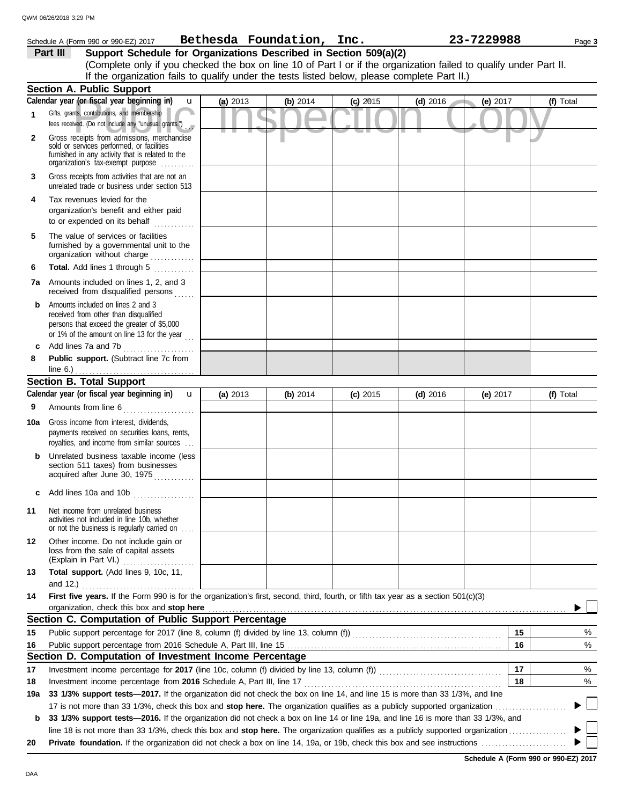|              | Schedule A (Form 990 or 990-EZ) 2017 Bethesda Foundation, Inc.                                                                                                                    |          |          |            |            | 23-7229988 | Page 3    |
|--------------|-----------------------------------------------------------------------------------------------------------------------------------------------------------------------------------|----------|----------|------------|------------|------------|-----------|
|              | Support Schedule for Organizations Described in Section 509(a)(2)<br>Part III                                                                                                     |          |          |            |            |            |           |
|              | (Complete only if you checked the box on line 10 of Part I or if the organization failed to qualify under Part II.                                                                |          |          |            |            |            |           |
|              | If the organization fails to qualify under the tests listed below, please complete Part II.)                                                                                      |          |          |            |            |            |           |
|              | <b>Section A. Public Support</b>                                                                                                                                                  |          |          |            |            |            |           |
|              | Calendar year (or fiscal year beginning in)<br>$\mathbf{u}$                                                                                                                       | (a) 2013 | (b) 2014 | $(c)$ 2015 | $(d)$ 2016 | (e) 2017   | (f) Total |
| 1            | Gifts, grants, contributions, and membership<br>fees received. (Do not include any "unusual grants.")                                                                             |          |          |            |            |            |           |
| $\mathbf{2}$ | Gross receipts from admissions, merchandise<br>sold or services performed, or facilities<br>furnished in any activity that is related to the<br>organization's fax-exempt purpose |          |          |            |            |            |           |
| 3            | Gross receipts from activities that are not an<br>unrelated trade or business under section 513                                                                                   |          |          |            |            |            |           |
| 4            | Tax revenues levied for the<br>organization's benefit and either paid<br>to or expended on its behalf                                                                             |          |          |            |            |            |           |
| 5            | The value of services or facilities<br>furnished by a governmental unit to the<br>organization without charge                                                                     |          |          |            |            |            |           |
| 6            | Total. Add lines 1 through 5                                                                                                                                                      |          |          |            |            |            |           |
|              | <b>7a</b> Amounts included on lines 1, 2, and 3<br>received from disqualified persons                                                                                             |          |          |            |            |            |           |
| b            | Amounts included on lines 2 and 3<br>received from other than disqualified<br>persons that exceed the greater of \$5,000<br>or 1% of the amount on line 13 for the year $\ldots$  |          |          |            |            |            |           |
| c            | Add lines 7a and 7b                                                                                                                                                               |          |          |            |            |            |           |
| 8            | Public support. (Subtract line 7c from<br>line $6.$ )                                                                                                                             |          |          |            |            |            |           |
|              | <b>Section B. Total Support</b>                                                                                                                                                   |          |          |            |            |            |           |
|              | Calendar year (or fiscal year beginning in)<br>$\mathbf{u}$                                                                                                                       | (a) 2013 | (b) 2014 | $(c)$ 2015 | $(d)$ 2016 | (e) $2017$ | (f) Total |
| 9            | Amounts from line 6                                                                                                                                                               |          |          |            |            |            |           |
| 10a          | Gross income from interest, dividends,<br>payments received on securities loans, rents,<br>royalties, and income from similar sources                                             |          |          |            |            |            |           |
|              | Unrelated business taxable income (less<br>section 511 taxes) from businesses<br>acquired after June 30, 1975                                                                     |          |          |            |            |            |           |
|              | Add lines 10a and 10b                                                                                                                                                             |          |          |            |            |            |           |
| 11           | Net income from unrelated business<br>activities not included in line 10b, whether<br>or not the business is regularly carried on                                                 |          |          |            |            |            |           |
| 12           | Other income. Do not include gain or<br>loss from the sale of capital assets<br>(Explain in Part VI.)                                                                             |          |          |            |            |            |           |
| 13           | Total support. (Add lines 9, 10c, 11,<br>and $12.$ )                                                                                                                              |          |          |            |            |            |           |
| 14           | First five years. If the Form 990 is for the organization's first, second, third, fourth, or fifth tax year as a section 501(c)(3)<br>organization, check this box and stop here  |          |          |            |            |            |           |
|              | Section C. Computation of Public Support Percentage                                                                                                                               |          |          |            |            |            |           |
| 15           | Public support percentage for 2017 (line 8, column (f) divided by line 13, column (f)) [[[[[[[[[[[[[[[[[[[[[[                                                                     |          |          |            |            | 15         | %         |
| 16           |                                                                                                                                                                                   |          |          |            |            | 16         | %         |
|              | Section D. Computation of Investment Income Percentage                                                                                                                            |          |          |            |            |            |           |
| 17           |                                                                                                                                                                                   |          |          |            |            | 17         | %         |
| 18           | Investment income percentage from 2016 Schedule A, Part III, line 17 [ <i>[[11] Contention communication</i> content income percentage from 2016 Schedule A, Part III, line 17    |          |          |            |            | 18         | %         |
| 19a          | 33 1/3% support tests-2017. If the organization did not check the box on line 14, and line 15 is more than 33 1/3%, and line                                                      |          |          |            |            |            |           |
|              |                                                                                                                                                                                   |          |          |            |            |            |           |
| b            | 33 1/3% support tests-2016. If the organization did not check a box on line 14 or line 19a, and line 16 is more than 33 1/3%, and                                                 |          |          |            |            |            |           |
|              |                                                                                                                                                                                   |          |          |            |            |            |           |
| 20           |                                                                                                                                                                                   |          |          |            |            |            |           |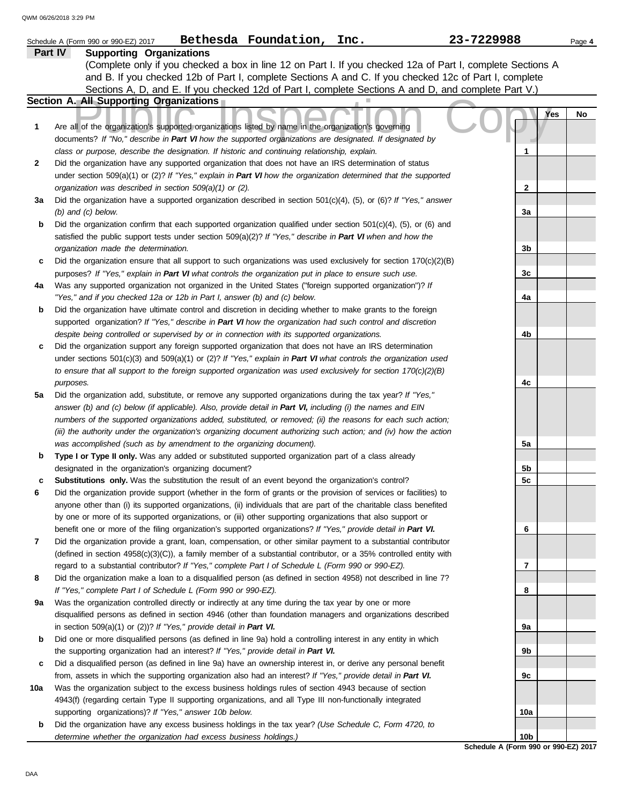|     | Bethesda Foundation, Inc.<br>Schedule A (Form 990 or 990-EZ) 2017                                                                                                            | 23-7229988                           | Page 4 |
|-----|------------------------------------------------------------------------------------------------------------------------------------------------------------------------------|--------------------------------------|--------|
|     | Part IV<br><b>Supporting Organizations</b>                                                                                                                                   |                                      |        |
|     | (Complete only if you checked a box in line 12 on Part I. If you checked 12a of Part I, complete Sections A                                                                  |                                      |        |
|     | and B. If you checked 12b of Part I, complete Sections A and C. If you checked 12c of Part I, complete                                                                       |                                      |        |
|     | Sections A, D, and E. If you checked 12d of Part I, complete Sections A and D, and complete Part V.)                                                                         |                                      |        |
|     | Section A. All Supporting Organizations                                                                                                                                      |                                      |        |
|     |                                                                                                                                                                              | Yes                                  | No     |
| 1   | Are all of the organization's supported organizations listed by name in the organization's governing                                                                         |                                      |        |
|     | documents? If "No," describe in Part VI how the supported organizations are designated. If designated by                                                                     |                                      |        |
|     | class or purpose, describe the designation. If historic and continuing relationship, explain.                                                                                | 1                                    |        |
| 2   | Did the organization have any supported organization that does not have an IRS determination of status                                                                       |                                      |        |
|     | under section 509(a)(1) or (2)? If "Yes," explain in Part VI how the organization determined that the supported<br>organization was described in section $509(a)(1)$ or (2). | $\mathbf{2}$                         |        |
| За  | Did the organization have a supported organization described in section $501(c)(4)$ , (5), or (6)? If "Yes," answer                                                          |                                      |        |
|     | $(b)$ and $(c)$ below.                                                                                                                                                       | 3a                                   |        |
| b   | Did the organization confirm that each supported organization qualified under section 501(c)(4), (5), or (6) and                                                             |                                      |        |
|     | satisfied the public support tests under section 509(a)(2)? If "Yes," describe in Part VI when and how the                                                                   |                                      |        |
|     | organization made the determination.                                                                                                                                         | 3b                                   |        |
| c   | Did the organization ensure that all support to such organizations was used exclusively for section $170(c)(2)(B)$                                                           |                                      |        |
|     | purposes? If "Yes," explain in Part VI what controls the organization put in place to ensure such use.                                                                       | 3c                                   |        |
| 4a  | Was any supported organization not organized in the United States ("foreign supported organization")? If                                                                     |                                      |        |
|     | "Yes," and if you checked 12a or 12b in Part I, answer (b) and (c) below.                                                                                                    | 4a                                   |        |
| b   | Did the organization have ultimate control and discretion in deciding whether to make grants to the foreign                                                                  |                                      |        |
|     | supported organization? If "Yes," describe in Part VI how the organization had such control and discretion                                                                   |                                      |        |
|     | despite being controlled or supervised by or in connection with its supported organizations.                                                                                 | 4b                                   |        |
| c   | Did the organization support any foreign supported organization that does not have an IRS determination                                                                      |                                      |        |
|     | under sections $501(c)(3)$ and $509(a)(1)$ or (2)? If "Yes," explain in Part VI what controls the organization used                                                          |                                      |        |
|     | to ensure that all support to the foreign supported organization was used exclusively for section $170(c)(2)(B)$                                                             |                                      |        |
|     | purposes.                                                                                                                                                                    | 4c                                   |        |
| 5a  | Did the organization add, substitute, or remove any supported organizations during the tax year? If "Yes,"                                                                   |                                      |        |
|     | answer (b) and (c) below (if applicable). Also, provide detail in Part VI, including (i) the names and EIN                                                                   |                                      |        |
|     | numbers of the supported organizations added, substituted, or removed; (ii) the reasons for each such action;                                                                |                                      |        |
|     | (iii) the authority under the organization's organizing document authorizing such action; and (iv) how the action                                                            |                                      |        |
| b   | was accomplished (such as by amendment to the organizing document).<br>Type I or Type II only. Was any added or substituted supported organization part of a class already   | 5a                                   |        |
|     | designated in the organization's organizing document?                                                                                                                        | 5b                                   |        |
|     | Substitutions only. Was the substitution the result of an event beyond the organization's control?                                                                           | 5c                                   |        |
| 6   | Did the organization provide support (whether in the form of grants or the provision of services or facilities) to                                                           |                                      |        |
|     | anyone other than (i) its supported organizations, (ii) individuals that are part of the charitable class benefited                                                          |                                      |        |
|     | by one or more of its supported organizations, or (iii) other supporting organizations that also support or                                                                  |                                      |        |
|     | benefit one or more of the filing organization's supported organizations? If "Yes," provide detail in Part VI.                                                               | 6                                    |        |
| 7   | Did the organization provide a grant, loan, compensation, or other similar payment to a substantial contributor                                                              |                                      |        |
|     | (defined in section $4958(c)(3)(C)$ ), a family member of a substantial contributor, or a 35% controlled entity with                                                         |                                      |        |
|     | regard to a substantial contributor? If "Yes," complete Part I of Schedule L (Form 990 or 990-EZ).                                                                           | 7                                    |        |
| 8   | Did the organization make a loan to a disqualified person (as defined in section 4958) not described in line 7?                                                              |                                      |        |
|     | If "Yes," complete Part I of Schedule L (Form 990 or 990-EZ).                                                                                                                | 8                                    |        |
| 9а  | Was the organization controlled directly or indirectly at any time during the tax year by one or more                                                                        |                                      |        |
|     | disqualified persons as defined in section 4946 (other than foundation managers and organizations described                                                                  |                                      |        |
|     | in section $509(a)(1)$ or $(2)$ ? If "Yes," provide detail in Part VI.                                                                                                       | 9а                                   |        |
| b   | Did one or more disqualified persons (as defined in line 9a) hold a controlling interest in any entity in which                                                              |                                      |        |
|     | the supporting organization had an interest? If "Yes," provide detail in Part VI.                                                                                            | 9b                                   |        |
| c   | Did a disqualified person (as defined in line 9a) have an ownership interest in, or derive any personal benefit                                                              |                                      |        |
|     | from, assets in which the supporting organization also had an interest? If "Yes," provide detail in Part VI.                                                                 | 9с                                   |        |
| 10a | Was the organization subject to the excess business holdings rules of section 4943 because of section                                                                        |                                      |        |
|     | 4943(f) (regarding certain Type II supporting organizations, and all Type III non-functionally integrated                                                                    |                                      |        |
|     | supporting organizations)? If "Yes," answer 10b below.<br>Did the organization have any excess business holdings in the tax year? (Use Schedule C, Form 4720, to             | 10a                                  |        |
| b   | determine whether the organization had excess business holdings.)                                                                                                            | 10b                                  |        |
|     |                                                                                                                                                                              | Schedule A (Form 990 or 990-F7) 2017 |        |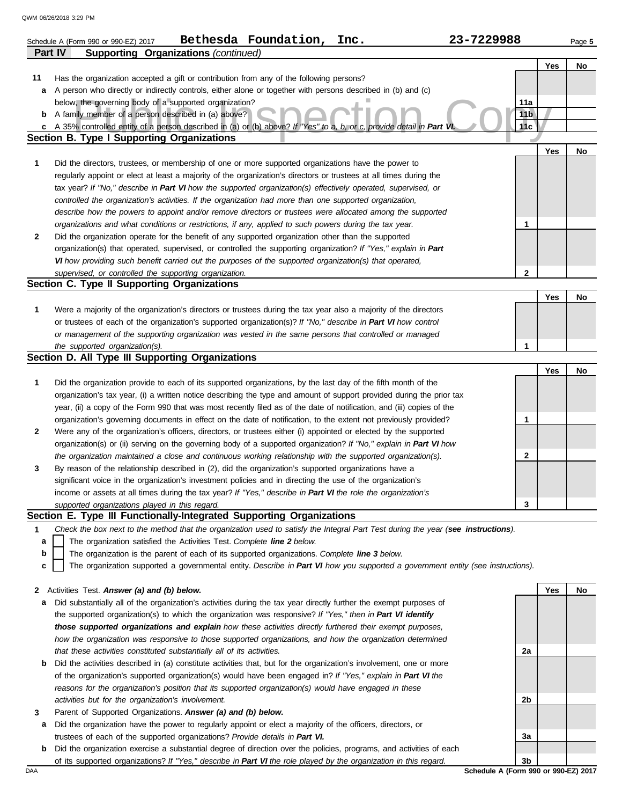|    | Bethesda Foundation,<br>23-7229988<br>Inc.<br>Schedule A (Form 990 or 990-EZ) 2017                                                                                                                                  |                 |     | Page 5 |
|----|---------------------------------------------------------------------------------------------------------------------------------------------------------------------------------------------------------------------|-----------------|-----|--------|
|    | <b>Part IV</b><br><b>Supporting Organizations (continued)</b>                                                                                                                                                       |                 |     |        |
|    |                                                                                                                                                                                                                     |                 | Yes | No     |
| 11 | Has the organization accepted a gift or contribution from any of the following persons?                                                                                                                             |                 |     |        |
| а  | A person who directly or indirectly controls, either alone or together with persons described in (b) and (c)<br>below, the governing body of a supported organization?                                              | 11a             |     |        |
| b  | A family member of a person described in (a) above?                                                                                                                                                                 | 11 <sub>b</sub> |     |        |
| c  | A 35% controlled entity of a person described in (a) or (b) above? If "Yes" to a, b, or c, provide detail in Part VI                                                                                                | 11c             |     |        |
|    | <b>Section B. Type I Supporting Organizations</b>                                                                                                                                                                   |                 |     |        |
|    |                                                                                                                                                                                                                     |                 | Yes | No     |
| 1  | Did the directors, trustees, or membership of one or more supported organizations have the power to                                                                                                                 |                 |     |        |
|    | regularly appoint or elect at least a majority of the organization's directors or trustees at all times during the                                                                                                  |                 |     |        |
|    | tax year? If "No," describe in Part VI how the supported organization(s) effectively operated, supervised, or                                                                                                       |                 |     |        |
|    | controlled the organization's activities. If the organization had more than one supported organization,                                                                                                             |                 |     |        |
|    | describe how the powers to appoint and/or remove directors or trustees were allocated among the supported                                                                                                           |                 |     |        |
|    | organizations and what conditions or restrictions, if any, applied to such powers during the tax year.                                                                                                              | 1               |     |        |
| 2  | Did the organization operate for the benefit of any supported organization other than the supported                                                                                                                 |                 |     |        |
|    | organization(s) that operated, supervised, or controlled the supporting organization? If "Yes," explain in Part                                                                                                     |                 |     |        |
|    | VI how providing such benefit carried out the purposes of the supported organization(s) that operated,                                                                                                              |                 |     |        |
|    | supervised, or controlled the supporting organization.                                                                                                                                                              | $\mathbf{2}$    |     |        |
|    | Section C. Type II Supporting Organizations                                                                                                                                                                         |                 |     |        |
|    |                                                                                                                                                                                                                     |                 | Yes | No     |
| 1  | Were a majority of the organization's directors or trustees during the tax year also a majority of the directors                                                                                                    |                 |     |        |
|    | or trustees of each of the organization's supported organization(s)? If "No," describe in Part VI how control                                                                                                       |                 |     |        |
|    | or management of the supporting organization was vested in the same persons that controlled or managed                                                                                                              |                 |     |        |
|    | the supported organization(s).                                                                                                                                                                                      | 1               |     |        |
|    | Section D. All Type III Supporting Organizations                                                                                                                                                                    |                 |     |        |
|    |                                                                                                                                                                                                                     |                 | Yes | No     |
| 1  | Did the organization provide to each of its supported organizations, by the last day of the fifth month of the                                                                                                      |                 |     |        |
|    | organization's tax year, (i) a written notice describing the type and amount of support provided during the prior tax                                                                                               |                 |     |        |
|    | year, (ii) a copy of the Form 990 that was most recently filed as of the date of notification, and (iii) copies of the                                                                                              |                 |     |        |
|    | organization's governing documents in effect on the date of notification, to the extent not previously provided?                                                                                                    | 1               |     |        |
| 2  | Were any of the organization's officers, directors, or trustees either (i) appointed or elected by the supported                                                                                                    |                 |     |        |
|    | organization(s) or (ii) serving on the governing body of a supported organization? If "No," explain in Part VI how                                                                                                  |                 |     |        |
|    | the organization maintained a close and continuous working relationship with the supported organization(s).                                                                                                         | 2               |     |        |
| 3  | By reason of the relationship described in (2), did the organization's supported organizations have a<br>significant voice in the organization's investment policies and in directing the use of the organization's |                 |     |        |
|    | income or assets at all times during the tax year? If "Yes," describe in Part VI the role the organization's                                                                                                        |                 |     |        |
|    | supported organizations played in this regard.                                                                                                                                                                      | 3               |     |        |
|    | Section E. Type III Functionally-Integrated Supporting Organizations                                                                                                                                                |                 |     |        |
| 1  | Check the box next to the method that the organization used to satisfy the Integral Part Test during the year (see instructions).                                                                                   |                 |     |        |
| а  | The organization satisfied the Activities Test. Complete line 2 below.                                                                                                                                              |                 |     |        |
| b  | The organization is the parent of each of its supported organizations. Complete line 3 below.                                                                                                                       |                 |     |        |
| C  | The organization supported a governmental entity. Describe in Part VI how you supported a government entity (see instructions).                                                                                     |                 |     |        |
|    |                                                                                                                                                                                                                     |                 |     |        |
| 2  | Activities Test. Answer (a) and (b) below.                                                                                                                                                                          |                 | Yes | No     |
| а  | Did substantially all of the organization's activities during the tax year directly further the exempt purposes of                                                                                                  |                 |     |        |
|    | the supported organization(s) to which the organization was responsive? If "Yes," then in Part VI identify                                                                                                          |                 |     |        |
|    | those supported organizations and explain how these activities directly furthered their exempt purposes,                                                                                                            |                 |     |        |
|    | how the organization was responsive to those supported organizations, and how the organization determined                                                                                                           |                 |     |        |
|    | that these activities constituted substantially all of its activities.                                                                                                                                              | 2a              |     |        |
| b  | Did the activities described in (a) constitute activities that, but for the organization's involvement, one or more                                                                                                 |                 |     |        |
|    | of the organization's supported organization(s) would have been engaged in? If "Yes," explain in Part VI the                                                                                                        |                 |     |        |
|    | reasons for the organization's position that its supported organization(s) would have engaged in these                                                                                                              |                 |     |        |
|    | activities but for the organization's involvement.                                                                                                                                                                  | 2b              |     |        |
| 3  | Parent of Supported Organizations. Answer (a) and (b) below.                                                                                                                                                        |                 |     |        |

- **a** Did the organization have the power to regularly appoint or elect a majority of the officers, directors, or trustees of each of the supported organizations? *Provide details in Part VI.*
- **b** Did the organization exercise a substantial degree of direction over the policies, programs, and activities of each of its supported organizations? *If "Yes," describe in Part VI the role played by the organization in this regard.*

DAA **Schedule A (Form 990 or 990-EZ) 2017 3b**

**3a**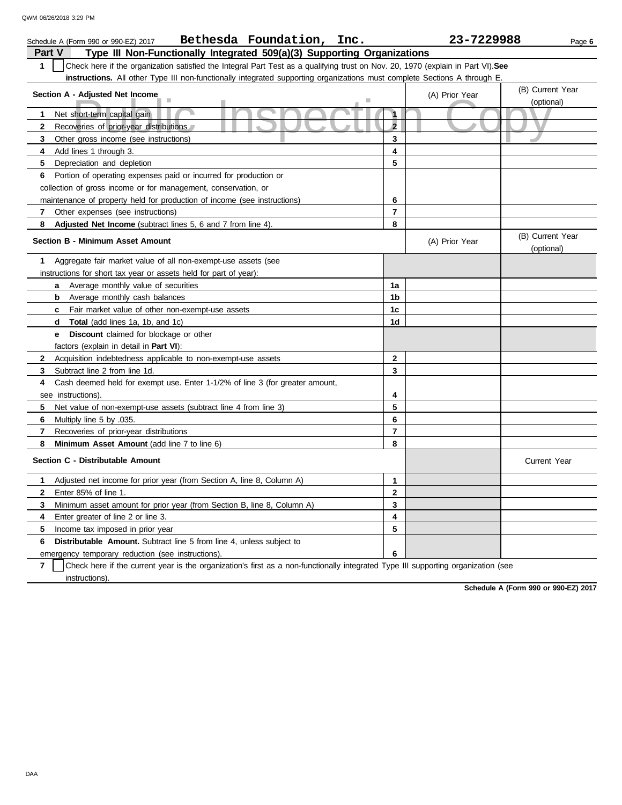| Bethesda Foundation, Inc.<br>Schedule A (Form 990 or 990-EZ) 2017                                                                                |                         | 23-7229988     | Page 6                         |
|--------------------------------------------------------------------------------------------------------------------------------------------------|-------------------------|----------------|--------------------------------|
| Type III Non-Functionally Integrated 509(a)(3) Supporting Organizations<br>Part V                                                                |                         |                |                                |
| $\mathbf{1}$<br>Check here if the organization satisfied the Integral Part Test as a qualifying trust on Nov. 20, 1970 (explain in Part VI). See |                         |                |                                |
| instructions. All other Type III non-functionally integrated supporting organizations must complete Sections A through E.                        |                         |                |                                |
| Section A - Adjusted Net Income                                                                                                                  |                         | (A) Prior Year | (B) Current Year               |
|                                                                                                                                                  |                         |                | (optional)                     |
| Net short-term capital gain<br>1                                                                                                                 | $\ddot{\mathbf{1}}$     |                |                                |
| $\mathbf{2}$<br>Recoveries of prior-year distributions                                                                                           | $\overline{\mathbf{2}}$ |                |                                |
| 3<br>Other gross income (see instructions)                                                                                                       | 3                       |                |                                |
| Add lines 1 through 3.<br>4                                                                                                                      | 4                       |                |                                |
| 5<br>Depreciation and depletion                                                                                                                  | 5                       |                |                                |
| Portion of operating expenses paid or incurred for production or<br>6                                                                            |                         |                |                                |
| collection of gross income or for management, conservation, or                                                                                   |                         |                |                                |
| maintenance of property held for production of income (see instructions)                                                                         | 6                       |                |                                |
| 7<br>Other expenses (see instructions)                                                                                                           | $\overline{7}$          |                |                                |
| 8<br><b>Adjusted Net Income</b> (subtract lines 5, 6 and 7 from line 4).                                                                         | 8                       |                |                                |
| Section B - Minimum Asset Amount                                                                                                                 |                         | (A) Prior Year | (B) Current Year<br>(optional) |
| Aggregate fair market value of all non-exempt-use assets (see<br>1                                                                               |                         |                |                                |
| instructions for short tax year or assets held for part of year):                                                                                |                         |                |                                |
| Average monthly value of securities<br>a                                                                                                         | 1a                      |                |                                |
| <b>b</b> Average monthly cash balances                                                                                                           | 1b                      |                |                                |
| Fair market value of other non-exempt-use assets<br>c                                                                                            | 1c                      |                |                                |
| <b>Total</b> (add lines 1a, 1b, and 1c)<br>d                                                                                                     | 1d                      |                |                                |
| <b>Discount</b> claimed for blockage or other<br>е                                                                                               |                         |                |                                |
| factors (explain in detail in Part VI):                                                                                                          |                         |                |                                |
| $\mathbf{2}$<br>Acquisition indebtedness applicable to non-exempt-use assets                                                                     | $\mathbf{2}$            |                |                                |
| 3<br>Subtract line 2 from line 1d.                                                                                                               | 3                       |                |                                |
| Cash deemed held for exempt use. Enter 1-1/2% of line 3 (for greater amount,<br>4                                                                |                         |                |                                |
| see instructions).                                                                                                                               | 4                       |                |                                |
| 5<br>Net value of non-exempt-use assets (subtract line 4 from line 3)                                                                            | 5                       |                |                                |
| 6<br>.035. Multiply line 5 by                                                                                                                    | 6                       |                |                                |
| $\overline{7}$<br>Recoveries of prior-year distributions                                                                                         | $\overline{7}$          |                |                                |
| 8<br>Minimum Asset Amount (add line 7 to line 6)                                                                                                 | 8                       |                |                                |
| Section C - Distributable Amount                                                                                                                 |                         |                | Current Year                   |
| 1<br>Adjusted net income for prior year (from Section A, line 8, Column A)                                                                       | 1                       |                |                                |
| $\mathbf{2}$<br>Enter 85% of line 1.                                                                                                             | $\mathbf{2}$            |                |                                |
| 3<br>Minimum asset amount for prior year (from Section B, line 8, Column A)                                                                      | 3                       |                |                                |
| 4<br>Enter greater of line 2 or line 3.                                                                                                          | 4                       |                |                                |
| 5<br>Income tax imposed in prior year                                                                                                            | 5                       |                |                                |
| <b>Distributable Amount.</b> Subtract line 5 from line 4, unless subject to<br>6                                                                 |                         |                |                                |
| emergency temporary reduction (see instructions).                                                                                                | 6                       |                |                                |

**7** instructions). Check here if the current year is the organization's first as a non-functionally integrated Type III supporting organization (see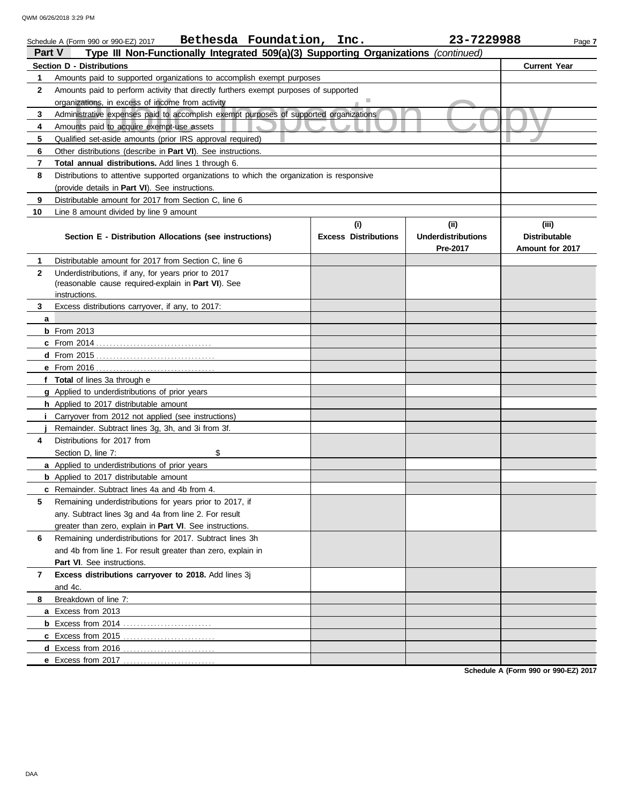| <b>Part V</b> | Bethesda Foundation, Inc.<br>Schedule A (Form 990 or 990-EZ) 2017<br>Type III Non-Functionally Integrated 509(a)(3) Supporting Organizations (continued) |                             | 23-7229988                | Page 7               |  |  |  |  |  |
|---------------|----------------------------------------------------------------------------------------------------------------------------------------------------------|-----------------------------|---------------------------|----------------------|--|--|--|--|--|
|               | <b>Section D - Distributions</b>                                                                                                                         |                             |                           | <b>Current Year</b>  |  |  |  |  |  |
| 1             | Amounts paid to supported organizations to accomplish exempt purposes                                                                                    |                             |                           |                      |  |  |  |  |  |
| 2             | Amounts paid to perform activity that directly furthers exempt purposes of supported                                                                     |                             |                           |                      |  |  |  |  |  |
|               | organizations, in excess of income from activity                                                                                                         |                             |                           |                      |  |  |  |  |  |
| 3             | Administrative expenses paid to accomplish exempt purposes of supported organizations                                                                    |                             |                           |                      |  |  |  |  |  |
| 4             | Amounts paid to acquire exempt-use assets                                                                                                                |                             |                           |                      |  |  |  |  |  |
| 5             | Qualified set-aside amounts (prior IRS approval required)                                                                                                |                             |                           |                      |  |  |  |  |  |
| 6             | Other distributions (describe in <b>Part VI</b> ). See instructions.                                                                                     |                             |                           |                      |  |  |  |  |  |
| 7             | Total annual distributions. Add lines 1 through 6.                                                                                                       |                             |                           |                      |  |  |  |  |  |
| 8             | Distributions to attentive supported organizations to which the organization is responsive                                                               |                             |                           |                      |  |  |  |  |  |
|               | (provide details in Part VI). See instructions.                                                                                                          |                             |                           |                      |  |  |  |  |  |
| 9             | Distributable amount for 2017 from Section C, line 6                                                                                                     |                             |                           |                      |  |  |  |  |  |
| 10            | Line 8 amount divided by line 9 amount                                                                                                                   |                             |                           |                      |  |  |  |  |  |
|               |                                                                                                                                                          | (i)                         | (iii)                     | (iii)                |  |  |  |  |  |
|               | Section E - Distribution Allocations (see instructions)                                                                                                  | <b>Excess Distributions</b> | <b>Underdistributions</b> | <b>Distributable</b> |  |  |  |  |  |
|               |                                                                                                                                                          |                             | Pre-2017                  | Amount for 2017      |  |  |  |  |  |
| 1             | Distributable amount for 2017 from Section C, line 6                                                                                                     |                             |                           |                      |  |  |  |  |  |
| $\mathbf{2}$  | Underdistributions, if any, for years prior to 2017                                                                                                      |                             |                           |                      |  |  |  |  |  |
|               | (reasonable cause required-explain in Part VI). See                                                                                                      |                             |                           |                      |  |  |  |  |  |
|               | instructions.                                                                                                                                            |                             |                           |                      |  |  |  |  |  |
| 3             | Excess distributions carryover, if any, to 2017:                                                                                                         |                             |                           |                      |  |  |  |  |  |
| a             |                                                                                                                                                          |                             |                           |                      |  |  |  |  |  |
|               | <b>b</b> From 2013                                                                                                                                       |                             |                           |                      |  |  |  |  |  |
|               |                                                                                                                                                          |                             |                           |                      |  |  |  |  |  |
|               |                                                                                                                                                          |                             |                           |                      |  |  |  |  |  |
|               | e From 2016                                                                                                                                              |                             |                           |                      |  |  |  |  |  |
|               | f Total of lines 3a through e                                                                                                                            |                             |                           |                      |  |  |  |  |  |
|               | g Applied to underdistributions of prior years                                                                                                           |                             |                           |                      |  |  |  |  |  |
|               | <b>h</b> Applied to 2017 distributable amount                                                                                                            |                             |                           |                      |  |  |  |  |  |
|               | Carryover from 2012 not applied (see instructions)                                                                                                       |                             |                           |                      |  |  |  |  |  |
|               | Remainder. Subtract lines 3g, 3h, and 3i from 3f.                                                                                                        |                             |                           |                      |  |  |  |  |  |
| 4             | Distributions for 2017 from                                                                                                                              |                             |                           |                      |  |  |  |  |  |
|               | Section D, line 7:<br>\$                                                                                                                                 |                             |                           |                      |  |  |  |  |  |
|               | a Applied to underdistributions of prior years                                                                                                           |                             |                           |                      |  |  |  |  |  |
|               | <b>b</b> Applied to 2017 distributable amount                                                                                                            |                             |                           |                      |  |  |  |  |  |
|               | c Remainder. Subtract lines 4a and 4b from 4.                                                                                                            |                             |                           |                      |  |  |  |  |  |
| 5             | Remaining underdistributions for years prior to 2017, if                                                                                                 |                             |                           |                      |  |  |  |  |  |
|               | any. Subtract lines 3g and 4a from line 2. For result                                                                                                    |                             |                           |                      |  |  |  |  |  |
|               | greater than zero, explain in Part VI. See instructions.                                                                                                 |                             |                           |                      |  |  |  |  |  |
| 6             | Remaining underdistributions for 2017. Subtract lines 3h                                                                                                 |                             |                           |                      |  |  |  |  |  |
|               | and 4b from line 1. For result greater than zero, explain in                                                                                             |                             |                           |                      |  |  |  |  |  |
|               | <b>Part VI.</b> See instructions.                                                                                                                        |                             |                           |                      |  |  |  |  |  |
| 7             | Excess distributions carryover to 2018. Add lines 3j                                                                                                     |                             |                           |                      |  |  |  |  |  |
|               | and 4c.                                                                                                                                                  |                             |                           |                      |  |  |  |  |  |
| 8             | Breakdown of line 7:                                                                                                                                     |                             |                           |                      |  |  |  |  |  |
|               | a Excess from 2013                                                                                                                                       |                             |                           |                      |  |  |  |  |  |
|               | <b>b</b> Excess from 2014                                                                                                                                |                             |                           |                      |  |  |  |  |  |
|               | c Excess from 2015                                                                                                                                       |                             |                           |                      |  |  |  |  |  |
|               | <b>d</b> Excess from 2016                                                                                                                                |                             |                           |                      |  |  |  |  |  |
|               | e Excess from 2017                                                                                                                                       |                             |                           |                      |  |  |  |  |  |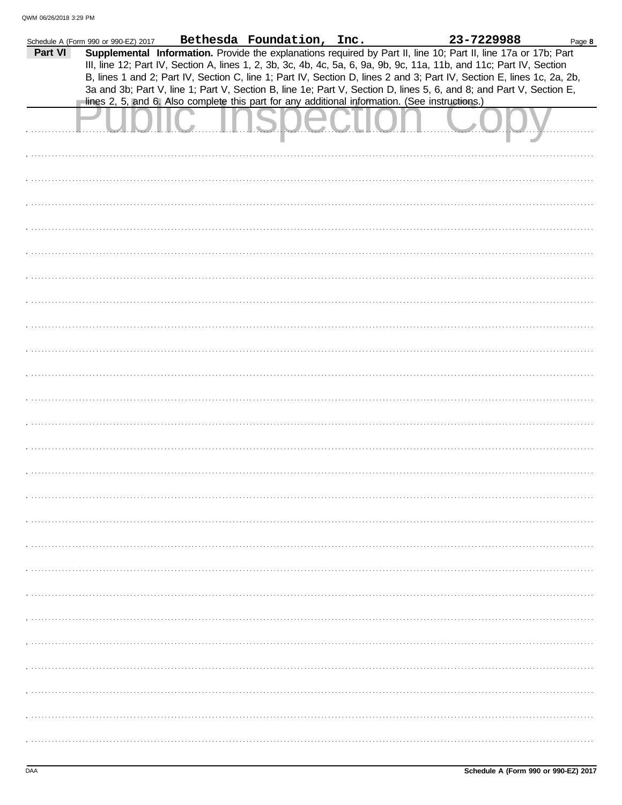|         | Schedule A (Form 990 or 990-EZ) 2017 |                                                                                                | Bethesda Foundation, Inc. | 23-7229988                                                                                                             | Page 8 |
|---------|--------------------------------------|------------------------------------------------------------------------------------------------|---------------------------|------------------------------------------------------------------------------------------------------------------------|--------|
| Part VI |                                      |                                                                                                |                           | Supplemental Information. Provide the explanations required by Part II, line 10; Part II, line 17a or 17b; Part        |        |
|         |                                      |                                                                                                |                           |                                                                                                                        |        |
|         |                                      |                                                                                                |                           | III, line 12; Part IV, Section A, lines 1, 2, 3b, 3c, 4b, 4c, 5a, 6, 9a, 9b, 9c, 11a, 11b, and 11c; Part IV, Section   |        |
|         |                                      |                                                                                                |                           | B, lines 1 and 2; Part IV, Section C, line 1; Part IV, Section D, lines 2 and 3; Part IV, Section E, lines 1c, 2a, 2b, |        |
|         |                                      |                                                                                                |                           | 3a and 3b; Part V, line 1; Part V, Section B, line 1e; Part V, Section D, lines 5, 6, and 8; and Part V, Section E,    |        |
|         |                                      | lines 2, 5, and 6. Also complete this part for any additional information. (See instructions.) |                           |                                                                                                                        |        |
|         |                                      |                                                                                                |                           |                                                                                                                        |        |
|         |                                      |                                                                                                |                           |                                                                                                                        |        |
|         |                                      |                                                                                                | <u>UNUMUNI</u>            |                                                                                                                        |        |
|         |                                      |                                                                                                |                           |                                                                                                                        |        |
|         |                                      |                                                                                                |                           |                                                                                                                        |        |
|         |                                      |                                                                                                |                           |                                                                                                                        |        |
|         |                                      |                                                                                                |                           |                                                                                                                        |        |
|         |                                      |                                                                                                |                           |                                                                                                                        |        |
|         |                                      |                                                                                                |                           |                                                                                                                        |        |
|         |                                      |                                                                                                |                           |                                                                                                                        |        |
|         |                                      |                                                                                                |                           |                                                                                                                        |        |
|         |                                      |                                                                                                |                           |                                                                                                                        |        |
|         |                                      |                                                                                                |                           |                                                                                                                        |        |
|         |                                      |                                                                                                |                           |                                                                                                                        |        |
|         |                                      |                                                                                                |                           |                                                                                                                        |        |
|         |                                      |                                                                                                |                           |                                                                                                                        |        |
|         |                                      |                                                                                                |                           |                                                                                                                        |        |
|         |                                      |                                                                                                |                           |                                                                                                                        |        |
|         |                                      |                                                                                                |                           |                                                                                                                        |        |
|         |                                      |                                                                                                |                           |                                                                                                                        |        |
|         |                                      |                                                                                                |                           |                                                                                                                        |        |
|         |                                      |                                                                                                |                           |                                                                                                                        |        |
|         |                                      |                                                                                                |                           |                                                                                                                        |        |
|         |                                      |                                                                                                |                           |                                                                                                                        |        |
|         |                                      |                                                                                                |                           |                                                                                                                        |        |
|         |                                      |                                                                                                |                           |                                                                                                                        |        |
|         |                                      |                                                                                                |                           |                                                                                                                        |        |
|         |                                      |                                                                                                |                           |                                                                                                                        |        |
|         |                                      |                                                                                                |                           |                                                                                                                        |        |
|         |                                      |                                                                                                |                           |                                                                                                                        |        |
|         |                                      |                                                                                                |                           |                                                                                                                        |        |
|         |                                      |                                                                                                |                           |                                                                                                                        |        |
|         |                                      |                                                                                                |                           |                                                                                                                        |        |
|         |                                      |                                                                                                |                           |                                                                                                                        |        |
|         |                                      |                                                                                                |                           |                                                                                                                        |        |
|         |                                      |                                                                                                |                           |                                                                                                                        |        |
|         |                                      |                                                                                                |                           |                                                                                                                        |        |
|         |                                      |                                                                                                |                           |                                                                                                                        |        |
|         |                                      |                                                                                                |                           |                                                                                                                        |        |
|         |                                      |                                                                                                |                           |                                                                                                                        |        |
|         |                                      |                                                                                                |                           |                                                                                                                        |        |
|         |                                      |                                                                                                |                           |                                                                                                                        |        |
|         |                                      |                                                                                                |                           |                                                                                                                        |        |
|         |                                      |                                                                                                |                           |                                                                                                                        |        |
|         |                                      |                                                                                                |                           |                                                                                                                        |        |
|         |                                      |                                                                                                |                           |                                                                                                                        |        |
|         |                                      |                                                                                                |                           |                                                                                                                        |        |
|         |                                      |                                                                                                |                           |                                                                                                                        |        |
|         |                                      |                                                                                                |                           |                                                                                                                        |        |
|         |                                      |                                                                                                |                           |                                                                                                                        |        |
|         |                                      |                                                                                                |                           |                                                                                                                        |        |
|         |                                      |                                                                                                |                           |                                                                                                                        |        |
|         |                                      |                                                                                                |                           |                                                                                                                        |        |
|         |                                      |                                                                                                |                           |                                                                                                                        |        |
|         |                                      |                                                                                                |                           |                                                                                                                        |        |
|         |                                      |                                                                                                |                           |                                                                                                                        |        |
|         |                                      |                                                                                                |                           |                                                                                                                        |        |
|         |                                      |                                                                                                |                           |                                                                                                                        |        |
|         |                                      |                                                                                                |                           |                                                                                                                        |        |
|         |                                      |                                                                                                |                           |                                                                                                                        |        |
|         |                                      |                                                                                                |                           |                                                                                                                        |        |
|         |                                      |                                                                                                |                           |                                                                                                                        |        |
|         |                                      |                                                                                                |                           |                                                                                                                        |        |
|         |                                      |                                                                                                |                           |                                                                                                                        |        |
|         |                                      |                                                                                                |                           |                                                                                                                        |        |
|         |                                      |                                                                                                |                           |                                                                                                                        |        |
|         |                                      |                                                                                                |                           |                                                                                                                        |        |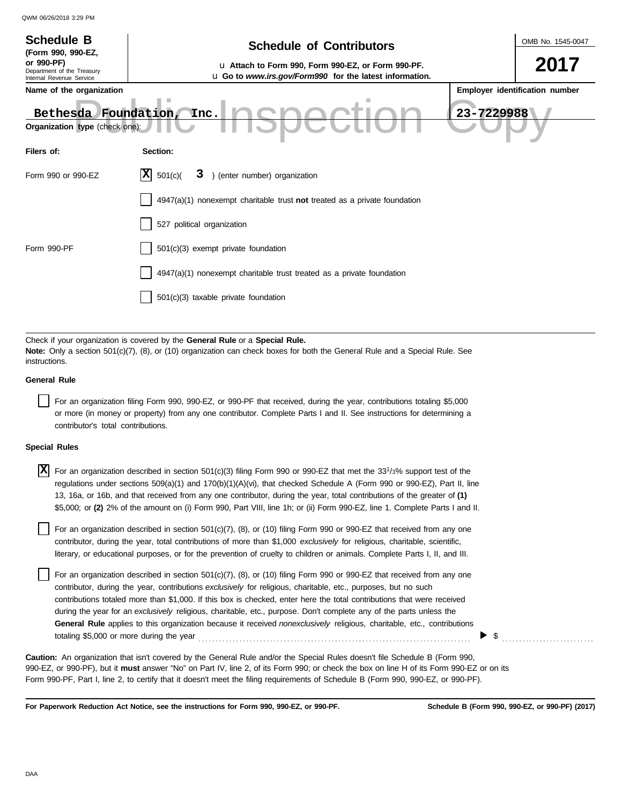| <b>Schedule B</b><br>(Form 990, 990-EZ,<br>or 990-PF)  | OMB No. 1545-0047<br><b>Schedule of Contributors</b><br>2017<br>u Attach to Form 990, Form 990-EZ, or Form 990-PF.                                                                                                                            |
|--------------------------------------------------------|-----------------------------------------------------------------------------------------------------------------------------------------------------------------------------------------------------------------------------------------------|
| Department of the Treasury<br>Internal Revenue Service | u Go to www.irs.gov/Form990 for the latest information.                                                                                                                                                                                       |
| Name of the organization<br>Bethesda Foundation        | Employer identification number<br>23-7229988<br>Inc.                                                                                                                                                                                          |
| Organization type (check one):                         |                                                                                                                                                                                                                                               |
| Filers of:                                             | Section:                                                                                                                                                                                                                                      |
| Form 990 or 990-EZ                                     | X <br>3 ) (enter number) organization<br>501(c)                                                                                                                                                                                               |
|                                                        | $4947(a)(1)$ nonexempt charitable trust not treated as a private foundation                                                                                                                                                                   |
|                                                        | 527 political organization                                                                                                                                                                                                                    |
| Form 990-PF                                            | 501(c)(3) exempt private foundation                                                                                                                                                                                                           |
|                                                        | 4947(a)(1) nonexempt charitable trust treated as a private foundation                                                                                                                                                                         |
|                                                        | 501(c)(3) taxable private foundation                                                                                                                                                                                                          |
|                                                        |                                                                                                                                                                                                                                               |
| instructions.                                          | Check if your organization is covered by the General Rule or a Special Rule.<br>Note: Only a section 501(c)(7), (8), or (10) organization can check boxes for both the General Rule and a Special Rule. See                                   |
| <b>General Rule</b>                                    |                                                                                                                                                                                                                                               |
| contributor's total contributions.                     | For an organization filing Form 990, 990-EZ, or 990-PF that received, during the year, contributions totaling \$5,000<br>or more (in money or property) from any one contributor. Complete Parts I and II. See instructions for determining a |

## **Special Rules**

| X For an organization described in section 501(c)(3) filing Form 990 or 990-EZ that met the $33^{1/3}$ % support test of the |
|------------------------------------------------------------------------------------------------------------------------------|
| regulations under sections 509(a)(1) and 170(b)(1)(A)(vi), that checked Schedule A (Form 990 or 990-EZ), Part II, line       |
| 13, 16a, or 16b, and that received from any one contributor, during the year, total contributions of the greater of (1)      |
| \$5,000; or (2) 2% of the amount on (i) Form 990, Part VIII, line 1h; or (ii) Form 990-EZ, line 1. Complete Parts I and II.  |
|                                                                                                                              |

| For an organization described in section 501(c)(7), (8), or (10) filing Form 990 or 990-EZ that received from any one      |
|----------------------------------------------------------------------------------------------------------------------------|
| contributor, during the year, total contributions of more than \$1,000 exclusively for religious, charitable, scientific,  |
| literary, or educational purposes, or for the prevention of cruelty to children or animals. Complete Parts I, II, and III. |

For an organization described in section 501(c)(7), (8), or (10) filing Form 990 or 990-EZ that received from any one contributor, during the year, contributions *exclusively* for religious, charitable, etc., purposes, but no such contributions totaled more than \$1,000. If this box is checked, enter here the total contributions that were received during the year for an *exclusively* religious, charitable, etc., purpose. Don't complete any of the parts unless the **General Rule** applies to this organization because it received *nonexclusively* religious, charitable, etc., contributions totaling \$5,000 or more during the year . . . . . . . . . . . . . . . . . . . . . . . . . . . . . . . . . . . . . . . . . . . . . . . . . . . . . . . . . . . . . . . . . . . . . . . . . . . . . . . .

990-EZ, or 990-PF), but it **must** answer "No" on Part IV, line 2, of its Form 990; or check the box on line H of its Form 990-EZ or on its Form 990-PF, Part I, line 2, to certify that it doesn't meet the filing requirements of Schedule B (Form 990, 990-EZ, or 990-PF). **Caution:** An organization that isn't covered by the General Rule and/or the Special Rules doesn't file Schedule B (Form 990,

**For Paperwork Reduction Act Notice, see the instructions for Form 990, 990-EZ, or 990-PF.**

 $\triangleright$  \$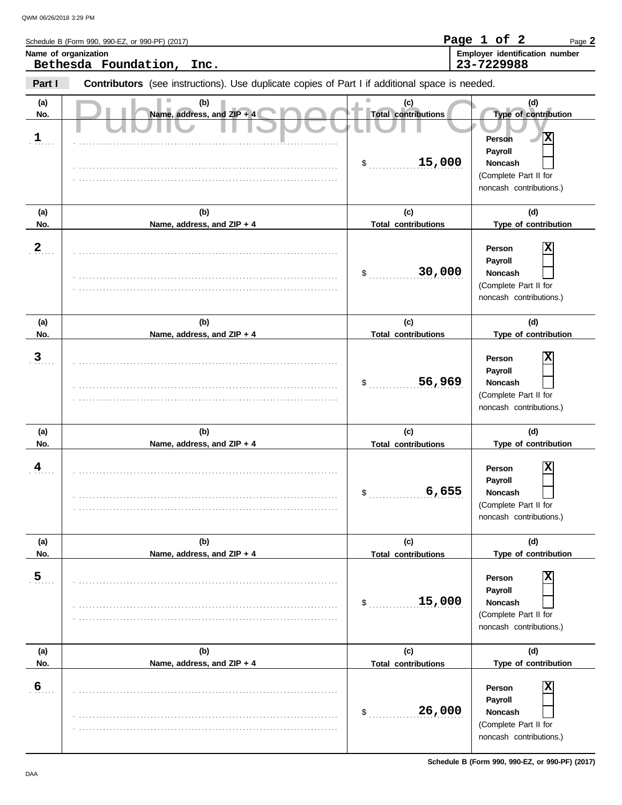|                             | Schedule B (Form 990, 990-EZ, or 990-PF) (2017)<br>Name of organization                        |                                                              | Page 1 of 2<br>Page 2<br>Employer identification number                                                                     |
|-----------------------------|------------------------------------------------------------------------------------------------|--------------------------------------------------------------|-----------------------------------------------------------------------------------------------------------------------------|
|                             | Bethesda Foundation, Inc.                                                                      |                                                              | 23-7229988                                                                                                                  |
| Part I                      | Contributors (see instructions). Use duplicate copies of Part I if additional space is needed. |                                                              |                                                                                                                             |
| (a)<br>No.<br>$\frac{1}{n}$ | (b)<br>Name, address, and ZIP + 4                                                              | (c)<br><b>Total contributions</b><br>15,000<br>$\mathsf{\$}$ | (d)<br>Type of contribution<br>X<br>Person<br>Payroll<br><b>Noncash</b><br>(Complete Part II for<br>noncash contributions.) |
| (a)                         | (b)                                                                                            | (c)                                                          | (d)                                                                                                                         |
| No.<br>$\frac{2}{\cdot}$    | Name, address, and ZIP + 4                                                                     | <b>Total contributions</b><br>30,000<br>\$                   | Type of contribution<br>х<br>Person<br>Payroll<br><b>Noncash</b><br>(Complete Part II for<br>noncash contributions.)        |
| (a)<br>No.                  | (b)<br>Name, address, and ZIP + 4                                                              | (c)<br><b>Total contributions</b>                            | (d)<br>Type of contribution                                                                                                 |
| $\mathbf{3}$                |                                                                                                | 56,969<br>$\mathsf{\$}$                                      | х<br>Person<br>Payroll<br><b>Noncash</b><br>(Complete Part II for<br>noncash contributions.)                                |
| (a)                         | (b)                                                                                            | (c)                                                          | (d)                                                                                                                         |
| No.<br>4                    | Name, address, and ZIP + 4                                                                     | <b>Total contributions</b><br>6,655<br>\$                    | Type of contribution<br>X<br>Person<br><b>Payroll</b><br><b>Noncash</b><br>(Complete Part II for<br>noncash contributions.) |
| (a)<br>No.                  | (b)<br>Name, address, and ZIP + 4                                                              | (c)<br><b>Total contributions</b>                            | (d)<br>Type of contribution                                                                                                 |
| $\overline{5}$              |                                                                                                | 15,000<br>\$                                                 | Person<br>Payroll<br><b>Noncash</b><br>(Complete Part II for<br>noncash contributions.)                                     |
| (a)                         | (b)                                                                                            | (c)                                                          | (d)                                                                                                                         |
| No.<br>$6 \overline{6}$     | Name, address, and ZIP + 4                                                                     | <b>Total contributions</b><br>26,000<br>\$                   | Type of contribution<br>Person<br>Payroll<br><b>Noncash</b><br>(Complete Part II for<br>noncash contributions.)             |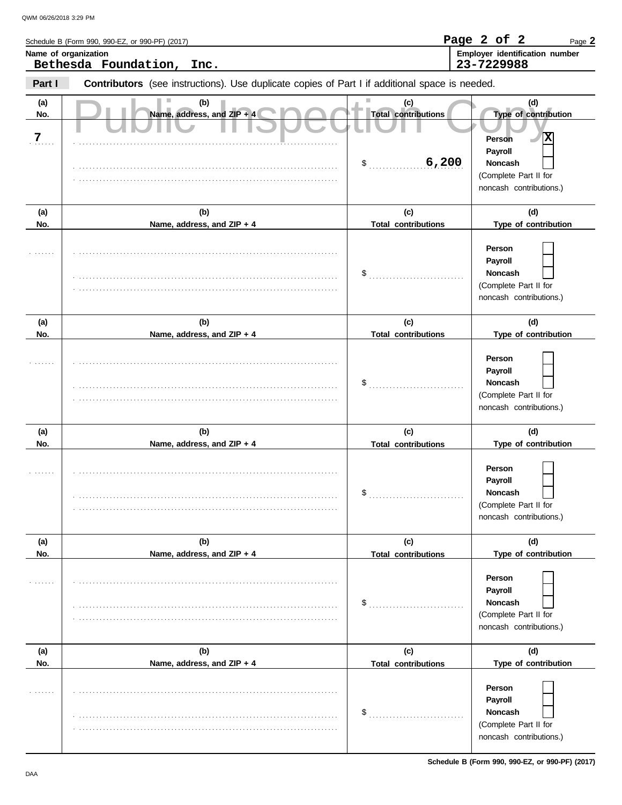|                              | Schedule B (Form 990, 990-EZ, or 990-PF) (2017)                                                |                                                             | Page 2 of 2<br>Page 2                                                                         |
|------------------------------|------------------------------------------------------------------------------------------------|-------------------------------------------------------------|-----------------------------------------------------------------------------------------------|
|                              | Name of organization<br>Bethesda Foundation,<br>Inc.                                           |                                                             | Employer identification number<br>23-7229988                                                  |
| Part I                       | Contributors (see instructions). Use duplicate copies of Part I if additional space is needed. |                                                             |                                                                                               |
| (a)<br>No.<br>$\overline{z}$ | (b)<br>Name, address, and ZIP + 4                                                              | (c)<br><b>Total contributions</b><br>6,200<br>$\mathsf{\$}$ | (d)<br>Type of contribution<br>$\overline{\mathbf{x}}$<br><b>Person</b><br>Payroll<br>Noncash |
| (a)                          | (b)                                                                                            | (c)                                                         | (Complete Part II for<br>noncash contributions.)<br>(d)                                       |
| No.                          | Name, address, and ZIP + 4                                                                     | <b>Total contributions</b>                                  | Type of contribution                                                                          |
|                              |                                                                                                | $\$\ldots$                                                  | Person<br>Payroll<br>Noncash<br>(Complete Part II for<br>noncash contributions.)              |
| (a)                          | (b)                                                                                            | (c)                                                         | (d)                                                                                           |
| No.                          | Name, address, and ZIP + 4                                                                     | <b>Total contributions</b>                                  | Type of contribution                                                                          |
|                              |                                                                                                | $\frac{1}{2}$                                               | Person<br>Payroll<br>Noncash<br>(Complete Part II for<br>noncash contributions.)              |
| (a)                          | (b)                                                                                            | (c)                                                         | (d)                                                                                           |
| No.                          | Name, address, and ZIP + 4                                                                     | <b>Total contributions</b>                                  | Type of contribution                                                                          |
|                              |                                                                                                | \$                                                          | Person<br><b>Payroll</b><br>Noncash<br>(Complete Part II for<br>noncash contributions.)       |
| (a)<br>No.                   | (b)<br>Name, address, and ZIP + 4                                                              | (c)                                                         | (d)<br>Type of contribution                                                                   |
|                              |                                                                                                | <b>Total contributions</b><br>\$                            | Person<br>Payroll<br>Noncash<br>(Complete Part II for<br>noncash contributions.)              |
| (a)                          | (b)                                                                                            | (c)                                                         | (d)                                                                                           |
| No.                          | Name, address, and ZIP + 4                                                                     | <b>Total contributions</b>                                  | Type of contribution                                                                          |
|                              |                                                                                                | \$                                                          | Person<br>Payroll<br>Noncash<br>(Complete Part II for<br>noncash contributions.)              |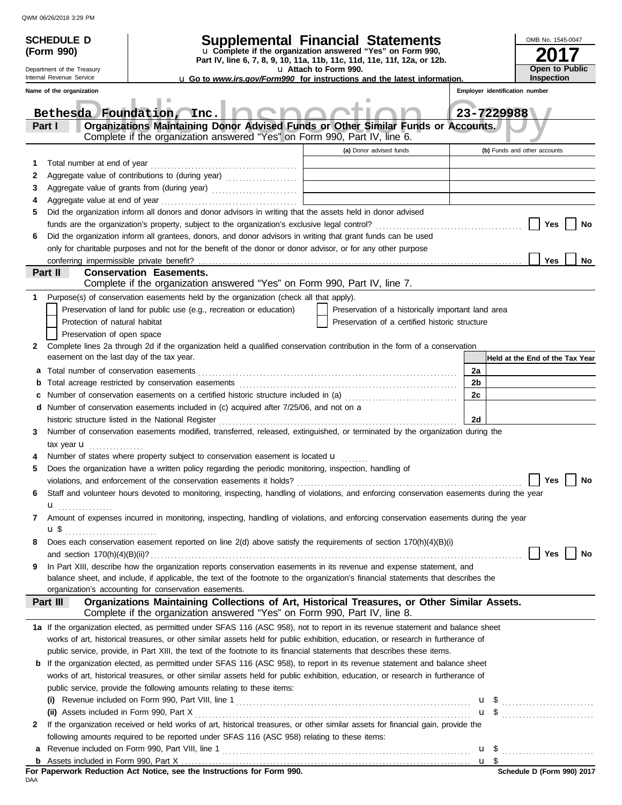|        | <b>SCHEDULE D</b><br>(Form 990)<br>Department of the Treasury<br>Internal Revenue Service<br>Name of the organization<br>Bethesda Foundation,                            | <b>Supplemental Financial Statements</b><br>u Complete if the organization answered "Yes" on Form 990,<br>Part IV, line 6, 7, 8, 9, 10, 11a, 11b, 11c, 11d, 11e, 11f, 12a, or 12b.<br>u Attach to Form 990.<br><b>u</b> Go to www.irs.gov/Form990 for instructions and the latest information.<br>Employer identification number<br>23-7229988<br>Inc. |  |  |                                                    |  |          | OMB No. 1545-0047<br><b>Open to Public</b><br><b>Inspection</b> |                                 |  |  |
|--------|--------------------------------------------------------------------------------------------------------------------------------------------------------------------------|--------------------------------------------------------------------------------------------------------------------------------------------------------------------------------------------------------------------------------------------------------------------------------------------------------------------------------------------------------|--|--|----------------------------------------------------|--|----------|-----------------------------------------------------------------|---------------------------------|--|--|
|        | Organizations Maintaining Donor Advised Funds or Other Similar Funds or Accounts.<br>Part I<br>Complete if the organization answered "Yes" on Form 990, Part IV, line 6. |                                                                                                                                                                                                                                                                                                                                                        |  |  |                                                    |  |          |                                                                 |                                 |  |  |
|        |                                                                                                                                                                          |                                                                                                                                                                                                                                                                                                                                                        |  |  | (a) Donor advised funds                            |  |          |                                                                 | (b) Funds and other accounts    |  |  |
| 1      | Total number at end of year                                                                                                                                              |                                                                                                                                                                                                                                                                                                                                                        |  |  |                                                    |  |          |                                                                 |                                 |  |  |
| 2      |                                                                                                                                                                          | Aggregate value of contributions to (during year)                                                                                                                                                                                                                                                                                                      |  |  | the control of the control of the control of the   |  |          |                                                                 |                                 |  |  |
| 3      |                                                                                                                                                                          |                                                                                                                                                                                                                                                                                                                                                        |  |  |                                                    |  |          |                                                                 |                                 |  |  |
| 4      |                                                                                                                                                                          |                                                                                                                                                                                                                                                                                                                                                        |  |  |                                                    |  |          |                                                                 |                                 |  |  |
| 5      |                                                                                                                                                                          | Did the organization inform all donors and donor advisors in writing that the assets held in donor advised                                                                                                                                                                                                                                             |  |  |                                                    |  |          |                                                                 |                                 |  |  |
|        |                                                                                                                                                                          |                                                                                                                                                                                                                                                                                                                                                        |  |  |                                                    |  |          |                                                                 | Yes<br>No                       |  |  |
| 6      |                                                                                                                                                                          | Did the organization inform all grantees, donors, and donor advisors in writing that grant funds can be used                                                                                                                                                                                                                                           |  |  |                                                    |  |          |                                                                 |                                 |  |  |
|        |                                                                                                                                                                          | only for charitable purposes and not for the benefit of the donor or donor advisor, or for any other purpose                                                                                                                                                                                                                                           |  |  |                                                    |  |          |                                                                 | Yes<br><b>No</b>                |  |  |
|        | Part II                                                                                                                                                                  | <b>Conservation Easements.</b>                                                                                                                                                                                                                                                                                                                         |  |  |                                                    |  |          |                                                                 |                                 |  |  |
|        |                                                                                                                                                                          | Complete if the organization answered "Yes" on Form 990, Part IV, line 7.                                                                                                                                                                                                                                                                              |  |  |                                                    |  |          |                                                                 |                                 |  |  |
| 1      |                                                                                                                                                                          | Purpose(s) of conservation easements held by the organization (check all that apply).                                                                                                                                                                                                                                                                  |  |  |                                                    |  |          |                                                                 |                                 |  |  |
|        |                                                                                                                                                                          | Preservation of land for public use (e.g., recreation or education)                                                                                                                                                                                                                                                                                    |  |  | Preservation of a historically important land area |  |          |                                                                 |                                 |  |  |
|        | Protection of natural habitat                                                                                                                                            |                                                                                                                                                                                                                                                                                                                                                        |  |  | Preservation of a certified historic structure     |  |          |                                                                 |                                 |  |  |
|        | Preservation of open space                                                                                                                                               |                                                                                                                                                                                                                                                                                                                                                        |  |  |                                                    |  |          |                                                                 |                                 |  |  |
| 2      |                                                                                                                                                                          | Complete lines 2a through 2d if the organization held a qualified conservation contribution in the form of a conservation                                                                                                                                                                                                                              |  |  |                                                    |  |          |                                                                 |                                 |  |  |
|        | easement on the last day of the tax year.                                                                                                                                |                                                                                                                                                                                                                                                                                                                                                        |  |  |                                                    |  |          |                                                                 | Held at the End of the Tax Year |  |  |
| а<br>b |                                                                                                                                                                          |                                                                                                                                                                                                                                                                                                                                                        |  |  |                                                    |  | 2a<br>2b |                                                                 |                                 |  |  |
| c      |                                                                                                                                                                          | Number of conservation easements on a certified historic structure included in (a) [[[[[ [ [ ]]]                                                                                                                                                                                                                                                       |  |  |                                                    |  | 2c       |                                                                 |                                 |  |  |
| d      |                                                                                                                                                                          | Number of conservation easements included in (c) acquired after 7/25/06, and not on a                                                                                                                                                                                                                                                                  |  |  |                                                    |  |          |                                                                 |                                 |  |  |
|        |                                                                                                                                                                          | historic structure listed in the National Register                                                                                                                                                                                                                                                                                                     |  |  |                                                    |  | 2d       |                                                                 |                                 |  |  |
| 3      |                                                                                                                                                                          | Number of conservation easements modified, transferred, released, extinguished, or terminated by the organization during the                                                                                                                                                                                                                           |  |  |                                                    |  |          |                                                                 |                                 |  |  |
|        | tax year $\mathbf u$                                                                                                                                                     |                                                                                                                                                                                                                                                                                                                                                        |  |  |                                                    |  |          |                                                                 |                                 |  |  |
|        |                                                                                                                                                                          | Number of states where property subject to conservation easement is located <b>u</b>                                                                                                                                                                                                                                                                   |  |  |                                                    |  |          |                                                                 |                                 |  |  |
| 5      |                                                                                                                                                                          | Does the organization have a written policy regarding the periodic monitoring, inspection, handling of                                                                                                                                                                                                                                                 |  |  |                                                    |  |          |                                                                 |                                 |  |  |
|        |                                                                                                                                                                          | violations, and enforcement of the conservation easements it holds?                                                                                                                                                                                                                                                                                    |  |  |                                                    |  |          |                                                                 | Yes<br>No                       |  |  |
| 6      |                                                                                                                                                                          | Staff and volunteer hours devoted to monitoring, inspecting, handling of violations, and enforcing conservation easements during the year                                                                                                                                                                                                              |  |  |                                                    |  |          |                                                                 |                                 |  |  |
|        | $\mathbf{u}$                                                                                                                                                             | Amount of expenses incurred in monitoring, inspecting, handling of violations, and enforcing conservation easements during the year                                                                                                                                                                                                                    |  |  |                                                    |  |          |                                                                 |                                 |  |  |
| 7      | $\mathbf{u}$ \$                                                                                                                                                          |                                                                                                                                                                                                                                                                                                                                                        |  |  |                                                    |  |          |                                                                 |                                 |  |  |
| 8      |                                                                                                                                                                          | Does each conservation easement reported on line 2(d) above satisfy the requirements of section 170(h)(4)(B)(i)                                                                                                                                                                                                                                        |  |  |                                                    |  |          |                                                                 |                                 |  |  |
|        |                                                                                                                                                                          |                                                                                                                                                                                                                                                                                                                                                        |  |  |                                                    |  |          |                                                                 | Yes<br>No                       |  |  |
| 9      |                                                                                                                                                                          | In Part XIII, describe how the organization reports conservation easements in its revenue and expense statement, and                                                                                                                                                                                                                                   |  |  |                                                    |  |          |                                                                 |                                 |  |  |
|        |                                                                                                                                                                          | balance sheet, and include, if applicable, the text of the footnote to the organization's financial statements that describes the                                                                                                                                                                                                                      |  |  |                                                    |  |          |                                                                 |                                 |  |  |
|        |                                                                                                                                                                          | organization's accounting for conservation easements.                                                                                                                                                                                                                                                                                                  |  |  |                                                    |  |          |                                                                 |                                 |  |  |
|        | Part III                                                                                                                                                                 | Organizations Maintaining Collections of Art, Historical Treasures, or Other Similar Assets.<br>Complete if the organization answered "Yes" on Form 990, Part IV, line 8.                                                                                                                                                                              |  |  |                                                    |  |          |                                                                 |                                 |  |  |
|        |                                                                                                                                                                          |                                                                                                                                                                                                                                                                                                                                                        |  |  |                                                    |  |          |                                                                 |                                 |  |  |
|        |                                                                                                                                                                          | 1a If the organization elected, as permitted under SFAS 116 (ASC 958), not to report in its revenue statement and balance sheet<br>works of art, historical treasures, or other similar assets held for public exhibition, education, or research in furtherance of                                                                                    |  |  |                                                    |  |          |                                                                 |                                 |  |  |
|        |                                                                                                                                                                          | public service, provide, in Part XIII, the text of the footnote to its financial statements that describes these items.                                                                                                                                                                                                                                |  |  |                                                    |  |          |                                                                 |                                 |  |  |
|        |                                                                                                                                                                          | <b>b</b> If the organization elected, as permitted under SFAS 116 (ASC 958), to report in its revenue statement and balance sheet                                                                                                                                                                                                                      |  |  |                                                    |  |          |                                                                 |                                 |  |  |
|        |                                                                                                                                                                          | works of art, historical treasures, or other similar assets held for public exhibition, education, or research in furtherance of                                                                                                                                                                                                                       |  |  |                                                    |  |          |                                                                 |                                 |  |  |
|        |                                                                                                                                                                          | public service, provide the following amounts relating to these items:                                                                                                                                                                                                                                                                                 |  |  |                                                    |  |          |                                                                 |                                 |  |  |
|        |                                                                                                                                                                          |                                                                                                                                                                                                                                                                                                                                                        |  |  |                                                    |  |          |                                                                 | $\mathbf{u}$ \$                 |  |  |
|        |                                                                                                                                                                          |                                                                                                                                                                                                                                                                                                                                                        |  |  |                                                    |  |          |                                                                 | $\mathbf{u}$ \$                 |  |  |
| 2      |                                                                                                                                                                          | If the organization received or held works of art, historical treasures, or other similar assets for financial gain, provide the                                                                                                                                                                                                                       |  |  |                                                    |  |          |                                                                 |                                 |  |  |
|        |                                                                                                                                                                          | following amounts required to be reported under SFAS 116 (ASC 958) relating to these items:                                                                                                                                                                                                                                                            |  |  |                                                    |  |          |                                                                 |                                 |  |  |
| a      |                                                                                                                                                                          |                                                                                                                                                                                                                                                                                                                                                        |  |  |                                                    |  |          | u \$                                                            |                                 |  |  |
|        |                                                                                                                                                                          | For Paperwork Reduction Act Notice, see the Instructions for Form 990.                                                                                                                                                                                                                                                                                 |  |  |                                                    |  |          |                                                                 | Schedule D (Form 990) 2017      |  |  |
| DAA    |                                                                                                                                                                          |                                                                                                                                                                                                                                                                                                                                                        |  |  |                                                    |  |          |                                                                 |                                 |  |  |

|     |  |  |  | For Paperwork Reduction Act Notice, see the Instructions for Form 990. |  |  |
|-----|--|--|--|------------------------------------------------------------------------|--|--|
| DAA |  |  |  |                                                                        |  |  |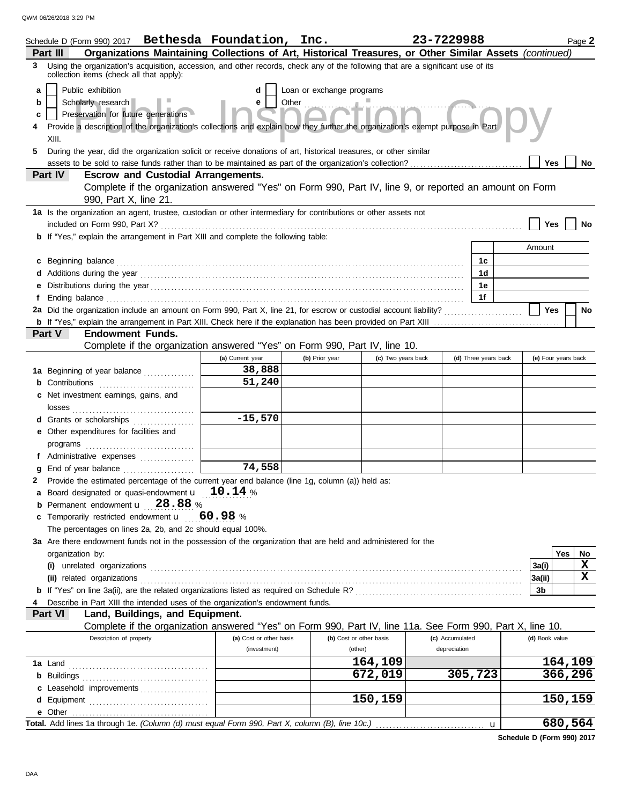|                       | Schedule D (Form 990) 2017 Bethesda Foundation, Inc.<br>Organizations Maintaining Collections of Art, Historical Treasures, or Other Similar Assets (continued)<br>Part III                                                                                                                                                                                                                                                                                                                                                                                                 |                         |                |                         | 23-7229988      |                      |                | Page 2              |  |  |  |  |
|-----------------------|-----------------------------------------------------------------------------------------------------------------------------------------------------------------------------------------------------------------------------------------------------------------------------------------------------------------------------------------------------------------------------------------------------------------------------------------------------------------------------------------------------------------------------------------------------------------------------|-------------------------|----------------|-------------------------|-----------------|----------------------|----------------|---------------------|--|--|--|--|
| 3                     | Using the organization's acquisition, accession, and other records, check any of the following that are a significant use of its                                                                                                                                                                                                                                                                                                                                                                                                                                            |                         |                |                         |                 |                      |                |                     |  |  |  |  |
| a<br>b<br>c<br>4<br>5 | collection items (check all that apply):<br>Public exhibition<br>Loan or exchange programs<br>d<br>Other $\ldots$<br>Scholarly research<br>e<br>Preservation for future generations<br>Provide a description of the organization's collections and explain how they further the organization's exempt purpose in Part<br>XIII.<br>During the year, did the organization solicit or receive donations of art, historical treasures, or other similar<br>assets to be sold to raise funds rather than to be maintained as part of the organization's collection?<br>Yes<br>No |                         |                |                         |                 |                      |                |                     |  |  |  |  |
|                       | Part IV<br><b>Escrow and Custodial Arrangements.</b><br>Complete if the organization answered "Yes" on Form 990, Part IV, line 9, or reported an amount on Form                                                                                                                                                                                                                                                                                                                                                                                                             |                         |                |                         |                 |                      |                |                     |  |  |  |  |
|                       | 990, Part X, line 21.                                                                                                                                                                                                                                                                                                                                                                                                                                                                                                                                                       |                         |                |                         |                 |                      |                |                     |  |  |  |  |
|                       | 1a Is the organization an agent, trustee, custodian or other intermediary for contributions or other assets not<br>b If "Yes," explain the arrangement in Part XIII and complete the following table:                                                                                                                                                                                                                                                                                                                                                                       |                         |                |                         |                 |                      | Yes            | No                  |  |  |  |  |
| c                     |                                                                                                                                                                                                                                                                                                                                                                                                                                                                                                                                                                             |                         |                |                         |                 | 1c                   | Amount         |                     |  |  |  |  |
|                       | Beginning balance expressions and the contract of the contract of the contract of the contract of the contract of the contract of the contract of the contract of the contract of the contract of the contract of the contract<br>Additions during the year contact and the search contact the year contact and the year contact the year contact the year contact the year contact the year contact the year contact the year of the year of the year of the ye                                                                                                            |                         |                |                         |                 | 1d                   |                |                     |  |  |  |  |
|                       |                                                                                                                                                                                                                                                                                                                                                                                                                                                                                                                                                                             |                         |                |                         |                 | 1е                   |                |                     |  |  |  |  |
| f                     |                                                                                                                                                                                                                                                                                                                                                                                                                                                                                                                                                                             |                         |                |                         |                 | 1f                   |                |                     |  |  |  |  |
|                       | 2a Did the organization include an amount on Form 990, Part X, line 21, for escrow or custodial account liability?                                                                                                                                                                                                                                                                                                                                                                                                                                                          |                         |                |                         |                 |                      | Yes            | No                  |  |  |  |  |
|                       |                                                                                                                                                                                                                                                                                                                                                                                                                                                                                                                                                                             |                         |                |                         |                 |                      |                |                     |  |  |  |  |
|                       | <b>Endowment Funds.</b><br>Part V<br>Complete if the organization answered "Yes" on Form 990, Part IV, line 10.                                                                                                                                                                                                                                                                                                                                                                                                                                                             |                         |                |                         |                 |                      |                |                     |  |  |  |  |
|                       |                                                                                                                                                                                                                                                                                                                                                                                                                                                                                                                                                                             | (a) Current year        | (b) Prior year | (c) Two years back      |                 | (d) Three years back |                | (e) Four years back |  |  |  |  |
|                       | 1a Beginning of year balance                                                                                                                                                                                                                                                                                                                                                                                                                                                                                                                                                | 38,888                  |                |                         |                 |                      |                |                     |  |  |  |  |
|                       | <b>b</b> Contributions <b>contributions</b>                                                                                                                                                                                                                                                                                                                                                                                                                                                                                                                                 | 51,240                  |                |                         |                 |                      |                |                     |  |  |  |  |
|                       | c Net investment earnings, gains, and                                                                                                                                                                                                                                                                                                                                                                                                                                                                                                                                       |                         |                |                         |                 |                      |                |                     |  |  |  |  |
|                       | d Grants or scholarships                                                                                                                                                                                                                                                                                                                                                                                                                                                                                                                                                    | $-15,570$               |                |                         |                 |                      |                |                     |  |  |  |  |
|                       | e Other expenditures for facilities and                                                                                                                                                                                                                                                                                                                                                                                                                                                                                                                                     |                         |                |                         |                 |                      |                |                     |  |  |  |  |
|                       |                                                                                                                                                                                                                                                                                                                                                                                                                                                                                                                                                                             |                         |                |                         |                 |                      |                |                     |  |  |  |  |
|                       | f Administrative expenses                                                                                                                                                                                                                                                                                                                                                                                                                                                                                                                                                   |                         |                |                         |                 |                      |                |                     |  |  |  |  |
|                       |                                                                                                                                                                                                                                                                                                                                                                                                                                                                                                                                                                             | 74,558                  |                |                         |                 |                      |                |                     |  |  |  |  |
|                       | 2 Provide the estimated percentage of the current year end balance (line 1g, column (a)) held as:<br>a Board designated or quasi-endowment $\mathbf{u}$ $10.14$ %                                                                                                                                                                                                                                                                                                                                                                                                           |                         |                |                         |                 |                      |                |                     |  |  |  |  |
| b                     | Permanent endowment <b>u</b> 28.88 %                                                                                                                                                                                                                                                                                                                                                                                                                                                                                                                                        |                         |                |                         |                 |                      |                |                     |  |  |  |  |
| c                     | Temporarily restricted endowment $\mathbf{u} = 60.98$ %                                                                                                                                                                                                                                                                                                                                                                                                                                                                                                                     |                         |                |                         |                 |                      |                |                     |  |  |  |  |
|                       | The percentages on lines 2a, 2b, and 2c should equal 100%.                                                                                                                                                                                                                                                                                                                                                                                                                                                                                                                  |                         |                |                         |                 |                      |                |                     |  |  |  |  |
|                       | 3a Are there endowment funds not in the possession of the organization that are held and administered for the                                                                                                                                                                                                                                                                                                                                                                                                                                                               |                         |                |                         |                 |                      |                |                     |  |  |  |  |
|                       | organization by:                                                                                                                                                                                                                                                                                                                                                                                                                                                                                                                                                            |                         |                |                         |                 |                      |                | Yes<br>No           |  |  |  |  |
|                       |                                                                                                                                                                                                                                                                                                                                                                                                                                                                                                                                                                             |                         |                |                         |                 |                      | 3a(i)          | X                   |  |  |  |  |
|                       | (ii) related organizations experiences and all the contract of the contract of the contract of the contract or                                                                                                                                                                                                                                                                                                                                                                                                                                                              |                         |                |                         |                 |                      | 3a(ii)         | X                   |  |  |  |  |
| 4                     | Describe in Part XIII the intended uses of the organization's endowment funds.                                                                                                                                                                                                                                                                                                                                                                                                                                                                                              |                         |                |                         |                 |                      | 3b             |                     |  |  |  |  |
|                       | Part VI<br>Land, Buildings, and Equipment.                                                                                                                                                                                                                                                                                                                                                                                                                                                                                                                                  |                         |                |                         |                 |                      |                |                     |  |  |  |  |
|                       | Complete if the organization answered "Yes" on Form 990, Part IV, line 11a. See Form 990, Part X, line 10.                                                                                                                                                                                                                                                                                                                                                                                                                                                                  |                         |                |                         |                 |                      |                |                     |  |  |  |  |
|                       | Description of property                                                                                                                                                                                                                                                                                                                                                                                                                                                                                                                                                     | (a) Cost or other basis |                | (b) Cost or other basis | (c) Accumulated |                      | (d) Book value |                     |  |  |  |  |
|                       |                                                                                                                                                                                                                                                                                                                                                                                                                                                                                                                                                                             | (investment)            | (other)        |                         | depreciation    |                      |                |                     |  |  |  |  |
|                       |                                                                                                                                                                                                                                                                                                                                                                                                                                                                                                                                                                             |                         |                | 164,109                 |                 |                      |                | 164,109             |  |  |  |  |
|                       |                                                                                                                                                                                                                                                                                                                                                                                                                                                                                                                                                                             |                         |                | 672,019                 | 305,723         |                      |                | 366,296             |  |  |  |  |
|                       | c Leasehold improvements                                                                                                                                                                                                                                                                                                                                                                                                                                                                                                                                                    |                         |                | 150,159                 |                 |                      |                | 150,159             |  |  |  |  |
|                       |                                                                                                                                                                                                                                                                                                                                                                                                                                                                                                                                                                             |                         |                |                         |                 | $\mathbf u$          |                | 680,564             |  |  |  |  |

**Schedule D (Form 990) 2017**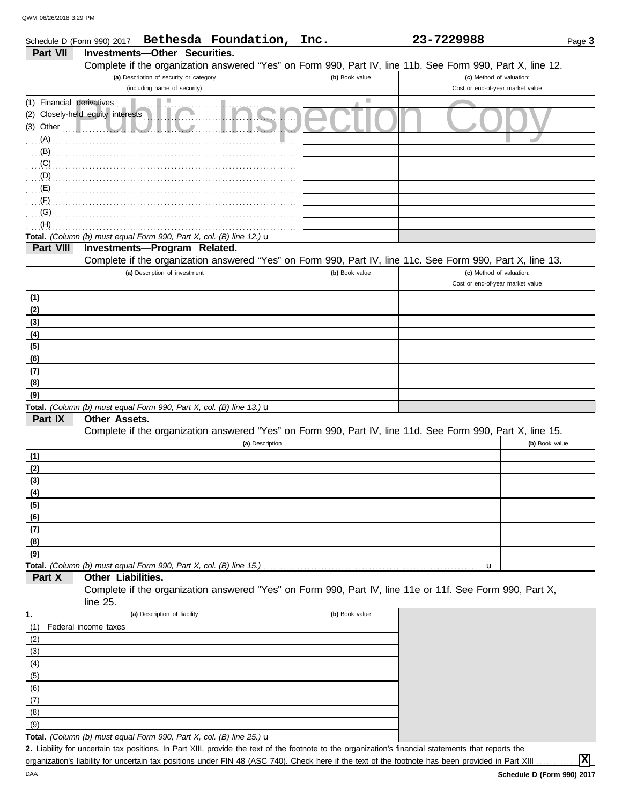|                           | Bethesda Foundation, Inc.<br>Schedule D (Form 990) 2017                                                              |                | 23-7229988                       | Page 3         |
|---------------------------|----------------------------------------------------------------------------------------------------------------------|----------------|----------------------------------|----------------|
| Part VII                  | <b>Investments-Other Securities.</b>                                                                                 |                |                                  |                |
|                           | Complete if the organization answered "Yes" on Form 990, Part IV, line 11b. See Form 990, Part X, line 12.           |                |                                  |                |
|                           | (a) Description of security or category                                                                              | (b) Book value | (c) Method of valuation:         |                |
|                           | (including name of security)                                                                                         |                | Cost or end-of-year market value |                |
| (1) Financial derivatives | п                                                                                                                    | ш              |                                  |                |
|                           | (2) Closely-held equity interests                                                                                    |                |                                  |                |
| $(3)$ Other               |                                                                                                                      |                |                                  |                |
| (A)<br>(B)                |                                                                                                                      |                |                                  |                |
| $\overline{C}$            |                                                                                                                      |                |                                  |                |
| $\Box$ (D)                |                                                                                                                      |                |                                  |                |
| (E)                       |                                                                                                                      |                |                                  |                |
| (F)                       |                                                                                                                      |                |                                  |                |
| (G)                       |                                                                                                                      |                |                                  |                |
| (H)                       |                                                                                                                      |                |                                  |                |
|                           | Total. (Column (b) must equal Form 990, Part X, col. (B) line 12.) u                                                 |                |                                  |                |
| Part VIII                 | Investments-Program Related.                                                                                         |                |                                  |                |
|                           | Complete if the organization answered "Yes" on Form 990, Part IV, line 11c. See Form 990, Part X, line 13.           |                |                                  |                |
|                           | (a) Description of investment                                                                                        | (b) Book value | (c) Method of valuation:         |                |
|                           |                                                                                                                      |                | Cost or end-of-year market value |                |
| (1)                       |                                                                                                                      |                |                                  |                |
| (2)                       |                                                                                                                      |                |                                  |                |
| (3)<br>(4)                |                                                                                                                      |                |                                  |                |
| (5)                       |                                                                                                                      |                |                                  |                |
| (6)                       |                                                                                                                      |                |                                  |                |
| (7)                       |                                                                                                                      |                |                                  |                |
| (8)                       |                                                                                                                      |                |                                  |                |
| (9)                       |                                                                                                                      |                |                                  |                |
|                           | Total. (Column (b) must equal Form 990, Part X, col. (B) line 13.) u                                                 |                |                                  |                |
| Part IX                   | <b>Other Assets.</b>                                                                                                 |                |                                  |                |
|                           | Complete if the organization answered "Yes" on Form 990, Part IV, line 11d. See Form 990, Part X, line 15.           |                |                                  |                |
|                           | (a) Description                                                                                                      |                |                                  | (b) Book value |
| (1)                       |                                                                                                                      |                |                                  |                |
| (2)                       |                                                                                                                      |                |                                  |                |
| (3)<br>(4)                |                                                                                                                      |                |                                  |                |
| (5)                       |                                                                                                                      |                |                                  |                |
| (6)                       |                                                                                                                      |                |                                  |                |
| (7)                       |                                                                                                                      |                |                                  |                |
| (8)                       |                                                                                                                      |                |                                  |                |
| (9)                       |                                                                                                                      |                |                                  |                |
|                           | Total. (Column (b) must equal Form 990, Part X, col. (B) line 15.)                                                   |                | u                                |                |
| Part X                    | Other Liabilities.                                                                                                   |                |                                  |                |
|                           | Complete if the organization answered "Yes" on Form 990, Part IV, line 11e or 11f. See Form 990, Part X,<br>line 25. |                |                                  |                |
| $\mathbf{1}$ .            | (a) Description of liability                                                                                         | (b) Book value |                                  |                |
| (1)                       | Federal income taxes                                                                                                 |                |                                  |                |
| (2)                       |                                                                                                                      |                |                                  |                |
| (3)                       |                                                                                                                      |                |                                  |                |
| (4)                       |                                                                                                                      |                |                                  |                |
| (5)                       |                                                                                                                      |                |                                  |                |
| (6)                       |                                                                                                                      |                |                                  |                |

Liability for uncertain tax positions. In Part XIII, provide the text of the footnote to the organization's financial statements that reports the **2. Total.** *(Column (b) must equal Form 990, Part X, col. (B) line 25.)* u

organization's liability for uncertain tax positions under FIN 48 (ASC 740). Check here if the text of the footnote has been provided in Part XIII

**X**

 $(9)$ (8)  $\overline{(7)}$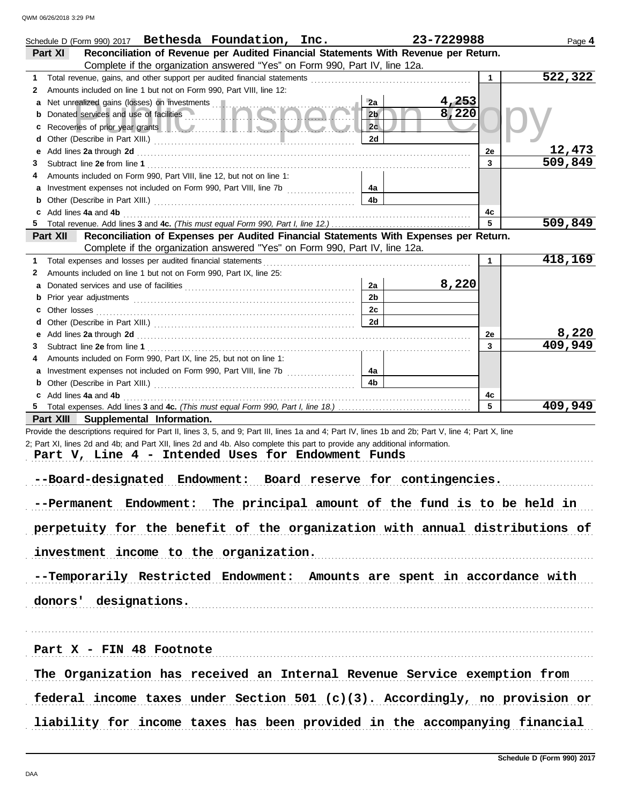|    | Schedule D (Form 990) 2017 Bethesda Foundation, Inc.                                                                                                                                                                           |                      | 23-7229988                                                                                                     |              | Page 4  |
|----|--------------------------------------------------------------------------------------------------------------------------------------------------------------------------------------------------------------------------------|----------------------|----------------------------------------------------------------------------------------------------------------|--------------|---------|
|    | Reconciliation of Revenue per Audited Financial Statements With Revenue per Return.<br>Part XI                                                                                                                                 |                      |                                                                                                                |              |         |
|    | Complete if the organization answered "Yes" on Form 990, Part IV, line 12a.                                                                                                                                                    |                      |                                                                                                                |              |         |
| 1. | Total revenue, gains, and other support per audited financial statements                                                                                                                                                       |                      | and a complete the contract of the complete the complete the complete the complete the complete the complete t | $\mathbf{1}$ | 522,322 |
| 2  | Amounts included on line 1 but not on Form 990, Part VIII, line 12:                                                                                                                                                            |                      |                                                                                                                |              |         |
|    | <b>a</b> Net unrealized gains (losses) on investments                                                                                                                                                                          | 2a                   | 4,253                                                                                                          |              |         |
| b  | Donated services and use of facilities                                                                                                                                                                                         | 2 <sub>b</sub>       | 8,220                                                                                                          |              |         |
| c  | Recoveries of prior year grants <b>the contract of the contract of prior</b>                                                                                                                                                   | 2c                   |                                                                                                                |              |         |
| d  |                                                                                                                                                                                                                                | 2d                   |                                                                                                                |              |         |
| е  | Add lines 2a through 2d                                                                                                                                                                                                        |                      |                                                                                                                | 2e           | 12,473  |
| 3  |                                                                                                                                                                                                                                |                      |                                                                                                                | 3            | 509,849 |
| 4  | Amounts included on Form 990, Part VIII, line 12, but not on line 1:                                                                                                                                                           |                      |                                                                                                                |              |         |
|    |                                                                                                                                                                                                                                | 4a                   |                                                                                                                |              |         |
| b  |                                                                                                                                                                                                                                | 4 <sub>b</sub>       |                                                                                                                |              |         |
|    | c Add lines 4a and 4b                                                                                                                                                                                                          |                      |                                                                                                                | 4c<br>5      | 509,849 |
|    | Reconciliation of Expenses per Audited Financial Statements With Expenses per Return.<br>Part XII                                                                                                                              |                      |                                                                                                                |              |         |
|    | Complete if the organization answered "Yes" on Form 990, Part IV, line 12a.                                                                                                                                                    |                      |                                                                                                                |              |         |
| 1. | Total expenses and losses per audited financial statements                                                                                                                                                                     |                      |                                                                                                                | 1            | 418,169 |
| 2  | Amounts included on line 1 but not on Form 990, Part IX, line 25:                                                                                                                                                              |                      |                                                                                                                |              |         |
|    |                                                                                                                                                                                                                                | 2a                   | 8,220                                                                                                          |              |         |
|    |                                                                                                                                                                                                                                | 2 <sub>b</sub>       |                                                                                                                |              |         |
| b  |                                                                                                                                                                                                                                | 2c                   |                                                                                                                |              |         |
| c  | Other losses                                                                                                                                                                                                                   | 2d                   |                                                                                                                |              |         |
| d  |                                                                                                                                                                                                                                |                      |                                                                                                                |              | 8,220   |
| е  | Add lines 2a through 2d [11] March 2014 [12] March 2014 [12] March 2014 [12] March 2014 [12] March 2014 [12] March 2015 [12] March 2014 [12] March 2014 [12] March 2014 [12] March 2014 [12] March 2014 [12] March 2014 [12] M |                      |                                                                                                                | 2e<br>3      | 409,949 |
| 3  |                                                                                                                                                                                                                                |                      |                                                                                                                |              |         |
| 4  | Amounts included on Form 990, Part IX, line 25, but not on line 1:                                                                                                                                                             |                      |                                                                                                                |              |         |
|    |                                                                                                                                                                                                                                | 4a<br>4 <sub>b</sub> |                                                                                                                |              |         |
|    |                                                                                                                                                                                                                                |                      |                                                                                                                |              |         |
|    | c Add lines 4a and 4b                                                                                                                                                                                                          |                      |                                                                                                                | 4c<br>5      | 409,949 |
|    | Part XIII Supplemental Information.                                                                                                                                                                                            |                      |                                                                                                                |              |         |
|    | Provide the descriptions required for Part II, lines 3, 5, and 9; Part III, lines 1a and 4; Part IV, lines 1b and 2b; Part V, line 4; Part X, line                                                                             |                      |                                                                                                                |              |         |
|    | 2; Part XI, lines 2d and 4b; and Part XII, lines 2d and 4b. Also complete this part to provide any additional information.                                                                                                     |                      |                                                                                                                |              |         |
|    | Part V, Line 4 - Intended Uses for Endowment Funds                                                                                                                                                                             |                      |                                                                                                                |              |         |
|    |                                                                                                                                                                                                                                |                      |                                                                                                                |              |         |
|    | Board reserve for contingencies.<br>--Board-designated Endowment:                                                                                                                                                              |                      |                                                                                                                |              |         |
|    |                                                                                                                                                                                                                                |                      |                                                                                                                |              |         |
|    | --Permanent Endowment: The principal amount of the fund is to be held in                                                                                                                                                       |                      |                                                                                                                |              |         |
|    |                                                                                                                                                                                                                                |                      |                                                                                                                |              |         |
|    | perpetuity for the benefit of the organization with annual distributions of                                                                                                                                                    |                      |                                                                                                                |              |         |
|    |                                                                                                                                                                                                                                |                      |                                                                                                                |              |         |
|    | investment income to the organization.                                                                                                                                                                                         |                      |                                                                                                                |              |         |
|    |                                                                                                                                                                                                                                |                      |                                                                                                                |              |         |
|    | --Temporarily Restricted Endowment: Amounts are spent in accordance with                                                                                                                                                       |                      |                                                                                                                |              |         |
|    | donors' designations.                                                                                                                                                                                                          |                      |                                                                                                                |              |         |
|    |                                                                                                                                                                                                                                |                      |                                                                                                                |              |         |
|    |                                                                                                                                                                                                                                |                      |                                                                                                                |              |         |
|    |                                                                                                                                                                                                                                |                      |                                                                                                                |              |         |
|    | Part X - FIN 48 Footnote                                                                                                                                                                                                       |                      |                                                                                                                |              |         |
|    |                                                                                                                                                                                                                                |                      |                                                                                                                |              |         |
|    | The Organization has received an Internal Revenue Service exemption from                                                                                                                                                       |                      |                                                                                                                |              |         |
|    | federal income taxes under Section 501 (c)(3). Accordingly, no provision or                                                                                                                                                    |                      |                                                                                                                |              |         |
|    | liability for income taxes has been provided in the accompanying financial                                                                                                                                                     |                      |                                                                                                                |              |         |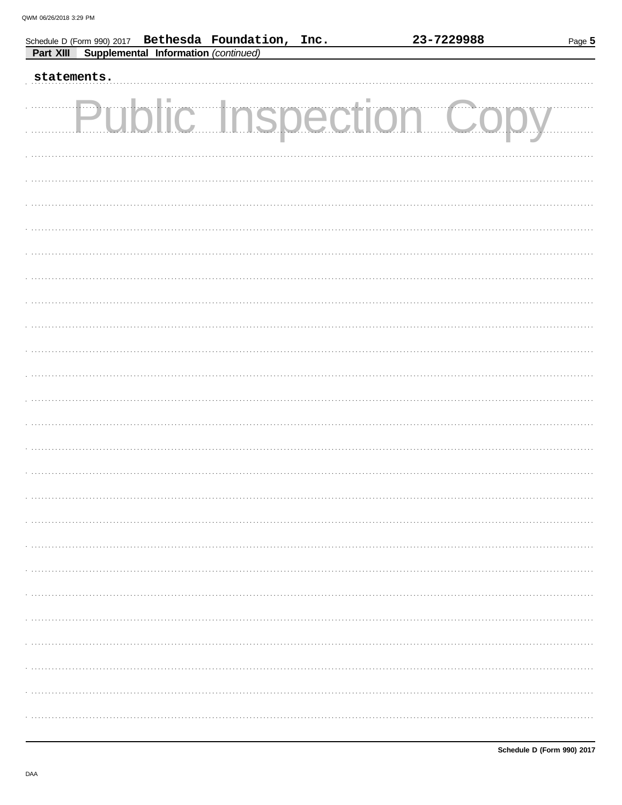|             |                                                | Schedule D (Form 990) 2017 Bethesda Foundation, Inc. | 23-7229988                   | Page 5 |
|-------------|------------------------------------------------|------------------------------------------------------|------------------------------|--------|
|             | Part XIII Supplemental Information (continued) |                                                      |                              |        |
| statements. |                                                |                                                      |                              |        |
|             |                                                |                                                      | <b>Public Inspection Cop</b> |        |
|             |                                                |                                                      |                              |        |
|             |                                                |                                                      |                              |        |
|             |                                                |                                                      |                              |        |
|             |                                                |                                                      |                              |        |
|             |                                                |                                                      |                              |        |
|             |                                                |                                                      |                              |        |
|             |                                                |                                                      |                              |        |
|             |                                                |                                                      |                              |        |
|             |                                                |                                                      |                              |        |
|             |                                                |                                                      |                              |        |
|             |                                                |                                                      |                              |        |
|             |                                                |                                                      |                              |        |
|             |                                                |                                                      |                              |        |
|             |                                                |                                                      |                              |        |
|             |                                                |                                                      |                              |        |
|             |                                                |                                                      |                              |        |
|             |                                                |                                                      |                              |        |
|             |                                                |                                                      |                              |        |
|             |                                                |                                                      |                              |        |
|             |                                                |                                                      |                              |        |
|             |                                                |                                                      |                              |        |
|             |                                                |                                                      |                              |        |
|             |                                                |                                                      |                              |        |
|             |                                                |                                                      |                              |        |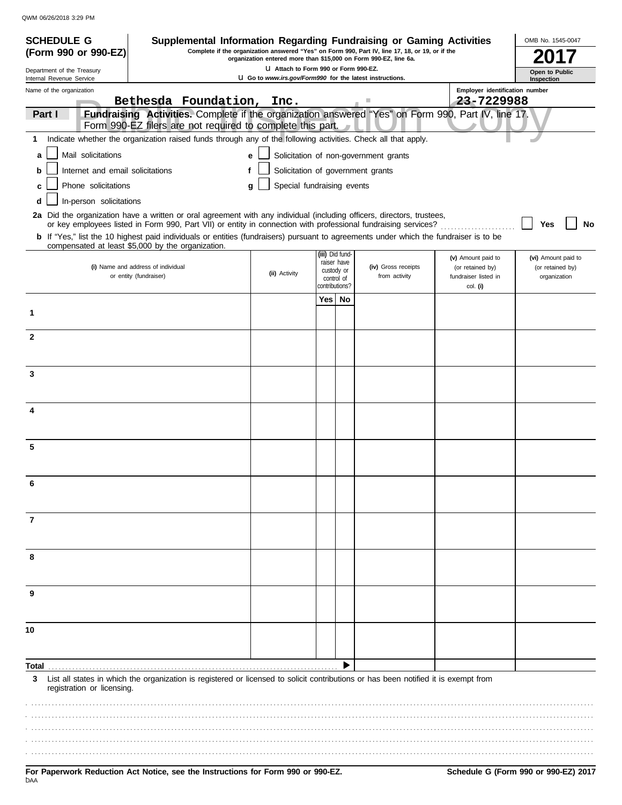| <b>SCHEDULE G</b>                                      |                                                   |                                    |                                                            |                                                                                                         |     |                                            | Supplemental Information Regarding Fundraising or Gaming Activities                                                                                                                                                                                     |                                        | OMB No. 1545-0047                       |
|--------------------------------------------------------|---------------------------------------------------|------------------------------------|------------------------------------------------------------|---------------------------------------------------------------------------------------------------------|-----|--------------------------------------------|---------------------------------------------------------------------------------------------------------------------------------------------------------------------------------------------------------------------------------------------------------|----------------------------------------|-----------------------------------------|
| (Form 990 or 990-EZ)                                   |                                                   |                                    |                                                            | organization entered more than \$15,000 on Form 990-EZ, line 6a.                                        |     |                                            | Complete if the organization answered "Yes" on Form 990, Part IV, line 17, 18, or 19, or if the                                                                                                                                                         |                                        |                                         |
| Department of the Treasury<br>Internal Revenue Service |                                                   |                                    |                                                            | U Attach to Form 990 or Form 990-EZ.<br><b>U Go to www.irs.gov/Form990 for the latest instructions.</b> |     |                                            |                                                                                                                                                                                                                                                         |                                        | Open to Public<br>Inspection            |
| Name of the organization                               |                                                   |                                    |                                                            |                                                                                                         |     |                                            |                                                                                                                                                                                                                                                         | Employer identification number         |                                         |
|                                                        |                                                   |                                    | Bethesda Foundation,                                       | Inc.                                                                                                    |     |                                            | ш                                                                                                                                                                                                                                                       | 23-7229988                             |                                         |
| Part I                                                 |                                                   |                                    | Form 990-EZ filers are not required to complete this part. |                                                                                                         |     |                                            | Fundraising Activities. Complete if the organization answered "Yes" on Form 990, Part IV, line 17.                                                                                                                                                      |                                        |                                         |
| 1                                                      |                                                   |                                    |                                                            |                                                                                                         |     |                                            | Indicate whether the organization raised funds through any of the following activities. Check all that apply.                                                                                                                                           |                                        |                                         |
| a                                                      | Mail solicitations                                |                                    |                                                            | e                                                                                                       |     |                                            | Solicitation of non-government grants                                                                                                                                                                                                                   |                                        |                                         |
| b                                                      | Internet and email solicitations                  |                                    |                                                            | f                                                                                                       |     |                                            | Solicitation of government grants                                                                                                                                                                                                                       |                                        |                                         |
| c                                                      | Phone solicitations                               |                                    |                                                            | Special fundraising events<br>a                                                                         |     |                                            |                                                                                                                                                                                                                                                         |                                        |                                         |
| d                                                      | In-person solicitations                           |                                    |                                                            |                                                                                                         |     |                                            |                                                                                                                                                                                                                                                         |                                        |                                         |
|                                                        |                                                   |                                    |                                                            |                                                                                                         |     |                                            | 2a Did the organization have a written or oral agreement with any individual (including officers, directors, trustees,                                                                                                                                  |                                        |                                         |
|                                                        |                                                   |                                    |                                                            |                                                                                                         |     |                                            | or key employees listed in Form 990, Part VII) or entity in connection with professional fundraising services?<br>b If "Yes," list the 10 highest paid individuals or entities (fundraisers) pursuant to agreements under which the fundraiser is to be |                                        | No<br>Yes                               |
|                                                        | compensated at least \$5,000 by the organization. |                                    |                                                            |                                                                                                         |     | (iii) Did fund-                            |                                                                                                                                                                                                                                                         |                                        |                                         |
|                                                        |                                                   | (i) Name and address of individual |                                                            |                                                                                                         |     | raiser have                                | (iv) Gross receipts                                                                                                                                                                                                                                     | (v) Amount paid to<br>(or retained by) | (vi) Amount paid to<br>(or retained by) |
|                                                        |                                                   | or entity (fundraiser)             |                                                            | (ii) Activity                                                                                           |     | custody or<br>control of<br>contributions? | from activity                                                                                                                                                                                                                                           | fundraiser listed in                   | organization                            |
|                                                        |                                                   |                                    |                                                            |                                                                                                         | Yes | No                                         |                                                                                                                                                                                                                                                         | col. (i)                               |                                         |
| 1                                                      |                                                   |                                    |                                                            |                                                                                                         |     |                                            |                                                                                                                                                                                                                                                         |                                        |                                         |
|                                                        |                                                   |                                    |                                                            |                                                                                                         |     |                                            |                                                                                                                                                                                                                                                         |                                        |                                         |
| $\mathbf{2}$                                           |                                                   |                                    |                                                            |                                                                                                         |     |                                            |                                                                                                                                                                                                                                                         |                                        |                                         |
|                                                        |                                                   |                                    |                                                            |                                                                                                         |     |                                            |                                                                                                                                                                                                                                                         |                                        |                                         |
| 3                                                      |                                                   |                                    |                                                            |                                                                                                         |     |                                            |                                                                                                                                                                                                                                                         |                                        |                                         |
|                                                        |                                                   |                                    |                                                            |                                                                                                         |     |                                            |                                                                                                                                                                                                                                                         |                                        |                                         |
| 4                                                      |                                                   |                                    |                                                            |                                                                                                         |     |                                            |                                                                                                                                                                                                                                                         |                                        |                                         |
|                                                        |                                                   |                                    |                                                            |                                                                                                         |     |                                            |                                                                                                                                                                                                                                                         |                                        |                                         |
|                                                        |                                                   |                                    |                                                            |                                                                                                         |     |                                            |                                                                                                                                                                                                                                                         |                                        |                                         |
| 5                                                      |                                                   |                                    |                                                            |                                                                                                         |     |                                            |                                                                                                                                                                                                                                                         |                                        |                                         |
|                                                        |                                                   |                                    |                                                            |                                                                                                         |     |                                            |                                                                                                                                                                                                                                                         |                                        |                                         |
|                                                        |                                                   |                                    |                                                            |                                                                                                         |     |                                            |                                                                                                                                                                                                                                                         |                                        |                                         |
|                                                        |                                                   |                                    |                                                            |                                                                                                         |     |                                            |                                                                                                                                                                                                                                                         |                                        |                                         |
| 7                                                      |                                                   |                                    |                                                            |                                                                                                         |     |                                            |                                                                                                                                                                                                                                                         |                                        |                                         |
|                                                        |                                                   |                                    |                                                            |                                                                                                         |     |                                            |                                                                                                                                                                                                                                                         |                                        |                                         |
|                                                        |                                                   |                                    |                                                            |                                                                                                         |     |                                            |                                                                                                                                                                                                                                                         |                                        |                                         |
| 8                                                      |                                                   |                                    |                                                            |                                                                                                         |     |                                            |                                                                                                                                                                                                                                                         |                                        |                                         |
|                                                        |                                                   |                                    |                                                            |                                                                                                         |     |                                            |                                                                                                                                                                                                                                                         |                                        |                                         |
| 9                                                      |                                                   |                                    |                                                            |                                                                                                         |     |                                            |                                                                                                                                                                                                                                                         |                                        |                                         |
|                                                        |                                                   |                                    |                                                            |                                                                                                         |     |                                            |                                                                                                                                                                                                                                                         |                                        |                                         |
| 10                                                     |                                                   |                                    |                                                            |                                                                                                         |     |                                            |                                                                                                                                                                                                                                                         |                                        |                                         |
|                                                        |                                                   |                                    |                                                            |                                                                                                         |     |                                            |                                                                                                                                                                                                                                                         |                                        |                                         |
| Total.                                                 |                                                   |                                    |                                                            |                                                                                                         |     |                                            |                                                                                                                                                                                                                                                         |                                        |                                         |
| 3                                                      |                                                   |                                    |                                                            |                                                                                                         |     |                                            | List all states in which the organization is registered or licensed to solicit contributions or has been notified it is exempt from                                                                                                                     |                                        |                                         |
|                                                        | registration or licensing.                        |                                    |                                                            |                                                                                                         |     |                                            |                                                                                                                                                                                                                                                         |                                        |                                         |
|                                                        |                                                   |                                    |                                                            |                                                                                                         |     |                                            |                                                                                                                                                                                                                                                         |                                        |                                         |
|                                                        |                                                   |                                    |                                                            |                                                                                                         |     |                                            |                                                                                                                                                                                                                                                         |                                        |                                         |
|                                                        |                                                   |                                    |                                                            |                                                                                                         |     |                                            |                                                                                                                                                                                                                                                         |                                        |                                         |
|                                                        |                                                   |                                    |                                                            |                                                                                                         |     |                                            |                                                                                                                                                                                                                                                         |                                        |                                         |
|                                                        |                                                   |                                    |                                                            |                                                                                                         |     |                                            |                                                                                                                                                                                                                                                         |                                        |                                         |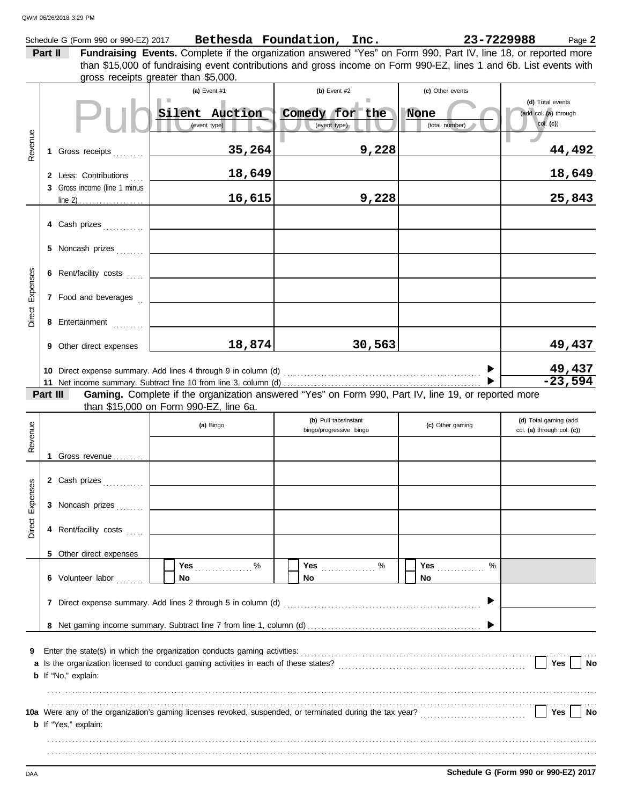|                               |                              |                                                     | Schedule G (Form 990 or 990-EZ) 2017    Bethesda Foundation, Inc.                                                                                                                                                                     |                                            | 23-7229988<br>Page 2                                  |
|-------------------------------|------------------------------|-----------------------------------------------------|---------------------------------------------------------------------------------------------------------------------------------------------------------------------------------------------------------------------------------------|--------------------------------------------|-------------------------------------------------------|
|                               | Part II                      | gross receipts greater than \$5,000.                | Fundraising Events. Complete if the organization answered "Yes" on Form 990, Part IV, line 18, or reported more<br>than \$15,000 of fundraising event contributions and gross income on Form 990-EZ, lines 1 and 6b. List events with |                                            |                                                       |
|                               |                              | (a) Event #1<br>Silent Auction<br>(event type)      | (b) Event $#2$<br>Ш<br>Comedy for the<br>(event type)                                                                                                                                                                                 | (c) Other events<br>None<br>(total number) | (d) Total events<br>(add col. (a) through<br>col. (c) |
| Revenue                       | 1 Gross receipts             | 35,264                                              | 9,228                                                                                                                                                                                                                                 |                                            | 44,492                                                |
|                               | 2 Less: Contributions        | 18,649                                              |                                                                                                                                                                                                                                       |                                            | 18,649                                                |
|                               | 3 Gross income (line 1 minus | 16,615                                              | 9,228                                                                                                                                                                                                                                 |                                            | 25,843                                                |
|                               | 4 Cash prizes                |                                                     |                                                                                                                                                                                                                                       |                                            |                                                       |
|                               | 5 Noncash prizes             |                                                     |                                                                                                                                                                                                                                       |                                            |                                                       |
|                               | 6 Rent/facility costs        |                                                     |                                                                                                                                                                                                                                       |                                            |                                                       |
| Expenses                      | 7 Food and beverages         |                                                     |                                                                                                                                                                                                                                       |                                            |                                                       |
| Direct                        | 8 Entertainment              |                                                     |                                                                                                                                                                                                                                       |                                            |                                                       |
|                               | 9 Other direct expenses      | 18,874                                              | 30,563                                                                                                                                                                                                                                |                                            | 49,437                                                |
|                               |                              |                                                     |                                                                                                                                                                                                                                       |                                            | 49,437                                                |
|                               | Part III                     |                                                     |                                                                                                                                                                                                                                       |                                            | $-23,594$                                             |
|                               |                              |                                                     | Gaming. Complete if the organization answered "Yes" on Form 990, Part IV, line 19, or reported more                                                                                                                                   |                                            |                                                       |
|                               |                              | than \$15,000 on Form 990-EZ, line 6a.<br>(a) Bingo | (b) Pull tabs/instant<br>bingo/progressive bingo                                                                                                                                                                                      | (c) Other gaming                           | (d) Total gaming (add<br>col. (a) through col. (c))   |
|                               | 1 Gross revenue              |                                                     |                                                                                                                                                                                                                                       |                                            |                                                       |
|                               | 2 Cash prizes                |                                                     |                                                                                                                                                                                                                                       |                                            |                                                       |
|                               | 3 Noncash prizes             |                                                     |                                                                                                                                                                                                                                       |                                            |                                                       |
|                               | 4 Rent/facility costs        |                                                     |                                                                                                                                                                                                                                       |                                            |                                                       |
|                               | 5 Other direct expenses      |                                                     |                                                                                                                                                                                                                                       |                                            |                                                       |
|                               | 6 Volunteer labor            | Yes $%$<br>No                                       | No                                                                                                                                                                                                                                    | %<br><b>Yes</b><br>No                      |                                                       |
|                               |                              |                                                     |                                                                                                                                                                                                                                       |                                            |                                                       |
|                               |                              |                                                     |                                                                                                                                                                                                                                       |                                            |                                                       |
| 9                             |                              |                                                     |                                                                                                                                                                                                                                       |                                            |                                                       |
| Revenue<br>Expenses<br>Direct | <b>b</b> If "No," explain:   |                                                     |                                                                                                                                                                                                                                       |                                            | Yes<br>No                                             |
|                               |                              |                                                     |                                                                                                                                                                                                                                       |                                            | Yes<br>No                                             |

. . . . . . . . . . . . . . . . . . . . . . . . . . . . . . . . . . . . . . . . . . . . . . . . . . . . . . . . . . . . . . . . . . . . . . . . . . . . . . . . . . . . . . . . . . . . . . . . . . . . . . . . . . . . . . . . . . . . . . . . . . . . . . . . . . . . . . . . . . . . . . . . . . . . . . . . . . . . . . . . . . . . . . . . . . . . . . . . . . . . . . . . . . . . . . . . . . . . . . . . . . . . . . . . . . . . . . . . . . . . . . . . . . . . . . . . . . . . . . . . . . . . . . . . . . . . . . . . . . . . . . . . . . . . . . . . . . . . . . . . . . . . . . . . . . . . . . . . . . . . . . . . . . . . . . . . . . . . . . . . . .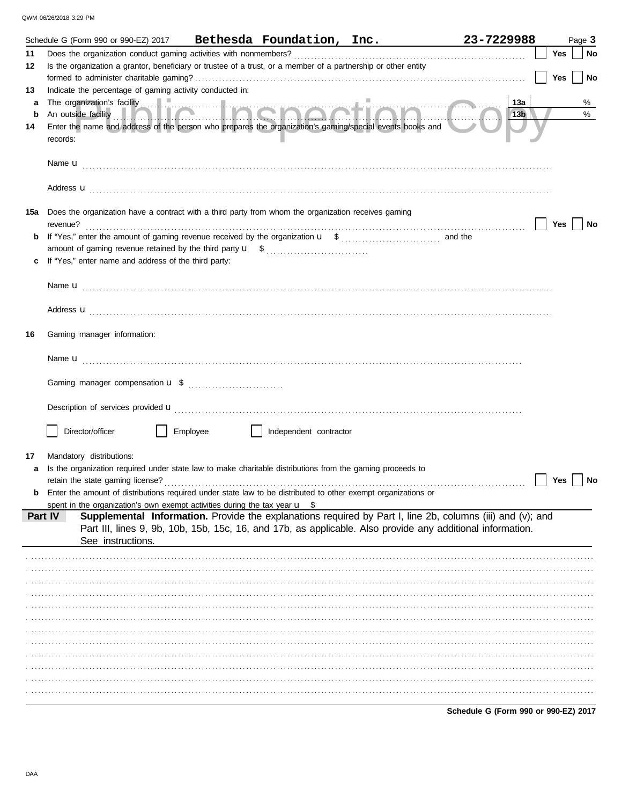|     |          |                                                                                       |          | Schedule G (Form 990 or 990-EZ) 2017 Bethesda Foundation, Inc.                                                 | 23-7229988                                                                                                                                                                                                               |     | Page 3    |
|-----|----------|---------------------------------------------------------------------------------------|----------|----------------------------------------------------------------------------------------------------------------|--------------------------------------------------------------------------------------------------------------------------------------------------------------------------------------------------------------------------|-----|-----------|
| 11  |          |                                                                                       |          |                                                                                                                |                                                                                                                                                                                                                          | Yes | No        |
| 12  |          |                                                                                       |          | Is the organization a grantor, beneficiary or trustee of a trust, or a member of a partnership or other entity |                                                                                                                                                                                                                          |     | <b>No</b> |
| 13  |          | Indicate the percentage of gaming activity conducted in:                              |          |                                                                                                                |                                                                                                                                                                                                                          | Yes |           |
| a   |          |                                                                                       |          |                                                                                                                | 13a                                                                                                                                                                                                                      |     | %         |
| b   |          |                                                                                       |          |                                                                                                                | 13 <sub>b</sub>                                                                                                                                                                                                          |     | %         |
| 14  | records: |                                                                                       |          |                                                                                                                | Enter the name and address of the person who prepares the organization's gaming/special events books and                                                                                                                 |     |           |
|     |          |                                                                                       |          |                                                                                                                |                                                                                                                                                                                                                          |     |           |
|     |          |                                                                                       |          |                                                                                                                | Address <b>u</b>                                                                                                                                                                                                         |     |           |
| 15a |          |                                                                                       |          | Does the organization have a contract with a third party from whom the organization receives gaming            |                                                                                                                                                                                                                          | Yes | No        |
| b   |          |                                                                                       |          |                                                                                                                |                                                                                                                                                                                                                          |     |           |
|     |          |                                                                                       |          |                                                                                                                |                                                                                                                                                                                                                          |     |           |
| c   |          | If "Yes," enter name and address of the third party:                                  |          |                                                                                                                |                                                                                                                                                                                                                          |     |           |
|     |          |                                                                                       |          |                                                                                                                |                                                                                                                                                                                                                          |     |           |
|     |          |                                                                                       |          |                                                                                                                |                                                                                                                                                                                                                          |     |           |
|     |          |                                                                                       |          |                                                                                                                | Address <b>u</b>                                                                                                                                                                                                         |     |           |
| 16  |          | Gaming manager information:                                                           |          |                                                                                                                |                                                                                                                                                                                                                          |     |           |
|     |          |                                                                                       |          |                                                                                                                |                                                                                                                                                                                                                          |     |           |
|     |          |                                                                                       |          |                                                                                                                |                                                                                                                                                                                                                          |     |           |
|     |          |                                                                                       |          |                                                                                                                | Description of services provided <b>u</b> electron contract the contract of the contract of services provided <b>u</b>                                                                                                   |     |           |
|     |          |                                                                                       |          |                                                                                                                |                                                                                                                                                                                                                          |     |           |
|     |          | Director/officer                                                                      | Employee | Independent contractor                                                                                         |                                                                                                                                                                                                                          |     |           |
|     |          |                                                                                       |          |                                                                                                                |                                                                                                                                                                                                                          |     |           |
| 17  |          | Mandatory distributions:                                                              |          |                                                                                                                |                                                                                                                                                                                                                          |     |           |
| a   |          |                                                                                       |          | Is the organization required under state law to make charitable distributions from the gaming proceeds to      |                                                                                                                                                                                                                          |     |           |
| b   |          |                                                                                       |          | Enter the amount of distributions required under state law to be distributed to other exempt organizations or  |                                                                                                                                                                                                                          | Yes | No        |
|     |          | spent in the organization's own exempt activities during the tax year $\mathbf{u}$ \$ |          |                                                                                                                |                                                                                                                                                                                                                          |     |           |
|     | Part IV  | See instructions.                                                                     |          |                                                                                                                | Supplemental Information. Provide the explanations required by Part I, line 2b, columns (iii) and (v); and<br>Part III, lines 9, 9b, 10b, 15b, 15c, 16, and 17b, as applicable. Also provide any additional information. |     |           |
|     |          |                                                                                       |          |                                                                                                                |                                                                                                                                                                                                                          |     |           |
|     |          |                                                                                       |          |                                                                                                                |                                                                                                                                                                                                                          |     |           |
|     |          |                                                                                       |          |                                                                                                                |                                                                                                                                                                                                                          |     |           |
|     |          |                                                                                       |          |                                                                                                                |                                                                                                                                                                                                                          |     |           |
|     |          |                                                                                       |          |                                                                                                                |                                                                                                                                                                                                                          |     |           |
|     |          |                                                                                       |          |                                                                                                                |                                                                                                                                                                                                                          |     |           |
|     |          |                                                                                       |          |                                                                                                                |                                                                                                                                                                                                                          |     |           |
|     |          |                                                                                       |          |                                                                                                                |                                                                                                                                                                                                                          |     |           |
|     |          |                                                                                       |          |                                                                                                                |                                                                                                                                                                                                                          |     |           |
|     |          |                                                                                       |          |                                                                                                                |                                                                                                                                                                                                                          |     |           |
|     |          |                                                                                       |          |                                                                                                                |                                                                                                                                                                                                                          |     |           |
|     |          |                                                                                       |          |                                                                                                                | Schedule G (Form 990 or 990-EZ) 2017                                                                                                                                                                                     |     |           |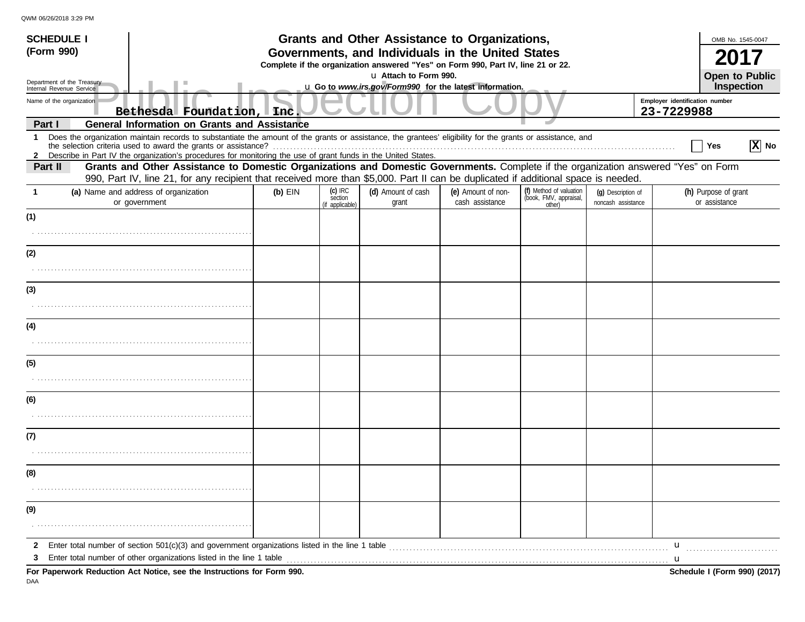| <b>SCHEDULE I</b><br>(Form 990)                      |                                                                                                                                                                                                                                                                                                                                                   | Grants and Other Assistance to Organizations,<br>Governments, and Individuals in the United States |                                         |                             |                                       |                                                             |                                          |            |                                       | OMB No. 1545-0047 |  |  |
|------------------------------------------------------|---------------------------------------------------------------------------------------------------------------------------------------------------------------------------------------------------------------------------------------------------------------------------------------------------------------------------------------------------|----------------------------------------------------------------------------------------------------|-----------------------------------------|-----------------------------|---------------------------------------|-------------------------------------------------------------|------------------------------------------|------------|---------------------------------------|-------------------|--|--|
|                                                      |                                                                                                                                                                                                                                                                                                                                                   | Complete if the organization answered "Yes" on Form 990, Part IV, line 21 or 22.                   |                                         |                             |                                       |                                                             |                                          |            |                                       |                   |  |  |
| Department of the Treasury                           |                                                                                                                                                                                                                                                                                                                                                   |                                                                                                    |                                         | La Attach to Form 990.      |                                       |                                                             |                                          |            | <b>Open to Public</b>                 |                   |  |  |
| Internal Revenue Service<br>Name of the organization | Bethesda Foundation,                                                                                                                                                                                                                                                                                                                              | u Go to www.irs.gov/Form990 for the latest information.<br>Employer identification number          |                                         |                             |                                       |                                                             |                                          |            | <b>Inspection</b>                     |                   |  |  |
| Part I                                               | <b>General Information on Grants and Assistance</b>                                                                                                                                                                                                                                                                                               | <b>Inc</b>                                                                                         |                                         |                             |                                       |                                                             |                                          | 23-7229988 |                                       |                   |  |  |
|                                                      | 1 Does the organization maintain records to substantiate the amount of the grants or assistance, the grantees' eligibility for the grants or assistance, and<br>the selection criteria used to award the grants or assistance?<br>2 Describe in Part IV the organization's procedures for monitoring the use of grant funds in the United States. |                                                                                                    |                                         |                             |                                       |                                                             |                                          |            | Yes                                   | $ X $ No          |  |  |
| Part II                                              | Grants and Other Assistance to Domestic Organizations and Domestic Governments. Complete if the organization answered "Yes" on Form<br>990, Part IV, line 21, for any recipient that received more than \$5,000. Part II can be duplicated if additional space is needed.                                                                         |                                                                                                    |                                         |                             |                                       |                                                             |                                          |            |                                       |                   |  |  |
|                                                      | (a) Name and address of organization<br>or government                                                                                                                                                                                                                                                                                             | $(b)$ EIN                                                                                          | $(c)$ IRC<br>section<br>(if applicable) | (d) Amount of cash<br>grant | (e) Amount of non-<br>cash assistance | (f) Method of valuation<br>(book, FMV, appraisal,<br>other) | (q) Description of<br>noncash assistance |            | (h) Purpose of grant<br>or assistance |                   |  |  |
| (1)                                                  |                                                                                                                                                                                                                                                                                                                                                   |                                                                                                    |                                         |                             |                                       |                                                             |                                          |            |                                       |                   |  |  |
|                                                      |                                                                                                                                                                                                                                                                                                                                                   |                                                                                                    |                                         |                             |                                       |                                                             |                                          |            |                                       |                   |  |  |
| (2)                                                  |                                                                                                                                                                                                                                                                                                                                                   |                                                                                                    |                                         |                             |                                       |                                                             |                                          |            |                                       |                   |  |  |
|                                                      |                                                                                                                                                                                                                                                                                                                                                   |                                                                                                    |                                         |                             |                                       |                                                             |                                          |            |                                       |                   |  |  |
| (3)                                                  |                                                                                                                                                                                                                                                                                                                                                   |                                                                                                    |                                         |                             |                                       |                                                             |                                          |            |                                       |                   |  |  |
|                                                      |                                                                                                                                                                                                                                                                                                                                                   |                                                                                                    |                                         |                             |                                       |                                                             |                                          |            |                                       |                   |  |  |
| (4)                                                  |                                                                                                                                                                                                                                                                                                                                                   |                                                                                                    |                                         |                             |                                       |                                                             |                                          |            |                                       |                   |  |  |
|                                                      |                                                                                                                                                                                                                                                                                                                                                   |                                                                                                    |                                         |                             |                                       |                                                             |                                          |            |                                       |                   |  |  |
| (5)                                                  |                                                                                                                                                                                                                                                                                                                                                   |                                                                                                    |                                         |                             |                                       |                                                             |                                          |            |                                       |                   |  |  |
|                                                      |                                                                                                                                                                                                                                                                                                                                                   |                                                                                                    |                                         |                             |                                       |                                                             |                                          |            |                                       |                   |  |  |
| (6)                                                  |                                                                                                                                                                                                                                                                                                                                                   |                                                                                                    |                                         |                             |                                       |                                                             |                                          |            |                                       |                   |  |  |
|                                                      |                                                                                                                                                                                                                                                                                                                                                   |                                                                                                    |                                         |                             |                                       |                                                             |                                          |            |                                       |                   |  |  |
| (7)                                                  |                                                                                                                                                                                                                                                                                                                                                   |                                                                                                    |                                         |                             |                                       |                                                             |                                          |            |                                       |                   |  |  |
|                                                      |                                                                                                                                                                                                                                                                                                                                                   |                                                                                                    |                                         |                             |                                       |                                                             |                                          |            |                                       |                   |  |  |
| (8)                                                  |                                                                                                                                                                                                                                                                                                                                                   |                                                                                                    |                                         |                             |                                       |                                                             |                                          |            |                                       |                   |  |  |
|                                                      |                                                                                                                                                                                                                                                                                                                                                   |                                                                                                    |                                         |                             |                                       |                                                             |                                          |            |                                       |                   |  |  |
| (9)                                                  |                                                                                                                                                                                                                                                                                                                                                   |                                                                                                    |                                         |                             |                                       |                                                             |                                          |            |                                       |                   |  |  |
|                                                      |                                                                                                                                                                                                                                                                                                                                                   |                                                                                                    |                                         |                             |                                       |                                                             |                                          |            |                                       |                   |  |  |
|                                                      |                                                                                                                                                                                                                                                                                                                                                   |                                                                                                    |                                         |                             |                                       |                                                             |                                          |            |                                       |                   |  |  |
| 3                                                    |                                                                                                                                                                                                                                                                                                                                                   |                                                                                                    |                                         |                             |                                       |                                                             |                                          | u          |                                       |                   |  |  |
|                                                      | For Paperwork Reduction Act Notice, see the Instructions for Form 990.                                                                                                                                                                                                                                                                            |                                                                                                    |                                         |                             |                                       |                                                             |                                          |            | Schedule I (Form 990) (2017)          |                   |  |  |

DAA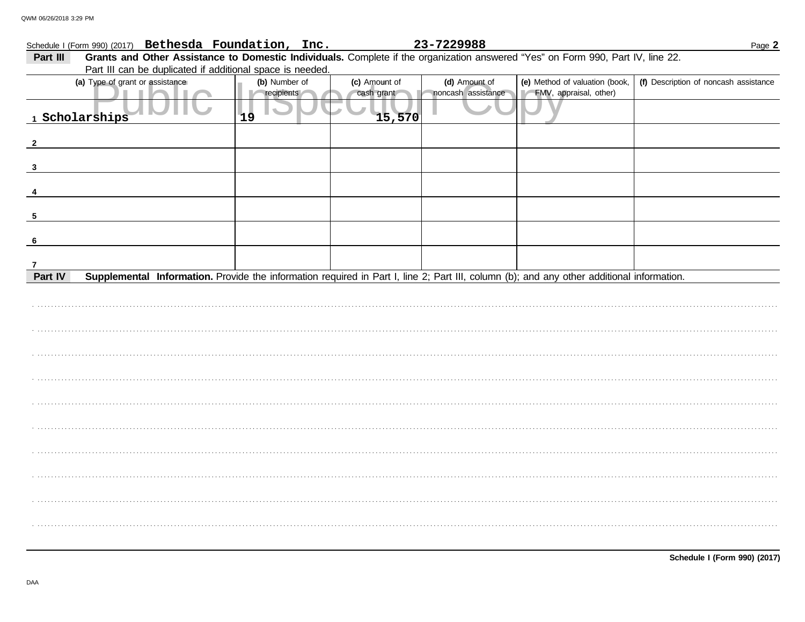|                                                           | Schedule I (Form 990) (2017) Bethesda Foundation, Inc.                                                                                    |                                |               | 23-7229988         |                                | Page 2                                |  |  |  |  |
|-----------------------------------------------------------|-------------------------------------------------------------------------------------------------------------------------------------------|--------------------------------|---------------|--------------------|--------------------------------|---------------------------------------|--|--|--|--|
| Part III                                                  | Grants and Other Assistance to Domestic Individuals. Complete if the organization answered "Yes" on Form 990, Part IV, line 22.           |                                |               |                    |                                |                                       |  |  |  |  |
| Part III can be duplicated if additional space is needed. |                                                                                                                                           |                                |               |                    |                                |                                       |  |  |  |  |
|                                                           | (a) Type of grant or assistance                                                                                                           | (b) Number of                  | (c) Amount of | (d) Amount of      | (e) Method of valuation (book, | (f) Description of noncash assistance |  |  |  |  |
|                                                           |                                                                                                                                           | recipients                     | cash grant    | noncash assistance | FMV, appraisal, other)         |                                       |  |  |  |  |
|                                                           | 1 Scholarships                                                                                                                            | $\overline{\phantom{a}}$<br>19 | 15,570        |                    |                                |                                       |  |  |  |  |
|                                                           |                                                                                                                                           |                                |               |                    |                                |                                       |  |  |  |  |
| $\mathbf{2}$                                              |                                                                                                                                           |                                |               |                    |                                |                                       |  |  |  |  |
|                                                           |                                                                                                                                           |                                |               |                    |                                |                                       |  |  |  |  |
|                                                           |                                                                                                                                           |                                |               |                    |                                |                                       |  |  |  |  |
|                                                           |                                                                                                                                           |                                |               |                    |                                |                                       |  |  |  |  |
|                                                           |                                                                                                                                           |                                |               |                    |                                |                                       |  |  |  |  |
|                                                           |                                                                                                                                           |                                |               |                    |                                |                                       |  |  |  |  |
|                                                           |                                                                                                                                           |                                |               |                    |                                |                                       |  |  |  |  |
|                                                           |                                                                                                                                           |                                |               |                    |                                |                                       |  |  |  |  |
| 6                                                         |                                                                                                                                           |                                |               |                    |                                |                                       |  |  |  |  |
| $\overline{7}$                                            |                                                                                                                                           |                                |               |                    |                                |                                       |  |  |  |  |
| Part IV                                                   | Supplemental Information. Provide the information required in Part I, line 2; Part III, column (b); and any other additional information. |                                |               |                    |                                |                                       |  |  |  |  |
|                                                           |                                                                                                                                           |                                |               |                    |                                |                                       |  |  |  |  |
|                                                           |                                                                                                                                           |                                |               |                    |                                |                                       |  |  |  |  |
|                                                           |                                                                                                                                           |                                |               |                    |                                |                                       |  |  |  |  |
|                                                           |                                                                                                                                           |                                |               |                    |                                |                                       |  |  |  |  |
|                                                           |                                                                                                                                           |                                |               |                    |                                |                                       |  |  |  |  |
|                                                           |                                                                                                                                           |                                |               |                    |                                |                                       |  |  |  |  |
|                                                           |                                                                                                                                           |                                |               |                    |                                |                                       |  |  |  |  |
|                                                           |                                                                                                                                           |                                |               |                    |                                |                                       |  |  |  |  |
|                                                           |                                                                                                                                           |                                |               |                    |                                |                                       |  |  |  |  |
|                                                           |                                                                                                                                           |                                |               |                    |                                |                                       |  |  |  |  |
|                                                           |                                                                                                                                           |                                |               |                    |                                |                                       |  |  |  |  |
|                                                           |                                                                                                                                           |                                |               |                    |                                |                                       |  |  |  |  |
|                                                           |                                                                                                                                           |                                |               |                    |                                |                                       |  |  |  |  |
|                                                           |                                                                                                                                           |                                |               |                    |                                |                                       |  |  |  |  |
|                                                           |                                                                                                                                           |                                |               |                    |                                |                                       |  |  |  |  |
|                                                           |                                                                                                                                           |                                |               |                    |                                |                                       |  |  |  |  |
|                                                           |                                                                                                                                           |                                |               |                    |                                |                                       |  |  |  |  |
|                                                           |                                                                                                                                           |                                |               |                    |                                |                                       |  |  |  |  |
|                                                           |                                                                                                                                           |                                |               |                    |                                |                                       |  |  |  |  |
|                                                           |                                                                                                                                           |                                |               |                    |                                |                                       |  |  |  |  |
|                                                           |                                                                                                                                           |                                |               |                    |                                |                                       |  |  |  |  |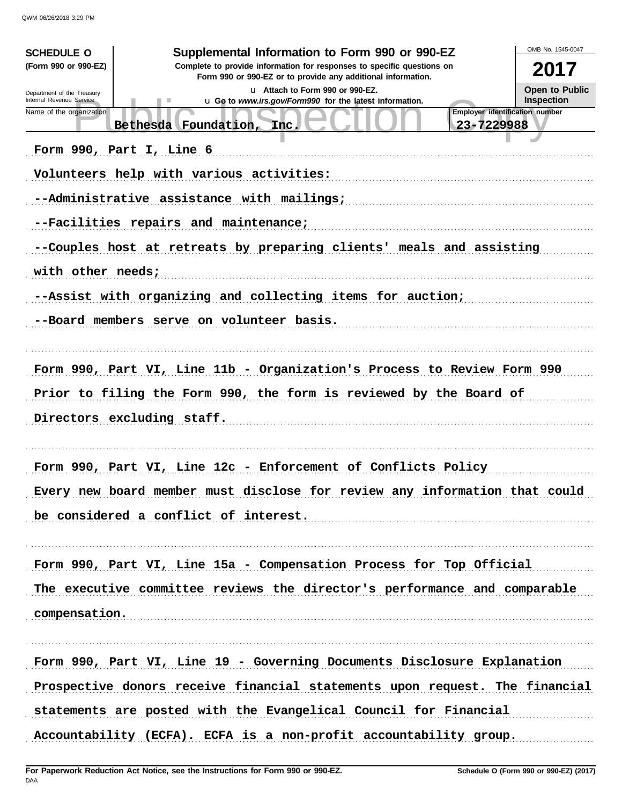| <b>SCHEDULE O</b>                                      | Supplemental Information to Form 990 or 990-EZ                                             | OMB No. 1545-0047                          |
|--------------------------------------------------------|--------------------------------------------------------------------------------------------|--------------------------------------------|
| (Form 990 or 990-EZ)                                   | Complete to provide information for responses to specific questions on                     | 2017                                       |
|                                                        | Form 990 or 990-EZ or to provide any additional information.                               |                                            |
| Department of the Treasury<br>Internal Revenue Service | u Attach to Form 990 or 990-EZ.<br>u Go to www.irs.gov/Form990 for the latest information. | <b>Open to Public</b><br><b>Inspection</b> |
| Name of the organization                               | 23-7229988<br>Bethesda Foundation,<br>Inc.                                                 | Employer identification number             |
|                                                        | Form 990, Part I, Line 6                                                                   |                                            |
|                                                        | Volunteers help with various activities:                                                   |                                            |
|                                                        | --Administrative assistance with mailings;                                                 |                                            |
|                                                        | --Facilities repairs and maintenance;                                                      |                                            |
|                                                        | --Couples host at retreats by preparing clients' meals and assisting                       |                                            |
| with other needs;                                      |                                                                                            |                                            |
|                                                        | --Assist with organizing and collecting items for auction;                                 |                                            |
|                                                        | --Board members serve on volunteer basis.                                                  |                                            |
|                                                        | Form 990, Part VI, Line 11b - Organization's Process to Review Form 990                    |                                            |
|                                                        | Prior to filing the Form 990, the form is reviewed by the Board of                         |                                            |
|                                                        | Directors excluding staff.                                                                 |                                            |
|                                                        |                                                                                            |                                            |
|                                                        | Form 990, Part VI, Line 12c - Enforcement of Conflicts Policy                              |                                            |
|                                                        | Every new board member must disclose for review any information that could                 |                                            |
|                                                        | be considered a conflict of interest.                                                      |                                            |
|                                                        |                                                                                            |                                            |
|                                                        | Form 990, Part VI, Line 15a - Compensation Process for Top Official                        |                                            |
|                                                        | The executive committee reviews the director's performance and comparable                  |                                            |
| compensation.                                          |                                                                                            |                                            |
|                                                        | Form 990, Part VI, Line 19 - Governing Documents Disclosure Explanation                    |                                            |
|                                                        | Prospective donors receive financial statements upon request. The financial                |                                            |
|                                                        | statements are posted with the Evangelical Council for Financial                           |                                            |
|                                                        | Accountability (ECFA). ECFA is a non-profit accountability group.                          |                                            |